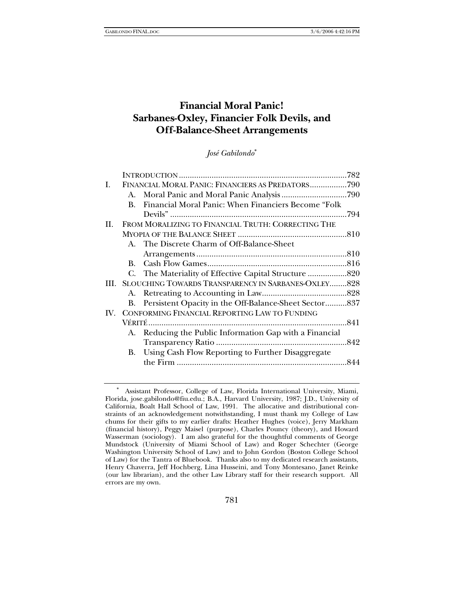# **Financial Moral Panic! Sarbanes-Oxley, Financier Folk Devils, and Off-Balance-Sheet Arrangements**

*José Gabilondo*<sup>∗</sup>

|     |                                                          |                                                          | .782 |
|-----|----------------------------------------------------------|----------------------------------------------------------|------|
| I.  | FINANCIAL MORAL PANIC: FINANCIERS AS PREDATORS790        |                                                          |      |
|     |                                                          |                                                          |      |
|     | $\mathbf{B}$ .                                           | Financial Moral Panic: When Financiers Become "Folk      |      |
|     |                                                          |                                                          |      |
| П.  |                                                          | FROM MORALIZING TO FINANCIAL TRUTH: CORRECTING THE       |      |
|     |                                                          |                                                          |      |
|     |                                                          | A. The Discrete Charm of Off-Balance-Sheet               |      |
|     |                                                          |                                                          |      |
|     | B.                                                       |                                                          |      |
|     |                                                          | C. The Materiality of Effective Capital Structure 820    |      |
|     | III. SLOUCHING TOWARDS TRANSPARENCY IN SARBANES-OXLEY828 |                                                          |      |
|     |                                                          |                                                          |      |
|     |                                                          | B. Persistent Opacity in the Off-Balance-Sheet Sector837 |      |
| IV. | CONFORMING FINANCIAL REPORTING LAW TO FUNDING            |                                                          |      |
|     |                                                          |                                                          |      |
|     |                                                          | A. Reducing the Public Information Gap with a Financial  |      |
|     |                                                          |                                                          |      |
|     |                                                          | B. Using Cash Flow Reporting to Further Disaggregate     |      |
|     |                                                          |                                                          |      |
|     |                                                          |                                                          |      |

<sup>∗</sup> Assistant Professor, College of Law, Florida International University, Miami, Florida, jose.gabilondo@fiu.edu.; B.A., Harvard University, 1987; J.D., University of California, Boalt Hall School of Law, 1991. The allocative and distributional constraints of an acknowledgement notwithstanding, I must thank my College of Law chums for their gifts to my earlier drafts: Heather Hughes (voice), Jerry Markham (financial history), Peggy Maisel (purpose), Charles Pouncy (theory), and Howard Wasserman (sociology). I am also grateful for the thoughtful comments of George Mundstock (University of Miami School of Law) and Roger Schechter (George Washington University School of Law) and to John Gordon (Boston College School of Law) for the Tantra of Bluebook. Thanks also to my dedicated research assistants, Henry Chaverra, Jeff Hochberg, Lina Husseini, and Tony Montesano, Janet Reinke (our law librarian), and the other Law Library staff for their research support. All errors are my own.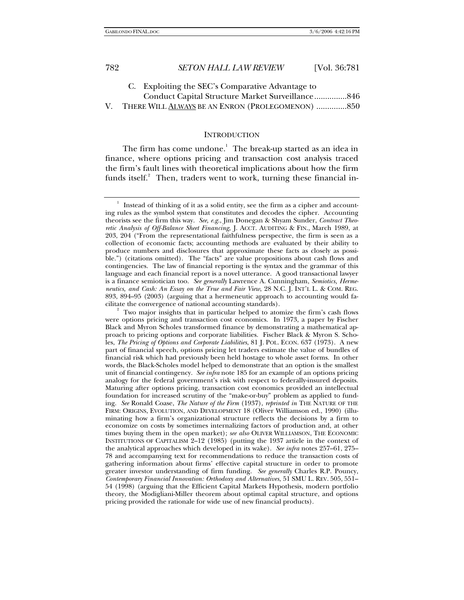- C. Exploiting the SEC's Comparative Advantage to
- Conduct Capital Structure Market Surveillance...............846
- V. THERE WILL ALWAYS BE AN ENRON (PROLEGOMENON) ...............850

#### **INTRODUCTION**

The firm has come undone.<sup>1</sup> The break-up started as an idea in finance, where options pricing and transaction cost analysis traced the firm's fault lines with theoretical implications about how the firm funds itself.<sup>2</sup> Then, traders went to work, turning these financial in-

<sup>1</sup> Instead of thinking of it as a solid entity, see the firm as a cipher and accounting rules as the symbol system that constitutes and decodes the cipher. Accounting theorists see the firm this way. *See, e.g.*, Jim Donegan & Shyam Sunder, *Contract Theoretic Analysis of Off-Balance Sheet Financing*, J. ACCT. AUDITING & FIN., March 1989, at 203, 204 ("From the representational faithfulness perspective, the firm is seen as a collection of economic facts; accounting methods are evaluated by their ability to produce numbers and disclosures that approximate these facts as closely as possible.") (citations omitted). The "facts" are value propositions about cash flows and contingencies. The law of financial reporting is the syntax and the grammar of this language and each financial report is a novel utterance. A good transactional lawyer is a finance semiotician too. *See generally* Lawrence A. Cunningham, *Semiotics, Hermeneutics, and Cash: An Essay on the True and Fair View*, 28 N.C. J. INT'L L. & COM. REG. 893, 894–95 (2003) (arguing that a hermeneutic approach to accounting would facilitate the convergence of national accounting standards). 2

 $\frac{1}{2}$  Two major insights that in particular helped to atomize the firm's cash flows were options pricing and transaction cost economics. In 1973, a paper by Fischer Black and Myron Scholes transformed finance by demonstrating a mathematical approach to pricing options and corporate liabilities. Fischer Black & Myron S. Scholes, *The Pricing of Options and Corporate Liabilities*, 81 J. POL. ECON. 637 (1973). A new part of financial speech, options pricing let traders estimate the value of bundles of financial risk which had previously been held hostage to whole asset forms. In other words, the Black-Scholes model helped to demonstrate that an option is the smallest unit of financial contingency. *See infra* note 185 for an example of an options pricing analogy for the federal government's risk with respect to federally-insured deposits. Maturing after options pricing, transaction cost economics provided an intellectual foundation for increased scrutiny of the "make-or-buy" problem as applied to funding. *See* Ronald Coase, *The Nature of the Firm* (1937), *reprinted in* THE NATURE OF THE FIRM: ORIGINS, EVOLUTION, AND DEVELOPMENT 18 (Oliver Williamson ed., 1990) (illuminating how a firm's organizational structure reflects the decisions by a firm to economize on costs by sometimes internalizing factors of production and, at other times buying them in the open market); *see also* OLIVER WILLIAMSON, THE ECONOMIC INSTITUTIONS OF CAPITALISM 2–12 (1985) (putting the 1937 article in the context of the analytical approaches which developed in its wake). *See infra* notes 257–61, 275– 78 and accompanying text for recommendations to reduce the transaction costs of gathering information about firms' effective capital structure in order to promote greater investor understanding of firm funding. *See generally* Charles R.P. Pouncy, *Contemporary Financial Innovation: Orthodoxy and Alternatives*, 51 SMU L. REV. 505, 551– 54 (1998) (arguing that the Efficient Capital Markets Hypothesis, modern portfolio theory, the Modigliani-Miller theorem about optimal capital structure, and options pricing provided the rationale for wide use of new financial products).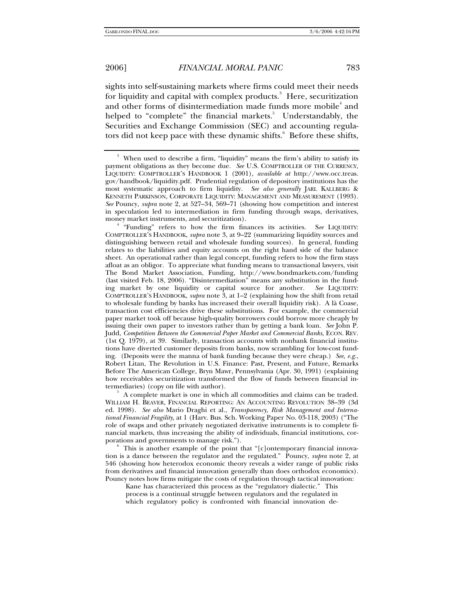sights into self-sustaining markets where firms could meet their needs for liquidity and capital with complex products.<sup>3</sup> Here, securitization and other forms of disintermediation made funds more mobile<sup>4</sup> and helped to "complete" the financial markets.<sup>5</sup> Understandably, the Securities and Exchange Commission (SEC) and accounting regulators did not keep pace with these dynamic shifts.<sup>6</sup> Before these shifts,

 "Funding" refers to how the firm finances its activities. S*ee* LIQUIDITY: COMPTROLLER'S HANDBOOK, *supra* note 3, at 9–22 (summarizing liquidity sources and distinguishing between retail and wholesale funding sources). In general, funding relates to the liabilities and equity accounts on the right hand side of the balance sheet. An operational rather than legal concept, funding refers to how the firm stays afloat as an obligor. To appreciate what funding means to transactional lawyers, visit The Bond Market Association, Funding, http://www.bondmarkets.com/funding (last visited Feb. 18, 2006). "Disintermediation" means any substitution in the funding market by one liquidity or capital source for another. *See* LIQUIDITY: COMPTROLLER'S HANDBOOK, *supra* note 3, at 1–2 (explaining how the shift from retail to wholesale funding by banks has increased their overall liquidity risk). A là Coase, transaction cost efficiencies drive these substitutions. For example, the commercial paper market took off because high-quality borrowers could borrow more cheaply by issuing their own paper to investors rather than by getting a bank loan. *See* John P. Judd, *Competition Between the Commercial Paper Market and Commercial Banks*, ECON. REV. (1st Q. 1979), at 39. Similarly, transaction accounts with nonbank financial institutions have diverted customer deposits from banks, now scrambling for low-cost funding. (Deposits were the manna of bank funding because they were cheap.) *See, e.g.*, Robert Litan, The Revolution in U.S. Finance: Past, Present, and Future, Remarks Before The American College, Bryn Mawr, Pennsylvania (Apr. 30, 1991) (explaining how receivables securitization transformed the flow of funds between financial intermediaries) (copy on file with author).

 A complete market is one in which all commodities and claims can be traded. WILLIAM H. BEAVER, FINANCIAL REPORTING: AN ACCOUNTING REVOLUTION 38–39 (3d ed. 1998). *See also* Mario Draghi et al., *Transparency, Risk Management and International Financial Fragility*, at 1 (Harv. Bus. Sch. Working Paper No. 03-118, 2003) ("The role of swaps and other privately negotiated derivative instruments is to complete financial markets, thus increasing the ability of individuals, financial institutions, corporations and governments to manage risk.").

 This is another example of the point that "[c]ontemporary financial innovation is a dance between the regulator and the regulated." Pouncy, *supra* note 2, at 546 (showing how heterodox economic theory reveals a wider range of public risks from derivatives and financial innovation generally than does orthodox economics). Pouncy notes how firms mitigate the costs of regulation through tactical innovation:

Kane has characterized this process as the "regulatory dialectic." This process is a continual struggle between regulators and the regulated in which regulatory policy is confronted with financial innovation de-

<sup>&</sup>lt;sup>3</sup> When used to describe a firm, "liquidity" means the firm's ability to satisfy its payment obligations as they become due. *See* U.S. COMPTROLLER OF THE CURRENCY, LIQUIDITY: COMPTROLLER'S HANDBOOK 1 (2001), *available at* http://www.occ.treas. gov/handbook/liquidity.pdf. Prudential regulation of depository institutions has the most systematic approach to firm liquidity. *See also generally* JARL KALLBERG & KENNETH PARKINSON, CORPORATE LIQUIDITY: MANAGEMENT AND MEASUREMENT (1993). *See* Pouncy, *supra* note 2, at 527–34, 569–71 (showing how competition and interest in speculation led to intermediation in firm funding through swaps, derivatives, money market instruments, and securitization). 4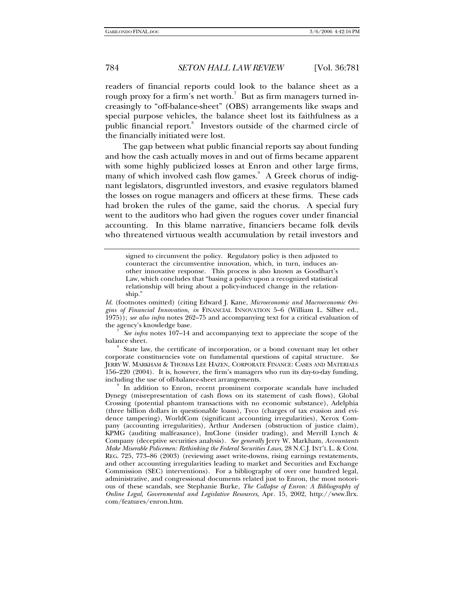readers of financial reports could look to the balance sheet as a rough proxy for a firm's net worth. $^7\,$  But as firm managers turned increasingly to "off-balance-sheet" (OBS) arrangements like swaps and special purpose vehicles, the balance sheet lost its faithfulness as a public financial report.<sup>8</sup> Investors outside of the charmed circle of the financially initiated were lost.

The gap between what public financial reports say about funding and how the cash actually moves in and out of firms became apparent with some highly publicized losses at Enron and other large firms, many of which involved cash flow games.<sup>9</sup> A Greek chorus of indignant legislators, disgruntled investors, and evasive regulators blamed the losses on rogue managers and officers at these firms. These cads had broken the rules of the game, said the chorus. A special fury went to the auditors who had given the rogues cover under financial accounting. In this blame narrative, financiers became folk devils who threatened virtuous wealth accumulation by retail investors and

signed to circumvent the policy. Regulatory policy is then adjusted to counteract the circumventive innovation, which, in turn, induces another innovative response. This process is also known as Goodhart's Law, which concludes that "basing a policy upon a recognized statistical relationship will bring about a policy-induced change in the relationship."

*Id.* (footnotes omitted) (citing Edward J. Kane, *Microeconomic and Macroeconomic Origins of Financial Innovation*, *in* FINANCIAL INNOVATION 5–6 (William L. Silber ed., 1975)); *see also infra* notes 262–75 and accompanying text for a critical evaluation of the agency's knowledge base.

 *See infra* notes 107–14 and accompanying text to appreciate the scope of the balance sheet.

 State law, the certificate of incorporation, or a bond covenant may let other corporate constituencies vote on fundamental questions of capital structure. *See* JERRY W. MARKHAM & THOMAS LEE HAZEN, CORPORATE FINANCE: CASES AND MATERIALS 156–220 (2004). It is, however, the firm's managers who run its day-to-day funding, including the use of off-balance-sheet arrangements.

<sup>9</sup> In addition to Enron, recent prominent corporate scandals have included Dynegy (misrepresentation of cash flows on its statement of cash flows), Global Crossing (potential phantom transactions with no economic substance), Adelphia (three billion dollars in questionable loans), Tyco (charges of tax evasion and evidence tampering), WorldCom (significant accounting irregularities), Xerox Company (accounting irregularities), Arthur Andersen (obstruction of justice claim), KPMG (auditing malfeasance), ImClone (insider trading), and Merrill Lynch & Company (deceptive securities analysis). *See generally* Jerry W. Markham, *Accountants Make Miserable Policemen: Rethinking the Federal Securities Laws*, 28 N.C.J. INT'L L. & COM. REG. 725, 773–86 (2003) (reviewing asset write-downs, rising earnings restatements, and other accounting irregularities leading to market and Securities and Exchange Commission (SEC) interventions). For a bibliography of over one hundred legal, administrative, and congressional documents related just to Enron, the most notorious of these scandals, see Stephanie Burke, *The Collapse of Enron: A Bibliography of Online Legal, Governmental and Legislative Resources*, Apr. 15, 2002, http://www.llrx. com/features/enron.htm.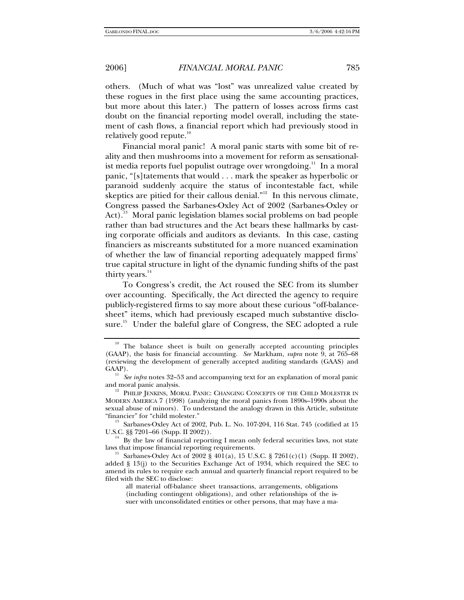others. (Much of what was "lost" was unrealized value created by these rogues in the first place using the same accounting practices, but more about this later.) The pattern of losses across firms cast doubt on the financial reporting model overall, including the statement of cash flows, a financial report which had previously stood in relatively good repute. $^{10}$ 

Financial moral panic! A moral panic starts with some bit of reality and then mushrooms into a movement for reform as sensationalist media reports fuel populist outrage over wrongdoing.<sup>11</sup> In a moral panic, "[s]tatements that would . . . mark the speaker as hyperbolic or paranoid suddenly acquire the status of incontestable fact, while skeptics are pitied for their callous denial."<sup>12</sup> In this nervous climate, Congress passed the Sarbanes-Oxley Act of 2002 (Sarbanes-Oxley or Act).<sup>13</sup> Moral panic legislation blames social problems on bad people rather than bad structures and the Act bears these hallmarks by casting corporate officials and auditors as deviants. In this case, casting financiers as miscreants substituted for a more nuanced examination of whether the law of financial reporting adequately mapped firms' true capital structure in light of the dynamic funding shifts of the past thirty years.<sup>14</sup>

To Congress's credit, the Act roused the SEC from its slumber over accounting. Specifically, the Act directed the agency to require publicly-registered firms to say more about these curious "off-balancesheet" items, which had previously escaped much substantive disclosure.<sup>15</sup> Under the baleful glare of Congress, the SEC adopted a rule

<sup>&</sup>lt;sup>10</sup> The balance sheet is built on generally accepted accounting principles (GAAP), the basis for financial accounting. *See* Markham, *supra* note 9, at 765–68 (reviewing the development of generally accepted auditing standards (GAAS) and

<sup>&</sup>lt;sup>11</sup> See infra notes 32–53 and accompanying text for an explanation of moral panic and moral panic analysis.<br><sup>12</sup> PHILIP JENKINS, MORAL PANIC: CHANGING CONCEPTS OF THE CHILD MOLESTER IN

MODERN AMERICA 7 (1998) (analyzing the moral panics from 1890s–1990s about the sexual abuse of minors). To understand the analogy drawn in this Article, substitute

<sup>&</sup>lt;sup>13</sup> Sarbanes-Oxley Act of 2002, Pub. L. No. 107-204, 116 Stat. 745 (codified at 15 U.S.C.  $\S$  7201–66 (Supp. II 2002)).

 $14$  By the law of financial reporting I mean only federal securities laws, not state laws that impose financial reporting requirements.

Sarbanes-Oxley Act of 2002 § 401(a), 15 U.S.C. § 7261(c)(1) (Supp. II 2002), added  $\S$  13(j) to the Securities Exchange Act of 1934, which required the SEC to amend its rules to require each annual and quarterly financial report required to be filed with the SEC to disclose:

all material off-balance sheet transactions, arrangements, obligations (including contingent obligations), and other relationships of the issuer with unconsolidated entities or other persons, that may have a ma-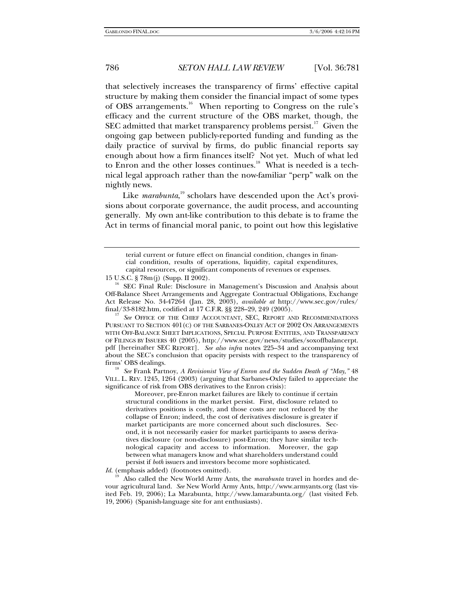that selectively increases the transparency of firms' effective capital structure by making them consider the financial impact of some types of OBS arrangements.<sup>16</sup> When reporting to Congress on the rule's efficacy and the current structure of the OBS market, though, the SEC admitted that market transparency problems persist.<sup>17</sup> Given the ongoing gap between publicly-reported funding and funding as the daily practice of survival by firms, do public financial reports say enough about how a firm finances itself? Not yet. Much of what led to Enron and the other losses continues.<sup>18</sup> What is needed is a technical legal approach rather than the now-familiar "perp" walk on the nightly news.

Like *marabunta*,<sup>19</sup> scholars have descended upon the Act's provisions about corporate governance, the audit process, and accounting generally. My own ant-like contribution to this debate is to frame the Act in terms of financial moral panic, to point out how this legislative

PURSUANT TO SECTION 401(C) OF THE SARBANES-OXLEY ACT OF 2002 ON ARRANGEMENTS WITH OFF-BALANCE SHEET IMPLICATIONS, SPECIAL PURPOSE ENTITIES, AND TRANSPARENCY OF FILINGS BY ISSUERS 40 (2005), http://www.sec.gov/news/studies/soxoffbalancerpt. pdf [hereinafter SEC REPORT]. *See also infra* notes 225–34 and accompanying text about the SEC's conclusion that opacity persists with respect to the transparency of

firms' OBS dealings. 18 *See* Frank Partnoy, *A Revisionist View of Enron and the Sudden Death of "May*,*"* <sup>48</sup> VILL. L. REV. 1245, 1264 (2003) (arguing that Sarbanes-Oxley failed to appreciate the significance of risk from OBS derivatives to the Enron crisis):

 Moreover, pre-Enron market failures are likely to continue if certain structural conditions in the market persist. First, disclosure related to derivatives positions is costly, and those costs are not reduced by the collapse of Enron; indeed, the cost of derivatives disclosure is greater if market participants are more concerned about such disclosures. Second, it is not necessarily easier for market participants to assess derivatives disclosure (or non-disclosure) post-Enron; they have similar technological capacity and access to information. Moreover, the gap between what managers know and what shareholders understand could persist if *both* issuers and investors become more sophisticated.

*Id.* (emphasis added) (footnotes omitted).

Also called the New World Army Ants, the *marabunta* travel in hordes and devour agricultural land. *See* New World Army Ants, http://www.armyants.org (last visited Feb. 19, 2006); La Marabunta, http://www.lamarabunta.org/ (last visited Feb. 19, 2006) (Spanish-language site for ant enthusiasts).

terial current or future effect on financial condition, changes in financial condition, results of operations, liquidity, capital expenditures, capital resources, or significant components of revenues or expenses.

<sup>15</sup> U.S.C. § 78m(j) (Supp. II 2002).<br><sup>16</sup> SEC Final Rule: Disclosure in Management's Discussion and Analysis about Off-Balance Sheet Arrangements and Aggregate Contractual Obligations, Exchange Act Release No. 34-47264 (Jan. 28, 2003), *available at* http://www.sec.gov/rules/ final/33-8182.htm, codified at 17 C.F.R. §§ 228–29, 249 (2005). 17 *See* OFFICE OF THE CHIEF ACCOUNTANT, SEC, REPORT AND RECOMMENDATIONS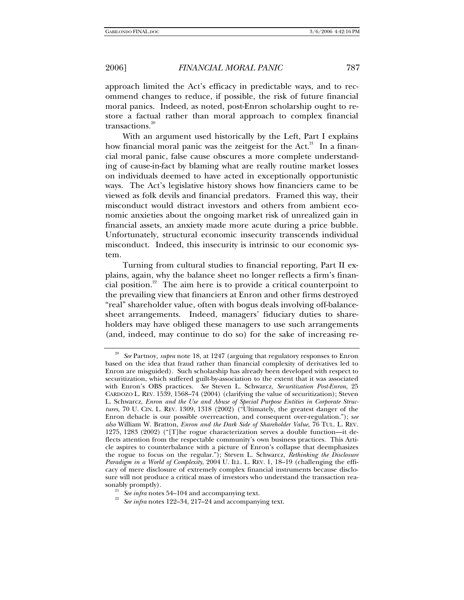approach limited the Act's efficacy in predictable ways, and to recommend changes to reduce, if possible, the risk of future financial moral panics. Indeed, as noted, post-Enron scholarship ought to restore a factual rather than moral approach to complex financial transactions.<sup>20</sup>

With an argument used historically by the Left, Part I explains how financial moral panic was the zeitgeist for the Act.<sup>21</sup> In a financial moral panic, false cause obscures a more complete understanding of cause-in-fact by blaming what are really routine market losses on individuals deemed to have acted in exceptionally opportunistic ways. The Act's legislative history shows how financiers came to be viewed as folk devils and financial predators. Framed this way, their misconduct would distract investors and others from ambient economic anxieties about the ongoing market risk of unrealized gain in financial assets, an anxiety made more acute during a price bubble. Unfortunately, structural economic insecurity transcends individual misconduct. Indeed, this insecurity is intrinsic to our economic system.

Turning from cultural studies to financial reporting, Part II explains, again, why the balance sheet no longer reflects a firm's financial position.<sup>22</sup> The aim here is to provide a critical counterpoint to the prevailing view that financiers at Enron and other firms destroyed "real" shareholder value, often with bogus deals involving off-balancesheet arrangements. Indeed, managers' fiduciary duties to shareholders may have obliged these managers to use such arrangements (and, indeed, may continue to do so) for the sake of increasing re-

See Partnoy, *supra* note 18, at 1247 (arguing that regulatory responses to Enron based on the idea that fraud rather than financial complexity of derivatives led to Enron are misguided). Such scholarship has already been developed with respect to securitization, which suffered guilt-by-association to the extent that it was associated with Enron's OBS practices. *See* Steven L. Schwarcz, *Securitization Post-Enron*, 25 CARDOZO L. REV. 1539, 1568–74 (2004) (clarifying the value of securitization); Steven L. Schwarcz, *Enron and the Use and Abuse of Special Purpose Entities in Corporate Structures*, 70 U. CIN. L. REV. 1309, 1318 (2002) ("Ultimately, the greatest danger of the Enron debacle is our possible overreaction, and consequent over-regulation."); s*ee also* William W. Bratton, *Enron and the Dark Side of Shareholder Value*, 76 TUL. L. REV. 1275, 1283 (2002) ("[T]he rogue characterization serves a double function—it deflects attention from the respectable community's own business practices. This Article aspires to counterbalance with a picture of Enron's collapse that deemphasizes the rogue to focus on the regular."); Steven L. Schwarcz, *Rethinking the Disclosure Paradigm in a World of Complexity*, 2004 U. ILL. L. REV. 1, 18–19 (challenging the efficacy of mere disclosure of extremely complex financial instruments because disclosure will not produce a critical mass of investors who understand the transaction reasonably promptly).<br><sup>21</sup> *See infra* notes 54–104 and accompanying text.<br><sup>22</sup> *See infra* notes 122–34, 217–24 and accompanying text.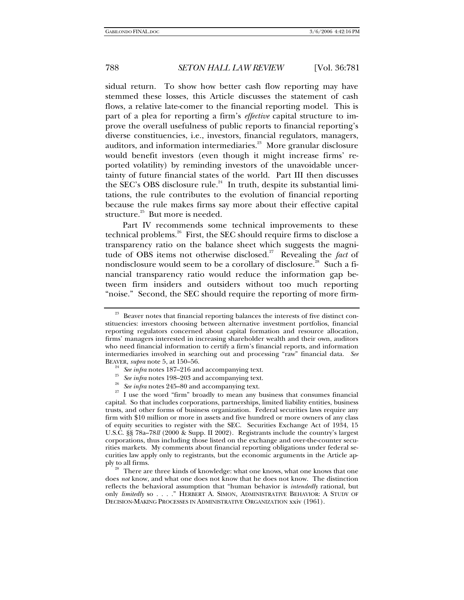sidual return. To show how better cash flow reporting may have stemmed these losses, this Article discusses the statement of cash flows, a relative late-comer to the financial reporting model. This is part of a plea for reporting a firm's *effective* capital structure to improve the overall usefulness of public reports to financial reporting's diverse constituencies, i.e., investors, financial regulators, managers, auditors, and information intermediaries.<sup>23</sup> More granular disclosure would benefit investors (even though it might increase firms' reported volatility) by reminding investors of the unavoidable uncertainty of future financial states of the world. Part III then discusses the SEC's OBS disclosure rule.<sup>24</sup> In truth, despite its substantial limitations, the rule contributes to the evolution of financial reporting because the rule makes firms say more about their effective capital structure.<sup>25</sup> But more is needed.

Part IV recommends some technical improvements to these technical problems.<sup>26</sup> First, the SEC should require firms to disclose a transparency ratio on the balance sheet which suggests the magnitude of OBS items not otherwise disclosed.<sup>27</sup> Revealing the *fact* of nondisclosure would seem to be a corollary of disclosure.<sup>28</sup> Such a financial transparency ratio would reduce the information gap between firm insiders and outsiders without too much reporting "noise." Second, the SEC should require the reporting of more firm-

- 
- 
- 

<sup>24</sup> See infra notes 187–216 and accompanying text.<br><sup>25</sup> See infra notes 198–203 and accompanying text.<br><sup>26</sup> See infra notes 245–80 and accompanying text.<br><sup>27</sup> I use the word "firm" broadly to mean any business that consu capital. So that includes corporations, partnerships, limited liability entities, business trusts, and other forms of business organization. Federal securities laws require any firm with \$10 million or more in assets and five hundred or more owners of any class of equity securities to register with the SEC. Securities Exchange Act of 1934, 15 U.S.C. §§ 78a–78*ll* (2000 & Supp. II 2002). Registrants include the country's largest corporations, thus including those listed on the exchange and over-the-counter securities markets. My comments about financial reporting obligations under federal securities law apply only to registrants, but the economic arguments in the Article ap-

 $28$  There are three kinds of knowledge: what one knows, what one knows that one does *not* know, and what one does not know that he does not know. The distinction reflects the behavioral assumption that "human behavior is *intendedly* rational, but only *limitedly* so . . . ." HERBERT A. SIMON, ADMINISTRATIVE BEHAVIOR: A STUDY OF DECISION-MAKING PROCESSES IN ADMINISTRATIVE ORGANIZATION xxiv (1961).

<sup>&</sup>lt;sup>23</sup> Beaver notes that financial reporting balances the interests of five distinct constituencies: investors choosing between alternative investment portfolios, financial reporting regulators concerned about capital formation and resource allocation, firms' managers interested in increasing shareholder wealth and their own, auditors who need financial information to certify a firm's financial reports, and information intermediaries involved in searching out and processing "raw" financial data. *See*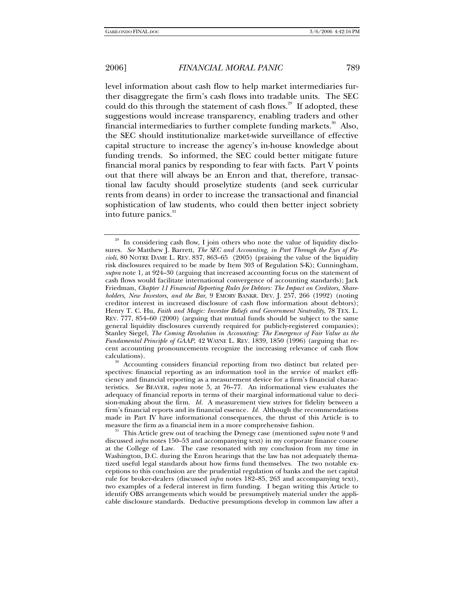level information about cash flow to help market intermediaries further disaggregate the firm's cash flows into tradable units. The SEC could do this through the statement of cash flows.<sup>29</sup> If adopted, these suggestions would increase transparency, enabling traders and other financial intermediaries to further complete funding markets.<sup>30</sup> Also, the SEC should institutionalize market-wide surveillance of effective capital structure to increase the agency's in-house knowledge about funding trends. So informed, the SEC could better mitigate future financial moral panics by responding to fear with facts. Part V points out that there will always be an Enron and that, therefore, transactional law faculty should proselytize students (and seek curricular rents from deans) in order to increase the transactional and financial sophistication of law students, who could then better inject sobriety into future panics.<sup>31</sup>

spectives: financial reporting as an information tool in the service of market efficiency and financial reporting as a measurement device for a firm's financial characteristics. *See* BEAVER, *supra* note 5, at 76–77.An informational view evaluates the adequacy of financial reports in terms of their marginal informational value to decision-making about the firm. *Id.* A measurement view strives for fidelity between a firm's financial reports and its financial essence. *Id.* Although the recommendations made in Part IV have informational consequences, the thrust of this Article is to measure the firm as a financial item in a more comprehensive fashion. 31 This Article grew out of teaching the Dynegy case (mentioned *supra* note 9 and

<sup>&</sup>lt;sup>29</sup> In considering cash flow, I join others who note the value of liquidity disclosures. *See* Matthew J. Barrett, *The SEC and Accounting, in Part Through the Eyes of Pacioli*, 80 NOTRE DAME L. REV. 837, 863–65 (2005) (praising the value of the liquidity risk disclosures required to be made by Item 303 of Regulation S-K); Cunningham, *supra* note 1, at 924–30 (arguing that increased accounting focus on the statement of cash flows would facilitate international convergence of accounting standards); Jack Friedman, *Chapter 11 Financial Reporting Rules for Debtors: The Impact on Creditors, Shareholders, New Investors, and the Bar*, 9 EMORY BANKR. DEV. J. 257, 266 (1992) (noting creditor interest in increased disclosure of cash flow information about debtors); Henry T. C. Hu, *Faith and Magic: Investor Beliefs and Government Neutrality*, 78 TEX. L. REV. 777, 854–60 (2000) (arguing that mutual funds should be subject to the same general liquidity disclosures currently required for publicly-registered companies); Stanley Siegel, *The Coming Revolution in Accounting: The Emergence of Fair Value as the Fundamental Principle of GAAP*, 42 WAYNE L. REV. 1839, 1850 (1996) (arguing that recent accounting pronouncements recognize the increasing relevance of cash flow calculations). 30 Accounting considers financial reporting from two distinct but related per-

discussed *infra* notes 150–53 and accompanying text) in my corporate finance course at the College of Law. The case resonated with my conclusion from my time in Washington, D.C. during the Enron hearings that the law has not adequately thematized useful legal standards about how firms fund themselves. The two notable exceptions to this conclusion are the prudential regulation of banks and the net capital rule for broker-dealers (discussed *infra* notes 182–85, 263 and accompanying text), two examples of a federal interest in firm funding. I began writing this Article to identify OBS arrangements which would be presumptively material under the applicable disclosure standards. Deductive presumptions develop in common law after a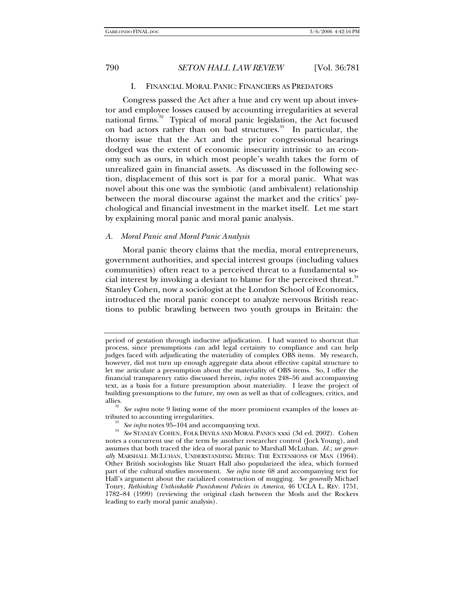### I. FINANCIAL MORAL PANIC: FINANCIERS AS PREDATORS

Congress passed the Act after a hue and cry went up about investor and employee losses caused by accounting irregularities at several national firms.<sup>32</sup> Typical of moral panic legislation, the Act focused on bad actors rather than on bad structures.<sup>33</sup> In particular, the thorny issue that the Act and the prior congressional hearings dodged was the extent of economic insecurity intrinsic to an economy such as ours, in which most people's wealth takes the form of unrealized gain in financial assets. As discussed in the following section, displacement of this sort is par for a moral panic. What was novel about this one was the symbiotic (and ambivalent) relationship between the moral discourse against the market and the critics' psychological and financial investment in the market itself. Let me start by explaining moral panic and moral panic analysis.

### *A. Moral Panic and Moral Panic Analysis*

Moral panic theory claims that the media, moral entrepreneurs, government authorities, and special interest groups (including values communities) often react to a perceived threat to a fundamental social interest by invoking a deviant to blame for the perceived threat.<sup>34</sup> Stanley Cohen, now a sociologist at the London School of Economics, introduced the moral panic concept to analyze nervous British reactions to public brawling between two youth groups in Britain: the

period of gestation through inductive adjudication. I had wanted to shortcut that process, since presumptions can add legal certainty to compliance and can help judges faced with adjudicating the materiality of complex OBS items. My research, however, did not turn up enough aggregate data about effective capital structure to let me articulate a presumption about the materiality of OBS items. So, I offer the financial transparency ratio discussed herein, *infra* notes 248–56 and accompanying text, as a basis for a future presumption about materiality. I leave the project of building presumptions to the future, my own as well as that of colleagues, critics, and

allies.<br><sup>32</sup> See *supra* note 9 listing some of the more prominent examples of the losses at-<br>tributed to accounting irregularities.

tributed to accounting irregularities. 33 *See infra* notes 95–104 and accompanying text. 34 *See* STANLEY COHEN, FOLK DEVILS AND MORAL PANICS xxxi (3d ed. 2002). Cohen notes a concurrent use of the term by another researcher control (Jock Young), and assumes that both traced the idea of moral panic to Marshall McLuhan. *Id.*; *see generally* MARSHALL MCLUHAN, UNDERSTANDING MEDIA: THE EXTENSIONS OF MAN (1964). Other British sociologists like Stuart Hall also popularized the idea, which formed part of the cultural studies movement. *See infra* note 68 and accompanying text for Hall's argument about the racialized construction of mugging. *See generally* Michael Tonry, *Rethinking Unthinkable Punishment Policies in America*, 46 UCLA L. REV. 1751, 1782–84 (1999) (reviewing the original clash between the Mods and the Rockers leading to early moral panic analysis).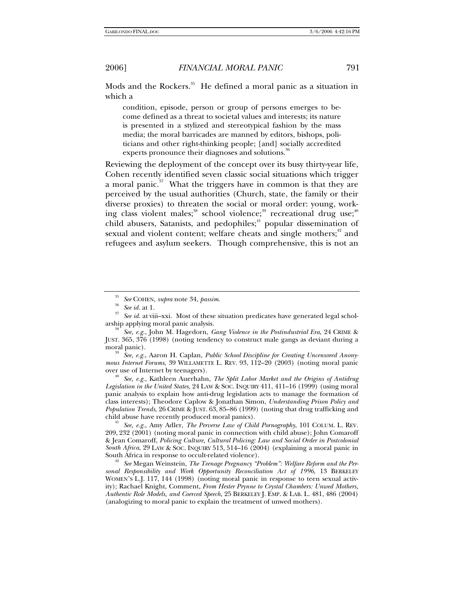Mods and the Rockers.<sup>35</sup> He defined a moral panic as a situation in which a

condition, episode, person or group of persons emerges to become defined as a threat to societal values and interests; its nature is presented in a stylized and stereotypical fashion by the mass media; the moral barricades are manned by editors, bishops, politicians and other right-thinking people; [and] socially accredited experts pronounce their diagnoses and solutions.<sup>36</sup>

Reviewing the deployment of the concept over its busy thirty-year life, Cohen recently identified seven classic social situations which trigger a moral panic. $37$  What the triggers have in common is that they are perceived by the usual authorities (Church, state, the family or their diverse proxies) to threaten the social or moral order: young, working class violent males;<sup>38</sup> school violence;<sup>39</sup> recreational drug use;<sup>40</sup> child abusers, Satanists, and pedophiles;<sup>41</sup> popular dissemination of sexual and violent content; welfare cheats and single mothers;<sup>42</sup> and refugees and asylum seekers. Though comprehensive, this is not an

<sup>40</sup> See, e.g., Kathleen Auerhahn, *The Split Labor Market and the Origins of Antidrug Legislation in the United States*, 24 LAW & SOC. INQUIRY 411, 411–16 (1999) (using moral panic analysis to explain how anti-drug legislation acts to manage the formation of class interests); Theodore Caplow & Jonathan Simon, *Understanding Prison Policy and Population Trends*, 26 CRIME & JUST. 63, 85–86 (1999) (noting that drug trafficking and child abuse have recently produced moral panics).

See, e.g., Amy Adler, *The Perverse Law of Child Pornography*, 101 COLUM. L. REV. 209, 232 (2001) (noting moral panic in connection with child abuse); John Comaroff & Jean Comaroff, *Policing Culture, Cultural Policing: Law and Social Order in Postcolonial South Africa*, 29 LAW & SOC. INQUIRY 513, 514–16 (2004) (explaining a moral panic in

South Africa in response to occult-related violence). 42 *See* Megan Weinstein, *The Teenage Pregnancy "Problem": Welfare Reform and the Personal Responsibility and Work Opportunity Reconciliation Act of 1996*, 13 BERKELEY WOMEN'S L.J. 117, 144 (1998) (noting moral panic in response to teen sexual activity); Rachael Knight, Comment, *From Hester Prynne to Crystal Chambers: Unwed Mothers, Authentic Role Models, and Coerced Speech*, 25 BERKELEY J. EMP. & LAB. L. 481, 486 (2004) (analogizing to moral panic to explain the treatment of unwed mothers).

<sup>&</sup>lt;sup>35</sup> See COHEN, *supra* note 34, *passim.*<br><sup>36</sup> See *id.* at 1. *See id.* at viii–xxi. Most of these situation predicates have generated legal scholarship applying moral panic analysis.

arship applying moral panic analysis. 38 *See, e.g.*, John M. Hagedorn, *Gang Violence in the Postindustrial Era*, 24 CRIME & JUST. 365, 376 (1998) (noting tendency to construct male gangs as deviant during a

moral panic).<br><sup>39</sup> See, e.g., Aaron H. Caplan, *Public School Discipline for Creating Uncensored Anonymous Internet Forums*, 39 WILLAMETTE L. REV. 93, 112–20 (2003) (noting moral panic over use of Internet by teenagers).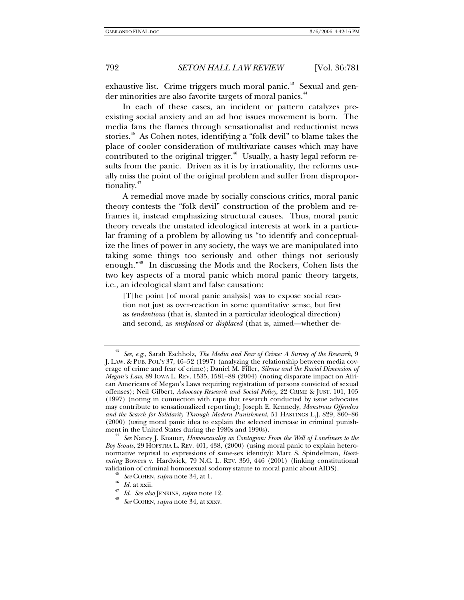exhaustive list. Crime triggers much moral panic.<sup>43</sup> Sexual and gender minorities are also favorite targets of moral panics.<sup>44</sup>

In each of these cases, an incident or pattern catalyzes preexisting social anxiety and an ad hoc issues movement is born. The media fans the flames through sensationalist and reductionist news stories.<sup>45</sup> As Cohen notes, identifying a "folk devil" to blame takes the place of cooler consideration of multivariate causes which may have contributed to the original trigger.<sup> $46$ </sup> Usually, a hasty legal reform results from the panic. Driven as it is by irrationality, the reforms usually miss the point of the original problem and suffer from disproportionality.<sup>47</sup>

A remedial move made by socially conscious critics, moral panic theory contests the "folk devil" construction of the problem and reframes it, instead emphasizing structural causes. Thus, moral panic theory reveals the unstated ideological interests at work in a particular framing of a problem by allowing us "to identify and conceptualize the lines of power in any society, the ways we are manipulated into taking some things too seriously and other things not seriously enough."48 In discussing the Mods and the Rockers, Cohen lists the two key aspects of a moral panic which moral panic theory targets, i.e., an ideological slant and false causation:

[T]he point [of moral panic analysis] was to expose social reaction not just as over-reaction in some quantitative sense, but first as *tendentious* (that is, slanted in a particular ideological direction) and second, as *misplaced* or *displaced* (that is, aimed—whether de-

<sup>45</sup> See COHEN, supra note 34, at 1.<br><sup>46</sup> Id. at xxii.<br><sup>47</sup> Id. See also JENKINS, supra note 12.<br><sup>48</sup> See COHEN, supra note 34, at xxxv.

<sup>43</sup> *See, e.g.*, Sarah Eschholz, *The Media and Fear of Crime: A Survey of the Research*, 9 J. LAW. & PUB. POL'Y 37, 46–52 (1997) (analyzing the relationship between media coverage of crime and fear of crime); Daniel M. Filler, *Silence and the Racial Dimension of Megan's Law*, 89 IOWA L. REV. 1535, 1581–88 (2004) (noting disparate impact on African Americans of Megan's Laws requiring registration of persons convicted of sexual offenses); Neil Gilbert, *Advocacy Research and Social Policy*, 22 CRIME & JUST. 101, 105 (1997) (noting in connection with rape that research conducted by issue advocates may contribute to sensationalized reporting); Joseph E. Kennedy, *Monstrous Offenders and the Search for Solidarity Through Modern Punishment*, 51 HASTINGS L.J. 829, 860–86 (2000) (using moral panic idea to explain the selected increase in criminal punish-

See Nancy J. Knauer, *Homosexuality as Contagion: From the Well of Loneliness to the Boy Scouts*, 29 HOFSTRA L. REV. 401, 438, (2000) (using moral panic to explain heteronormative reprisal to expressions of same-sex identity); Marc S. Spindelman, *Reorienting* Bowers v. Hardwick, 79 N.C. L. REV. 359, 446 (2001) (linking constitutional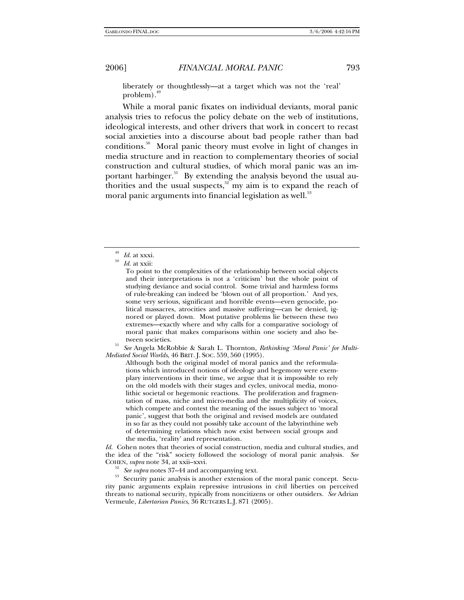liberately or thoughtlessly—at a target which was not the 'real'  $problem).<sup>9</sup>$ 

While a moral panic fixates on individual deviants, moral panic analysis tries to refocus the policy debate on the web of institutions, ideological interests, and other drivers that work in concert to recast social anxieties into a discourse about bad people rather than bad conditions.<sup>50</sup> Moral panic theory must evolve in light of changes in media structure and in reaction to complementary theories of social construction and cultural studies, of which moral panic was an important harbinger.<sup>51</sup> By extending the analysis beyond the usual authorities and the usual suspects,<sup>52</sup> my aim is to expand the reach of moral panic arguments into financial legislation as well.<sup>53</sup>

To point to the complexities of the relationship between social objects and their interpretations is not a 'criticism' but the whole point of studying deviance and social control. Some trivial and harmless forms of rule-breaking can indeed be 'blown out of all proportion.' And yes, some very serious, significant and horrible events—even genocide, political massacres, atrocities and massive suffering—can be denied, ignored or played down. Most putative problems lie between these two extremes—exactly where and why calls for a comparative sociology of moral panic that makes comparisons within one society and also between societies. 51 *See* Angela McRobbie & Sarah L. Thornton, *Rethinking 'Moral Panic' for Multi-*

*Mediated Social Worlds*, 46 BRIT. J. SOC. 559, 560 (1995).

Although both the original model of moral panics and the reformulations which introduced notions of ideology and hegemony were exemplary interventions in their time, we argue that it is impossible to rely on the old models with their stages and cycles, univocal media, monolithic societal or hegemonic reactions. The proliferation and fragmentation of mass, niche and micro-media and the multiplicity of voices, which compete and contest the meaning of the issues subject to 'moral panic', suggest that both the original and revised models are outdated in so far as they could not possibly take account of the labyrinthine web of determining relations which now exist between social groups and the media, 'reality' and representation.

*Id.* Cohen notes that theories of social construction, media and cultural studies, and the idea of the "risk" society followed the sociology of moral panic analysis. *See* 

<sup>52</sup> See *supra* notes 37–44 and accompanying text.<br><sup>53</sup> Security panic analysis is another extension of the moral panic concept. Security panic arguments explain repressive intrusions in civil liberties on perceived threats to national security, typically from noncitizens or other outsiders. *See* Adrian Vermeule, *Libertarian Panics*, 36 RUTGERS L.J. 871 (2005).

<sup>49</sup> *Id.* at xxxi. 50 *Id.* at xxii: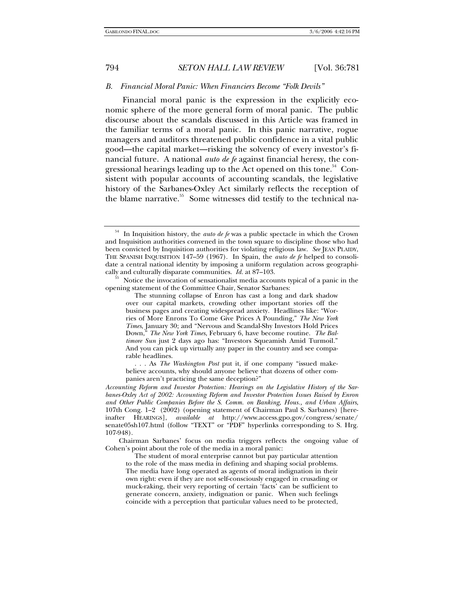#### *B. Financial Moral Panic: When Financiers Become "Folk Devils"*

Financial moral panic is the expression in the explicitly economic sphere of the more general form of moral panic. The public discourse about the scandals discussed in this Article was framed in the familiar terms of a moral panic. In this panic narrative, rogue managers and auditors threatened public confidence in a vital public good—the capital market—risking the solvency of every investor's financial future. A national *auto de fe* against financial heresy, the congressional hearings leading up to the Act opened on this tone.<sup>54</sup> Consistent with popular accounts of accounting scandals, the legislative history of the Sarbanes-Oxley Act similarly reflects the reception of the blame narrative.<sup>55</sup> Some witnesses did testify to the technical na-

Chairman Sarbanes' focus on media triggers reflects the ongoing value of Cohen's point about the role of the media in a moral panic:

 The student of moral enterprise cannot but pay particular attention to the role of the mass media in defining and shaping social problems. The media have long operated as agents of moral indignation in their own right: even if they are not self-consciously engaged in crusading or muck-raking, their very reporting of certain 'facts' can be sufficient to generate concern, anxiety, indignation or panic. When such feelings coincide with a perception that particular values need to be protected,

<sup>54</sup> In Inquisition history, the *auto de fe* was a public spectacle in which the Crown and Inquisition authorities convened in the town square to discipline those who had been convicted by Inquisition authorities for violating religious law. *See* JEAN PLAIDY, THE SPANISH INQUISITION 147–59 (1967). In Spain, the *auto de fe* helped to consolidate a central national identity by imposing a uniform regulation across geographically and culturally disparate communities. *Id.* at 87–103.<br><sup>55</sup> Notice the invocation of sensationalist media accounts typical of a panic in the

opening statement of the Committee Chair, Senator Sarbanes:

The stunning collapse of Enron has cast a long and dark shadow over our capital markets, crowding other important stories off the business pages and creating widespread anxiety. Headlines like: "Worries of More Enrons To Come Give Prices A Pounding," *The New York Times*, January 30; and "Nervous and Scandal-Shy Investors Hold Prices Down," *The New York Times*, February 6, have become routine. *The Baltimore Sun* just 2 days ago has: "Investors Squeamish Amid Turmoil." And you can pick up virtually any paper in the country and see comparable headlines.

 <sup>. . .</sup> As *The Washington Post* put it, if one company "issued makebelieve accounts, why should anyone believe that dozens of other companies aren't practicing the same deception?"

*Accounting Reform and Investor Protection: Hearings on the Legislative History of the Sarbanes-Oxley Act of 2002: Accounting Reform and Investor Protection Issues Raised by Enron and Other Public Companies Before the S. Comm. on Banking, Hous., and Urban Affairs*, 107th Cong. 1–2 (2002) (opening statement of Chairman Paul S. Sarbanes) [hereinafter HEARINGS], *available at* http://www.access.gpo.gov/congress/senate/ senate05sh107.html (follow "TEXT" or "PDF" hyperlinks corresponding to S. Hrg. 107-948).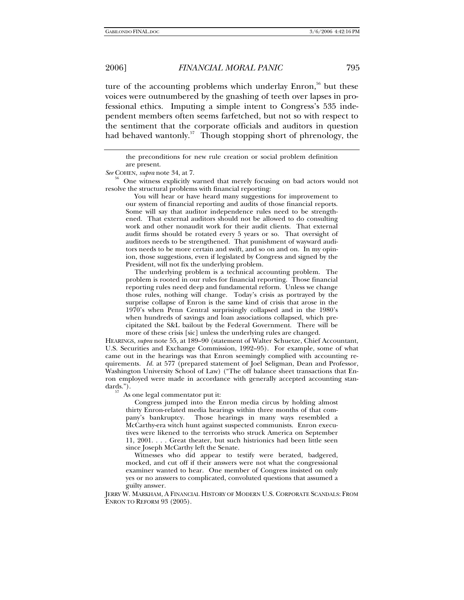ture of the accounting problems which underlay Enron,<sup>56</sup> but these voices were outnumbered by the gnashing of teeth over lapses in professional ethics. Imputing a simple intent to Congress's 535 independent members often seems farfetched, but not so with respect to the sentiment that the corporate officials and auditors in question had behaved wantonly.<sup>57</sup> Though stopping short of phrenology, the

*See* COHEN, *supra* note 34, at 7.<br><sup>56</sup> One witness explicitly warned that merely focusing on bad actors would not resolve the structural problems with financial reporting:

 You will hear or have heard many suggestions for improvement to our system of financial reporting and audits of those financial reports. Some will say that auditor independence rules need to be strengthened. That external auditors should not be allowed to do consulting work and other nonaudit work for their audit clients. That external audit firms should be rotated every 5 years or so. That oversight of auditors needs to be strengthened. That punishment of wayward auditors needs to be more certain and swift, and so on and on. In my opinion, those suggestions, even if legislated by Congress and signed by the President, will not fix the underlying problem.

 The underlying problem is a technical accounting problem. The problem is rooted in our rules for financial reporting. Those financial reporting rules need deep and fundamental reform. Unless we change those rules, nothing will change. Today's crisis as portrayed by the surprise collapse of Enron is the same kind of crisis that arose in the 1970's when Penn Central surprisingly collapsed and in the 1980's when hundreds of savings and loan associations collapsed, which precipitated the S&L bailout by the Federal Government. There will be more of these crisis [sic] unless the underlying rules are changed.

HEARINGS, *supra* note 55, at 189–90 (statement of Walter Schuetze, Chief Accountant, U.S. Securities and Exchange Commission, 1992–95). For example, some of what came out in the hearings was that Enron seemingly complied with accounting requirements. *Id.* at 577 (prepared statement of Joel Seligman, Dean and Professor, Washington University School of Law) ("The off balance sheet transactions that Enron employed were made in accordance with generally accepted accounting stan-

As one legal commentator put it:

 Congress jumped into the Enron media circus by holding almost thirty Enron-related media hearings within three months of that company's bankruptcy. Those hearings in many ways resembled a McCarthy-era witch hunt against suspected communists. Enron executives were likened to the terrorists who struck America on September 11, 2001. . . . Great theater, but such histrionics had been little seen since Joseph McCarthy left the Senate.

 Witnesses who did appear to testify were berated, badgered, mocked, and cut off if their answers were not what the congressional examiner wanted to hear. One member of Congress insisted on only yes or no answers to complicated, convoluted questions that assumed a guilty answer.

JERRY W. MARKHAM, A FINANCIAL HISTORY OF MODERN U.S. CORPORATE SCANDALS: FROM ENRON TO REFORM 93 (2005).

the preconditions for new rule creation or social problem definition are present.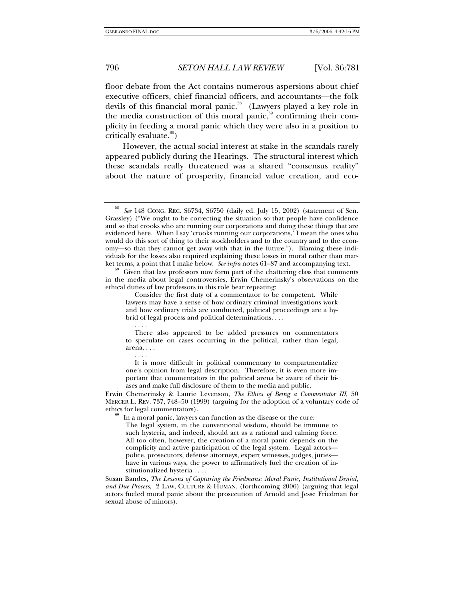. . . .

796 *SETON HALL LAW REVIEW* [Vol. 36:781

floor debate from the Act contains numerous aspersions about chief executive officers, chief financial officers, and accountants—the folk devils of this financial moral panic.<sup>58</sup> (Lawyers played a key role in the media construction of this moral panic,<sup>59</sup> confirming their complicity in feeding a moral panic which they were also in a position to critically evaluate. $60$ 

However, the actual social interest at stake in the scandals rarely appeared publicly during the Hearings. The structural interest which these scandals really threatened was a shared "consensus reality" about the nature of prosperity, financial value creation, and eco-

<sup>58</sup> *See* 148 CONG. REC. S6734, S6750 (daily ed. July 15, 2002) (statement of Sen. Grassley) ("We ought to be correcting the situation so that people have confidence and so that crooks who are running our corporations and doing these things that are evidenced here. When I say 'crooks running our corporations,' I mean the ones who would do this sort of thing to their stockholders and to the country and to the economy—so that they cannot get away with that in the future."). Blaming these individuals for the losses also required explaining these losses in moral rather than mar-<br>ket terms, a point that I make below. See infra notes  $61-87$  and accompanying text.

Given that law professors now form part of the chattering class that comments in the media about legal controversies, Erwin Chemerinsky's observations on the ethical duties of law professors in this role bear repeating:

Consider the first duty of a commentator to be competent. While lawyers may have a sense of how ordinary criminal investigations work and how ordinary trials are conducted, political proceedings are a hybrid of legal process and political determinations. . . .

 <sup>. . . .</sup>  There also appeared to be added pressures on commentators to speculate on cases occurring in the political, rather than legal, arena. . . .

It is more difficult in political commentary to compartmentalize one's opinion from legal description. Therefore, it is even more important that commentators in the political arena be aware of their biases and make full disclosure of them to the media and public.

Erwin Chemerinsky & Laurie Levenson, *The Ethics of Being a Commentator III*, 50 MERCER L. REV. 737, 748–50 (1999) (arguing for the adoption of a voluntary code of ethics for legal commentators).<br><sup>60</sup> In a moral panic, lawyers can function as the disease or the cure:

The legal system, in the conventional wisdom, should be immune to such hysteria, and indeed, should act as a rational and calming force. All too often, however, the creation of a moral panic depends on the complicity and active participation of the legal system. Legal actors police, prosecutors, defense attorneys, expert witnesses, judges, juries have in various ways, the power to affirmatively fuel the creation of institutionalized hysteria . . . .

Susan Bandes, *The Lessons of Capturing the Friedmans: Moral Panic, Institutional Denial, and Due Process*, 2 LAW, CULTURE & HUMAN. (forthcoming 2006) (arguing that legal actors fueled moral panic about the prosecution of Arnold and Jesse Friedman for sexual abuse of minors).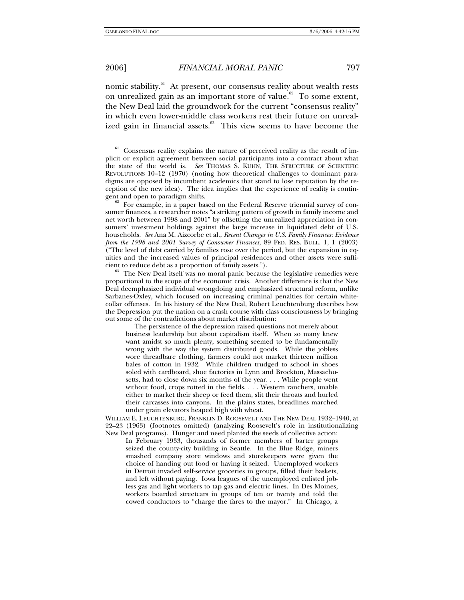nomic stability.<sup>61</sup> At present, our consensus reality about wealth rests on unrealized gain as an important store of value.<sup>62</sup> To some extent, the New Deal laid the groundwork for the current "consensus reality" in which even lower-middle class workers rest their future on unrealized gain in financial assets.<sup>63</sup> This view seems to have become the

For example, in a paper based on the Federal Reserve triennial survey of consumer finances, a researcher notes "a striking pattern of growth in family income and net worth between 1998 and 2001" by offsetting the unrealized appreciation in consumers' investment holdings against the large increase in liquidated debt of U.S. households. *See* Ana M. Aizcorbe et al., *Recent Changes in U.S. Family Finances: Evidence from the 1998 and 2001 Survey of Consumer Finances*, 89 FED. RES. BULL. 1, 1 (2003) ("The level of debt carried by families rose over the period, but the expansion in equities and the increased values of principal residences and other assets were sufficient to reduce debt as a proportion of family assets.").<br><sup>63</sup> The New Deal itself was no moral panic because the legislative remedies were

proportional to the scope of the economic crisis. Another difference is that the New Deal deemphasized individual wrongdoing and emphasized structural reform, unlike Sarbanes-Oxley, which focused on increasing criminal penalties for certain whitecollar offenses. In his history of the New Deal, Robert Leuchtenburg describes how the Depression put the nation on a crash course with class consciousness by bringing out some of the contradictions about market distribution:

 The persistence of the depression raised questions not merely about business leadership but about capitalism itself. When so many knew want amidst so much plenty, something seemed to be fundamentally wrong with the way the system distributed goods. While the jobless wore threadbare clothing, farmers could not market thirteen million bales of cotton in 1932. While children trudged to school in shoes soled with cardboard, shoe factories in Lynn and Brockton, Massachusetts, had to close down six months of the year. . . . While people went without food, crops rotted in the fields. . . . Western ranchers, unable either to market their sheep or feed them, slit their throats and hurled their carcasses into canyons. In the plains states, breadlines marched under grain elevators heaped high with wheat.

WILLIAM E. LEUCHTENBURG, FRANKLIN D. ROOSEVELT AND THE NEW DEAL 1932–1940, at 22–23 (1963) (footnotes omitted) (analyzing Roosevelt's role in institutionalizing New Deal programs). Hunger and need planted the seeds of collective action:

In February 1933, thousands of former members of barter groups seized the county-city building in Seattle. In the Blue Ridge, miners smashed company store windows and storekeepers were given the choice of handing out food or having it seized. Unemployed workers in Detroit invaded self-service groceries in groups, filled their baskets, and left without paying. Iowa leagues of the unemployed enlisted jobless gas and light workers to tap gas and electric lines. In Des Moines, workers boarded streetcars in groups of ten or twenty and told the cowed conductors to "charge the fares to the mayor." In Chicago, a

 $61$  Consensus reality explains the nature of perceived reality as the result of implicit or explicit agreement between social participants into a contract about what the state of the world is. *See* THOMAS S. KUHN, THE STRUCTURE OF SCIENTIFIC REVOLUTIONS 10–12 (1970) (noting how theoretical challenges to dominant paradigms are opposed by incumbent academics that stand to lose reputation by the reception of the new idea). The idea implies that the experience of reality is contin-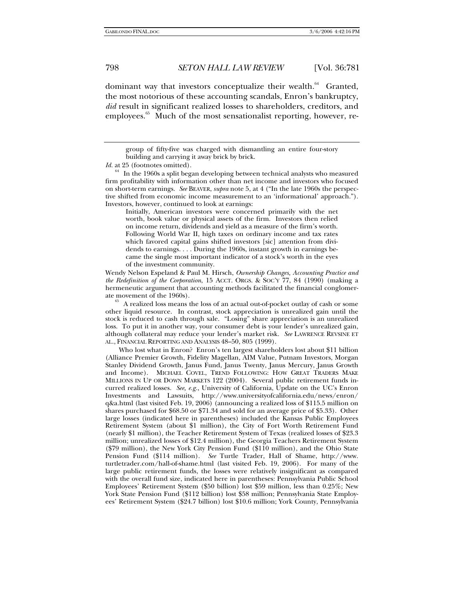dominant way that investors conceptualize their wealth. $64$  Granted, the most notorious of these accounting scandals, Enron's bankruptcy, *did* result in significant realized losses to shareholders, creditors, and employees. $65$  Much of the most sensationalist reporting, however, re-

*Id.* at 25 (footnotes omitted).

In the 1960s a split began developing between technical analysts who measured firm profitability with information other than net income and investors who focused on short-term earnings. *See* BEAVER, *supra* note 5, at 4 ("In the late 1960s the perspective shifted from economic income measurement to an 'informational' approach."). Investors, however, continued to look at earnings:

Initially, American investors were concerned primarily with the net worth, book value or physical assets of the firm. Investors then relied on income return, dividends and yield as a measure of the firm's worth. Following World War II, high taxes on ordinary income and tax rates which favored capital gains shifted investors [sic] attention from dividends to earnings. . . . During the 1960s, instant growth in earnings became the single most important indicator of a stock's worth in the eyes of the investment community.

Wendy Nelson Espeland & Paul M. Hirsch, *Ownership Changes, Accounting Practice and the Redefinition of the Corporation*, 15 ACCT. ORGS. & SOC'Y 77, 84 (1990) (making a hermeneutic argument that accounting methods facilitated the financial conglomer-

A realized loss means the loss of an actual out-of-pocket outlay of cash or some other liquid resource. In contrast, stock appreciation is unrealized gain until the stock is reduced to cash through sale. "Losing" share appreciation is an unrealized loss. To put it in another way, your consumer debt is your lender's unrealized gain, although collateral may reduce your lender's market risk. *See* LAWRENCE REVSINE ET AL., FINANCIAL REPORTING AND ANALYSIS 48–50, 805 (1999).

Who lost what in Enron? Enron's ten largest shareholders lost about \$11 billion (Alliance Premier Growth, Fidelity Magellan, AIM Value, Putnam Investors, Morgan Stanley Dividend Growth, Janus Fund, Janus Twenty, Janus Mercury, Janus Growth and Income). MICHAEL COVEL, TREND FOLLOWING: HOW GREAT TRADERS MAKE MILLIONS IN UP OR DOWN MARKETS 122 (2004). Several public retirement funds incurred realized losses. *See, e.g.*, University of California, Update on the UC's Enron Investments and Lawsuits, http://www.universityofcalifornia.edu/news/enron/ q&a.html (last visited Feb. 19, 2006) (announcing a realized loss of \$115.5 million on shares purchased for \$68.50 or \$71.34 and sold for an average price of \$5.33). Other large losses (indicated here in parentheses) included the Kansas Public Employees Retirement System (about \$1 million), the City of Fort Worth Retirement Fund (nearly \$1 million), the Teacher Retirement System of Texas (realized losses of \$23.3 million; unrealized losses of \$12.4 million), the Georgia Teachers Retirement System (\$79 million), the New York City Pension Fund (\$110 million), and the Ohio State Pension Fund (\$114 million). *See* Turtle Trader, Hall of Shame, http://www. turtletrader.com/hall-of-shame.html (last visited Feb. 19, 2006). For many of the large public retirement funds, the losses were relatively insignificant as compared with the overall fund size, indicated here in parentheses: Pennsylvania Public School Employees' Retirement System (\$50 billion) lost \$59 million, less than 0.25%; New York State Pension Fund (\$112 billion) lost \$58 million; Pennsylvania State Employees' Retirement System (\$24.7 billion) lost \$10.6 million; York County, Pennsylvania

group of fifty-five was charged with dismantling an entire four-story building and carrying it away brick by brick.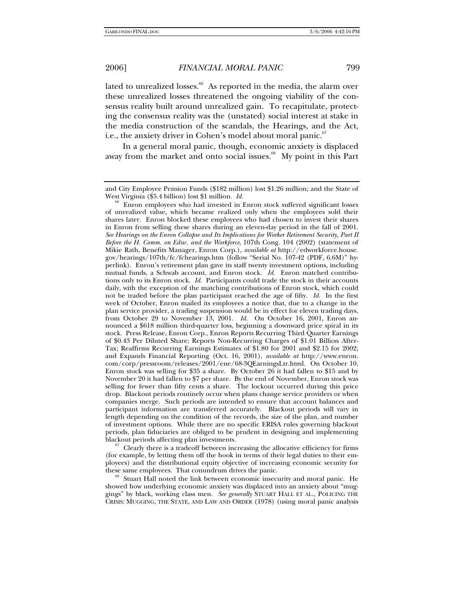lated to unrealized losses.<sup>66</sup> As reported in the media, the alarm over these unrealized losses threatened the ongoing viability of the consensus reality built around unrealized gain. To recapitulate, protecting the consensus reality was the (unstated) social interest at stake in the media construction of the scandals, the Hearings, and the Act, i.e., the anxiety driver in Cohen's model about moral panic.<sup>87</sup>

In a general moral panic, though, economic anxiety is displaced away from the market and onto social issues. $68$  My point in this Part

(for example, by letting them off the hook in terms of their legal duties to their employees) and the distributional equity objective of increasing economic security for

Stuart Hall noted the link between economic insecurity and moral panic. He showed how underlying economic anxiety was displaced into an anxiety about "muggings" by black, working class men. *See generally* STUART HALL ET AL., POLICING THE CRISIS: MUGGING, THE STATE, AND LAW AND ORDER (1978) (using moral panic analysis

and City Employee Pension Funds (\$182 million) lost \$1.26 million; and the State of West Virginia (\$5.4 billion) lost \$1 million. *Id.* 

Enron employees who had invested in Enron stock suffered significant losses of unrealized value, which became realized only when the employees sold their shares later. Enron blocked these employees who had chosen to invest their shares in Enron from selling these shares during an eleven-day period in the fall of 2001. *See Hearings on the Enron Collapse and Its Implications for Worker Retirement Security, Part II Before the H. Comm. on Educ. and the Workforce*, 107th Cong. 104 (2002) (statement of Mikie Rath, Benefits Manager, Enron Corp.), *available at* http://edworkforce.house. gov/hearings/107th/fc/fchearings.htm (follow "Serial No. 107-42 (PDF, 6.6M)" hyperlink). Enron's retirement plan gave its staff twenty investment options, including mutual funds, a Schwab account, and Enron stock. *Id.* Enron matched contributions only to its Enron stock. *Id.* Participants could trade the stock in their accounts daily, with the exception of the matching contributions of Enron stock, which could not be traded before the plan participant reached the age of fifty. *Id.* In the first week of October, Enron mailed its employees a notice that, due to a change in the plan service provider, a trading suspension would be in effect for eleven trading days, from October 29 to November 13, 2001. *Id.* On October 16, 2001, Enron announced a \$618 million third-quarter loss, beginning a downward price spiral in its stock. Press Release, Enron Corp., Enron Reports Recurring Third Quarter Earnings of \$0.43 Per Diluted Share; Reports Non-Recurring Charges of \$1.01 Billion After-Tax; Reaffirms Recurring Earnings Estimates of \$1.80 for 2001 and \$2.15 for 2002; and Expands Financial Reporting (Oct. 16, 2001), *available at* http://www.enron. com/corp/pressroom/releases/2001/ene/68-3QEarningsLtr.html. On October 10, Enron stock was selling for \$35 a share. By October 26 it had fallen to \$15 and by November 20 it had fallen to \$7 per share. By the end of November, Enron stock was selling for fewer than fifty cents a share. The lockout occurred during this price drop. Blackout periods routinely occur when plans change service providers or when companies merge. Such periods are intended to ensure that account balances and participant information are transferred accurately. Blackout periods will vary in length depending on the condition of the records, the size of the plan, and number of investment options. While there are no specific ERISA rules governing blackout periods, plan fiduciaries are obliged to be prudent in designing and implementing blackout periods affecting plan investments.<br><sup>67</sup> Clearly there is a tradeoff between increasing the allocative efficiency for firms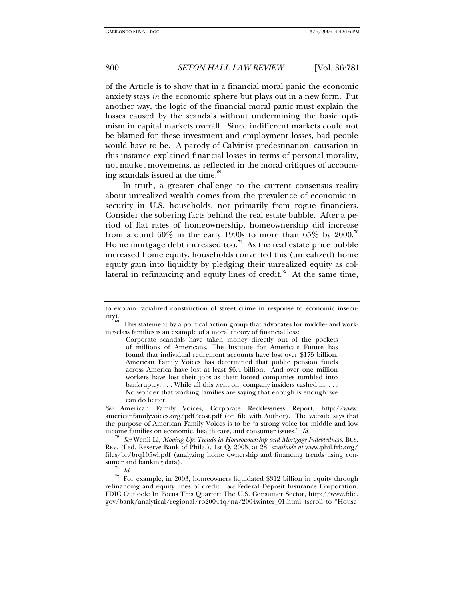of the Article is to show that in a financial moral panic the economic anxiety stays *in* the economic sphere but plays out in a new form. Put another way, the logic of the financial moral panic must explain the losses caused by the scandals without undermining the basic optimism in capital markets overall. Since indifferent markets could not be blamed for these investment and employment losses, bad people would have to be. A parody of Calvinist predestination, causation in this instance explained financial losses in terms of personal morality, not market movements, as reflected in the moral critiques of accounting scandals issued at the time.<sup>6</sup>

In truth, a greater challenge to the current consensus reality about unrealized wealth comes from the prevalence of economic insecurity in U.S. households, not primarily from rogue financiers. Consider the sobering facts behind the real estate bubble. After a period of flat rates of homeownership, homeownership did increase from around  $60\%$  in the early 1990s to more than  $65\%$  by  $2000.^{^{70}}$ Home mortgage debt increased too.<sup>71</sup> As the real estate price bubble increased home equity, households converted this (unrealized) home equity gain into liquidity by pledging their unrealized equity as collateral in refinancing and equity lines of credit.<sup>72</sup> At the same time,

Corporate scandals have taken money directly out of the pockets of millions of Americans. The Institute for America's Future has found that individual retirement accounts have lost over \$175 billion. American Family Voices has determined that public pension funds across America have lost at least \$6.4 billion. And over one million workers have lost their jobs as their looted companies tumbled into bankruptcy. . . . While all this went on, company insiders cashed in. . . . No wonder that working families are saying that enough is enough: we can do better.

*See* American Family Voices, Corporate Recklessness Report, http://www. americanfamilyvoices.org/pdf/cost.pdf (on file with Author). The website says that the purpose of American Family Voices is to be "a strong voice for middle and low income families on economic, health care, and consumer issues." *Id.* <sup>70</sup> *See* Wenli Li, *Moving Up: Trends in Homeownership and Mortgage Indebtedness*, BUS.

REV. (Fed. Reserve Bank of Phila.), 1st Q. 2005, at 28, *available at* www.phil.frb.org/ files/br/brq105wl.pdf (analyzing home ownership and financing trends using consumer and banking data).<br> $\frac{71}{72}$  *Id.*<br> $\frac{72}{72}$  For example, in 200

72 For example, in 2003, homeowners liquidated \$312 billion in equity through refinancing and equity lines of credit. *See* Federal Deposit Insurance Corporation, FDIC Outlook: In Focus This Quarter: The U.S. Consumer Sector, http://www.fdic. gov/bank/analytical/regional/ro20044q/na/2004winter\_01.html (scroll to "House-

to explain racialized construction of street crime in response to economic insecurity).

This statement by a political action group that advocates for middle- and working-class families is an example of a moral theory of financial loss: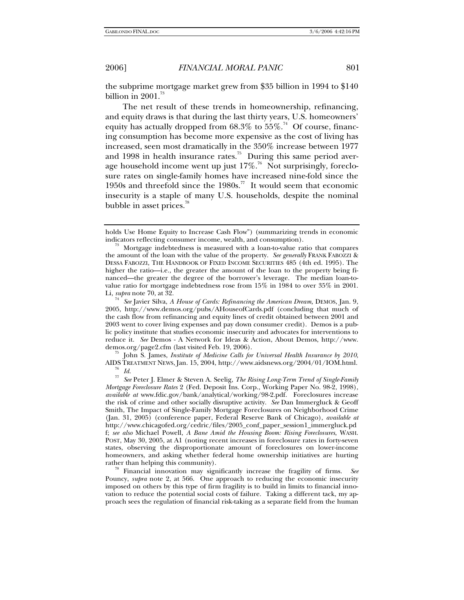the subprime mortgage market grew from \$35 billion in 1994 to \$140 billion in  $2001.^{^{73}}$ 

The net result of these trends in homeownership, refinancing, and equity draws is that during the last thirty years, U.S. homeowners' equity has actually dropped from  $68.3\%$  to  $55\%$ .<sup>74</sup> Of course, financing consumption has become more expensive as the cost of living has increased, seen most dramatically in the 350% increase between 1977 and 1998 in health insurance rates.<sup>75</sup> During this same period average household income went up just  $17\%$ .<sup>76</sup> Not surprisingly, foreclosure rates on single-family homes have increased nine-fold since the 1950s and threefold since the  $1980s$ .<sup>77</sup> It would seem that economic insecurity is a staple of many U.S. households, despite the nominal bubble in asset prices.<sup>78</sup>

demos.org/page2.cfm (last visited Feb. 19, 2006).<br><sup>75</sup> John S. James, *Institute of Medicine Calls for Universal Health Insurance by 2010*, AIDS TREATMENT NEWS, Jan. 15, 2004, http://www.aidsnews.org/2004/01/IOM.html. 76 *Id.*

holds Use Home Equity to Increase Cash Flow") (summarizing trends in economic

indicators reflecting consumer income, wealth, and consumption). 73 Mortgage indebtedness is measured with a loan-to-value ratio that compares the amount of the loan with the value of the property. *See generally* FRANK FABOZZI & DESSA FABOZZI, THE HANDBOOK OF FIXED INCOME SECURITIES 485 (4th ed. 1995). The higher the ratio—i.e., the greater the amount of the loan to the property being financed—the greater the degree of the borrower's leverage. The median loan-tovalue ratio for mortgage indebtedness rose from 15% in 1984 to over 35% in 2001. Li, *supra* note 70, at 32. 74 *See* Javier Silva, *A House of Cards: Refinancing the American Dream,* DEMOS, Jan. 9,

<sup>2005,</sup> http://www.demos.org/pubs/AHouseofCards.pdf (concluding that much of the cash flow from refinancing and equity lines of credit obtained between 2001 and 2003 went to cover living expenses and pay down consumer credit). Demos is a public policy institute that studies economic insecurity and advocates for interventions to reduce it. *See* Demos - A Network for Ideas & Action, About Demos, http://www.

<sup>77</sup> *See* Peter J. Elmer & Steven A. Seelig, *The Rising Long-Term Trend of Single-Family Mortgage Foreclosure Rates* 2 (Fed. Deposit Ins. Corp., Working Paper No. 98-2, 1998), *available at* www.fdic.gov/bank/analytical/working/98-2.pdf. Foreclosures increase the risk of crime and other socially disruptive activity. *See* Dan Immergluck & Geoff Smith, The Impact of Single-Family Mortgage Foreclosures on Neighborhood Crime (Jan. 31, 2005) (conference paper, Federal Reserve Bank of Chicago), *available at*  http://www.chicagofed.org/cedric/files/2005\_conf\_paper\_session1\_immergluck.pd f; *see also* Michael Powell, *A Bane Amid the Housing Boom: Rising Foreclosures*, WASH. POST, May 30, 2005, at A1 (noting recent increases in foreclosure rates in forty-seven states, observing the disproportionate amount of foreclosures on lower-income homeowners, and asking whether federal home ownership initiatives are hurting

rather than helping this community). <sup>78</sup> Financial innovation may significantly increase the fragility of firms. Pouncy, *supra* note 2, at 566. One approach to reducing the economic insecurity imposed on others by this type of firm fragility is to build in limits to financial innovation to reduce the potential social costs of failure. Taking a different tack, my approach sees the regulation of financial risk-taking as a separate field from the human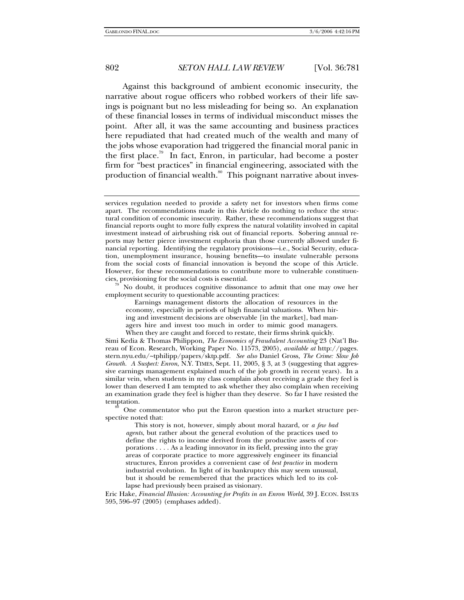Against this background of ambient economic insecurity, the narrative about rogue officers who robbed workers of their life savings is poignant but no less misleading for being so. An explanation of these financial losses in terms of individual misconduct misses the point. After all, it was the same accounting and business practices here repudiated that had created much of the wealth and many of the jobs whose evaporation had triggered the financial moral panic in the first place.<sup>79</sup> In fact, Enron, in particular, had become a poster firm for "best practices" in financial engineering, associated with the production of financial wealth.<sup>80</sup> This poignant narrative about inves-

employment security to questionable accounting practices:

 Earnings management distorts the allocation of resources in the economy, especially in periods of high financial valuations. When hiring and investment decisions are observable [in the market], bad managers hire and invest too much in order to mimic good managers. When they are caught and forced to restate, their firms shrink quickly.

Simi Kedia & Thomas Philippon, *The Economics of Fraudulent Accounting* 23 (Nat'l Bureau of Econ. Research, Working Paper No. 11573, 2005), *available at* http://pages. stern.nyu.edu/~tphilipp/papers/sktp.pdf. *See also* Daniel Gross, *The Crime: Slow Job Growth. A Suspect: Enron, N.Y. TIMES, Sept.* 11, 2005, § 3, at 3 (suggesting that aggressive earnings management explained much of the job growth in recent years). In a similar vein, when students in my class complain about receiving a grade they feel is lower than deserved I am tempted to ask whether they also complain when receiving an examination grade they feel is higher than they deserve. So far I have resisted the temptation.<br><sup>80</sup> One commentator who put the Enron question into a market structure per-

spective noted that:

 This story is not, however, simply about moral hazard, or *a few bad agents*, but rather about the general evolution of the practices used to define the rights to income derived from the productive assets of corporations . . . . As a leading innovator in its field, pressing into the gray areas of corporate practice to more aggressively engineer its financial structures, Enron provides a convenient case of *best practice* in modern industrial evolution. In light of its bankruptcy this may seem unusual, but it should be remembered that the practices which led to its collapse had previously been praised as visionary.

Eric Hake, *Financial Illusion: Accounting for Profits in an Enron World*, 39 J. ECON. ISSUES 595, 596–97 (2005) (emphases added).

services regulation needed to provide a safety net for investors when firms come apart. The recommendations made in this Article do nothing to reduce the structural condition of economic insecurity. Rather, these recommendations suggest that financial reports ought to more fully express the natural volatility involved in capital investment instead of airbrushing risk out of financial reports. Sobering annual reports may better pierce investment euphoria than those currently allowed under financial reporting. Identifying the regulatory provisions—i.e., Social Security, education, unemployment insurance, housing benefits—to insulate vulnerable persons from the social costs of financial innovation is beyond the scope of this Article. However, for these recommendations to contribute more to vulnerable constituencies, provisioning for the social costs is essential. 79 No doubt, it produces cognitive dissonance to admit that one may owe her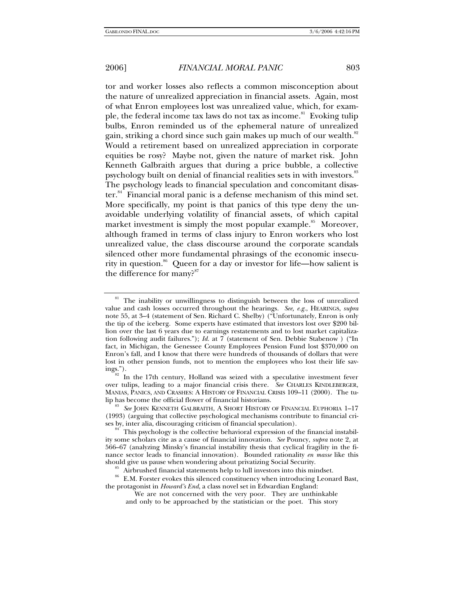tor and worker losses also reflects a common misconception about the nature of unrealized appreciation in financial assets. Again, most of what Enron employees lost was unrealized value, which, for example, the federal income tax laws do not tax as income.<sup>81</sup> Evoking tulip bulbs, Enron reminded us of the ephemeral nature of unrealized gain, striking a chord since such gain makes up much of our wealth.<sup>82</sup> Would a retirement based on unrealized appreciation in corporate equities be rosy? Maybe not, given the nature of market risk. John Kenneth Galbraith argues that during a price bubble, a collective psychology built on denial of financial realities sets in with investors.<sup>83</sup> The psychology leads to financial speculation and concomitant disaster. $84$  Financial moral panic is a defense mechanism of this mind set. More specifically, my point is that panics of this type deny the unavoidable underlying volatility of financial assets, of which capital market investment is simply the most popular example.<sup>85</sup> Moreover, although framed in terms of class injury to Enron workers who lost unrealized value, the class discourse around the corporate scandals silenced other more fundamental phrasings of the economic insecurity in question. $86$  Queen for a day or investor for life—how salient is the difference for many?<sup>87</sup>

<sup>&</sup>lt;sup>81</sup> The inability or unwillingness to distinguish between the loss of unrealized value and cash losses occurred throughout the hearings. *See, e.g.*, HEARINGS, *supra*  note 55, at 3–4 (statement of Sen. Richard C. Shelby) ("Unfortunately, Enron is only the tip of the iceberg. Some experts have estimated that investors lost over \$200 billion over the last 6 years due to earnings restatements and to lost market capitalization following audit failures."); *Id.* at 7 (statement of Sen. Debbie Stabenow ) ("In fact, in Michigan, the Genessee County Employees Pension Fund lost \$370,000 on Enron's fall, and I know that there were hundreds of thousands of dollars that were lost in other pension funds, not to mention the employees who lost their life savings.").<br> $\frac{\text{kgs}}{\text{kg}}$  In the 17th century, Holland was seized with a speculative investment fever

over tulips, leading to a major financial crisis there. *See* CHARLES KINDLEBERGER, MANIAS, PANICS, AND CRASHES: A HISTORY OF FINANCIAL CRISIS 109–11 (2000). The tu-

**See JOHN KENNETH GALBRAITH, A SHORT HISTORY OF FINANCIAL EUPHORIA 1–17** (1993) (arguing that collective psychological mechanisms contribute to financial cri-

This psychology is the collective behavioral expression of the financial instability some scholars cite as a cause of financial innovation. *See* Pouncy, *supra* note 2, at 566–67 (analyzing Minsky's financial instability thesis that cyclical fragility in the finance sector leads to financial innovation). Bounded rationality *en masse* like this

<sup>&</sup>lt;sup>35</sup> Airbrushed financial statements help to lull investors into this mindset.

<sup>86</sup> E.M. Forster evokes this silenced constituency when introducing Leonard Bast, the protagonist in *Howard's End*, a class novel set in Edwardian England:

We are not concerned with the very poor. They are unthinkable and only to be approached by the statistician or the poet. This story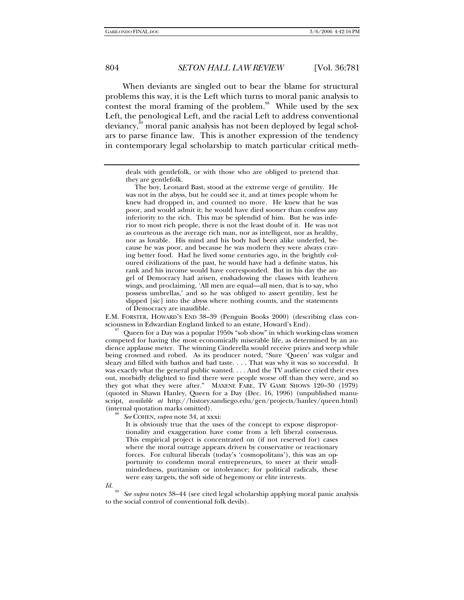When deviants are singled out to bear the blame for structural problems this way, it is the Left which turns to moral panic analysis to contest the moral framing of the problem.<sup>88</sup> While used by the sex Left, the penological Left, and the racial Left to address conventional deviancy,89 moral panic analysis has not been deployed by legal scholars to parse finance law. This is another expression of the tendency in contemporary legal scholarship to match particular critical meth-

 The boy, Leonard Bast, stood at the extreme verge of gentility. He was not in the abyss, but he could see it, and at times people whom he knew had dropped in, and counted no more. He knew that he was poor, and would admit it; he would have died sooner than confess any inferiority to the rich. This may be splendid of him. But he was inferior to most rich people, there is not the least doubt of it. He was not as courteous as the average rich man, nor as intelligent, nor as healthy, nor as lovable. His mind and his body had been alike underfed, because he was poor, and because he was modern they were always craving better food. Had he lived some centuries ago, in the brightly coloured civilizations of the past, he would have had a definite status, his rank and his income would have corresponded. But in his day the angel of Democracy had arisen, enshadowing the classes with leathern wings, and proclaiming, 'All men are equal—all men, that is to say, who possess umbrellas,' and so he was obliged to assert gentility, lest he slipped [sic] into the abyss where nothing counts, and the statements of Democracy are inaudible.

E.M. FORSTER, HOWARD'S END 38–39 (Penguin Books 2000) (describing class con-

Queen for a Day was a popular 1950s "sob show" in which working-class women competed for having the most economically miserable life, as determined by an audience applause meter. The winning Cinderella would receive prizes and weep while being crowned and robed. As its producer noted, "Sure 'Queen' was vulgar and sleazy and filled with bathos and bad taste. . . . That was why it was so successful. It was exactly what the general public wanted. . . . And the TV audience cried their eyes out, morbidly delighted to find there were people worse off than they were, and so they got what they were after." MAXENE FABE, TV GAME SHOWS 120–30 (1979) (quoted in Shawn Hanley, Queen for a Day (Dec. 16, 1996) (unpublished manuscript, *available at* http://history.sandiego.edu/gen/projects/hanley/queen.html) (internal quotation marks omitted). 88 *See* COHEN, *supra* note 34, at xxxi:

It is obviously true that the uses of the concept to expose disproportionality and exaggeration have come from a left liberal consensus. This empirical project is concentrated on (if not reserved for) cases where the moral outrage appears driven by conservative or reactionary forces. For cultural liberals (today's 'cosmopolitans'), this was an opportunity to condemn moral entrepreneurs, to sneer at their smallmindedness, puritanism or intolerance; for political radicals, these were easy targets, the soft side of hegemony or elite interests.

*Id.* <sup>89</sup> *See supra* notes 38–44 (see cited legal scholarship applying moral panic analysis to the social control of conventional folk devils).

deals with gentlefolk, or with those who are obliged to pretend that they are gentlefolk.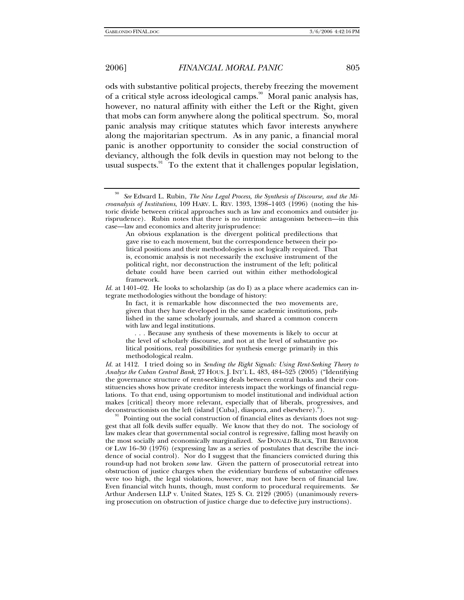ods with substantive political projects, thereby freezing the movement of a critical style across ideological camps.<sup>90</sup> Moral panic analysis has, however, no natural affinity with either the Left or the Right, given that mobs can form anywhere along the political spectrum. So, moral panic analysis may critique statutes which favor interests anywhere along the majoritarian spectrum. As in any panic, a financial moral panic is another opportunity to consider the social construction of deviancy, although the folk devils in question may not belong to the usual suspects. $91$  To the extent that it challenges popular legislation,

*Id.* at 1401–02. He looks to scholarship (as do I) as a place where academics can integrate methodologies without the bondage of history:

 . . . Because any synthesis of these movements is likely to occur at the level of scholarly discourse, and not at the level of substantive political positions, real possibilities for synthesis emerge primarily in this methodological realm.

*Id.* at 1412. I tried doing so in *Sending the Right Signals: Using Rent-Seeking Theory to Analyze the Cuban Central Bank*, 27 HOUS. J. INT'L L. 483, 484–525 (2005) ("Identifying the governance structure of rent-seeking deals between central banks and their constituencies shows how private creditor interests impact the workings of financial regulations. To that end, using opportunism to model institutional and individual action makes [critical] theory more relevant, especially that of liberals, progressives, and deconstructionists on the left (island [Cuba], diaspora, and elsewhere).").

Pointing out the social construction of financial elites as deviants does not suggest that all folk devils suffer equally. We know that they do not. The sociology of law makes clear that governmental social control is regressive, falling most heavily on the most socially and economically marginalized. *See* DONALD BLACK, THE BEHAVIOR OF LAW 16–30 (1976) (expressing law as a series of postulates that describe the incidence of social control). Nor do I suggest that the financiers convicted during this round-up had not broken *some* law. Given the pattern of prosecutorial retreat into obstruction of justice charges when the evidentiary burdens of substantive offenses were too high, the legal violations, however, may not have been of financial law. Even financial witch hunts, though, must conform to procedural requirements. *See*  Arthur Andersen LLP v. United States, 125 S. Ct. 2129 (2005) (unanimously reversing prosecution on obstruction of justice charge due to defective jury instructions).

See Edward L. Rubin, *The New Legal Process, the Synthesis of Discourse, and the Microanalysis of Institutions*, 109 HARV. L. REV. 1393, 1398–1403 (1996) (noting the historic divide between critical approaches such as law and economics and outsider jurisprudence). Rubin notes that there is no intrinsic antagonism between—in this case—law and economics and alterity jurisprudence:

An obvious explanation is the divergent political predilections that gave rise to each movement, but the correspondence between their political positions and their methodologies is not logically required. That is, economic analysis is not necessarily the exclusive instrument of the political right, nor deconstruction the instrument of the left; political debate could have been carried out within either methodological framework.

In fact, it is remarkable how disconnected the two movements are, given that they have developed in the same academic institutions, published in the same scholarly journals, and shared a common concern with law and legal institutions.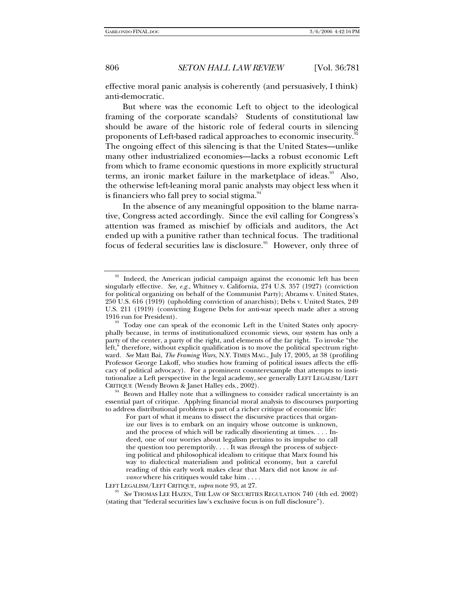effective moral panic analysis is coherently (and persuasively, I think) anti-democratic.

But where was the economic Left to object to the ideological framing of the corporate scandals? Students of constitutional law should be aware of the historic role of federal courts in silencing proponents of Left-based radical approaches to economic insecurity.<sup>97</sup> The ongoing effect of this silencing is that the United States—unlike many other industrialized economies—lacks a robust economic Left from which to frame economic questions in more explicitly structural terms, an ironic market failure in the marketplace of ideas.<sup>93</sup> Also, the otherwise left-leaning moral panic analysts may object less when it is financiers who fall prey to social stigma.<sup>94</sup>

In the absence of any meaningful opposition to the blame narrative, Congress acted accordingly. Since the evil calling for Congress's attention was framed as mischief by officials and auditors, the Act ended up with a punitive rather than technical focus. The traditional focus of federal securities law is disclosure.<sup>95</sup> However, only three of

essential part of critique. Applying financial moral analysis to discourses purporting to address distributional problems is part of a richer critique of economic life:

For part of what it means to dissect the discursive practices that organize our lives is to embark on an inquiry whose outcome is unknown, and the process of which will be radically disorienting at times. . . . Indeed, one of our worries about legalism pertains to its impulse to call the question too peremptorily. . . . It was *through* the process of subjecting political and philosophical idealism to critique that Marx found his way to dialectical materialism and political economy, but a careful reading of this early work makes clear that Marx did not know *in advance* where his critiques would take him . . . .

LEFT LEGALISM/LEFT CRITIQUE, *supra* note 93, at 27. 95 *See* THOMAS LEE HAZEN, THE LAW OF SECURITIES REGULATION 740 (4th ed. 2002) (stating that "federal securities law's exclusive focus is on full disclosure").

Indeed, the American judicial campaign against the economic left has been singularly effective. *See, e.g.*, Whitney v. California, 274 U.S. 357 (1927) (conviction for political organizing on behalf of the Communist Party); Abrams v. United States, 250 U.S. 616 (1919) (upholding conviction of anarchists); Debs v. United States, 249 U.S. 211 (1919) (convicting Eugene Debs for anti-war speech made after a strong

Today one can speak of the economic Left in the United States only apocryphally because, in terms of institutionalized economic views, our system has only a party of the center, a party of the right, and elements of the far right. To invoke "the left," therefore, without explicit qualification is to move the political spectrum rightward*. See* Matt Bai, *The Framing Wars*, N.Y. TIMES MAG., July 17, 2005, at 38 (profiling Professor George Lakoff, who studies how framing of political issues affects the efficacy of political advocacy). For a prominent counterexample that attempts to institutionalize a Left perspective in the legal academy, see generally LEFT LEGALISM/LEFT CRITIQUE (Wendy Brown & Janet Halley eds., 2002).<br><sup>94</sup> Brown and Halley note that a willingness to consider radical uncertainty is an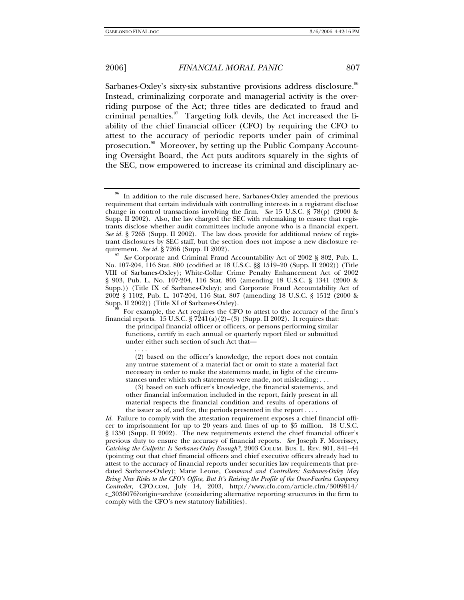Sarbanes-Oxley's sixty-six substantive provisions address disclosure.<sup>96</sup> Instead, criminalizing corporate and managerial activity is the overriding purpose of the Act; three titles are dedicated to fraud and criminal penalties.<sup>97</sup> Targeting folk devils, the Act increased the liability of the chief financial officer (CFO) by requiring the CFO to attest to the accuracy of periodic reports under pain of criminal prosecution.<sup>98</sup> Moreover, by setting up the Public Company Accounting Oversight Board, the Act puts auditors squarely in the sights of the SEC, now empowered to increase its criminal and disciplinary ac-

For example, the Act requires the CFO to attest to the accuracy of the firm's financial reports. 15 U.S.C. § 7241(a)(2)–(3) (Supp. II 2002). It requires that:

the principal financial officer or officers, or persons performing similar functions, certify in each annual or quarterly report filed or submitted under either such section of such Act that—

 (3) based on such officer's knowledge, the financial statements, and other financial information included in the report, fairly present in all material respects the financial condition and results of operations of the issuer as of, and for, the periods presented in the report . . . .

*Id.* Failure to comply with the attestation requirement exposes a chief financial officer to imprisonment for up to 20 years and fines of up to \$5 million. 18 U.S.C. § 1350 (Supp. II 2002). The new requirements extend the chief financial officer's previous duty to ensure the accuracy of financial reports. *See* Joseph F. Morrissey, *Catching the Culprits: Is Sarbanes-Oxley Enough?*, 2003 COLUM. BUS. L. REV. 801, 841–44 (pointing out that chief financial officers and chief executive officers already had to attest to the accuracy of financial reports under securities law requirements that predated Sarbanes-Oxley); Marie Leone, *Command and Controllers: Sarbanes-Oxley May Bring New Risks to the CFO's Office, But It's Raising the Profile of the Once-Faceless Company Controller*, CFO.COM, July 14, 2003, http://www.cfo.com/article.cfm/3009814/ c\_3036076?origin=archive (considering alternative reporting structures in the firm to comply with the CFO's new statutory liabilities).

<sup>&</sup>lt;sup>96</sup> In addition to the rule discussed here, Sarbanes-Oxley amended the previous requirement that certain individuals with controlling interests in a registrant disclose change in control transactions involving the firm. *See* 15 U.S.C. § 78(p) (2000 & Supp. II 2002). Also, the law charged the SEC with rulemaking to ensure that registrants disclose whether audit committees include anyone who is a financial expert. *See id.* § 7265 (Supp. II 2002). The law does provide for additional review of registrant disclosures by SEC staff, but the section does not impose a new disclosure requirement. *See id.* § 7266 (Supp. II 2002).<br><sup>97</sup> *See* Corporate and Criminal Fraud Accountability Act of 2002 § 802, Pub. L.

No. 107-204, 116 Stat. 800 (codified at 18 U.S.C. §§ 1519–20 (Supp. II 2002)) (Title VIII of Sarbanes-Oxley); White-Collar Crime Penalty Enhancement Act of 2002 § 903, Pub. L. No. 107-204, 116 Stat. 805 (amending 18 U.S.C. § 1341 (2000 & Supp.)) (Title IX of Sarbanes-Oxley); and Corporate Fraud Accountability Act of 2002 § 1102, Pub. L. 107-204, 116 Stat. 807 (amending 18 U.S.C. § 1512 (2000 &

<sup>. . . . . .</sup>  (2) based on the officer's knowledge, the report does not contain any untrue statement of a material fact or omit to state a material fact necessary in order to make the statements made, in light of the circumstances under which such statements were made, not misleading; . . .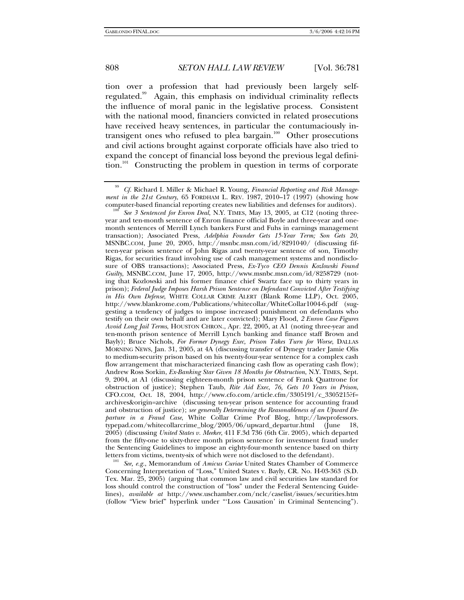tion over a profession that had previously been largely selfregulated.<sup>99</sup> Again, this emphasis on individual criminality reflects the influence of moral panic in the legislative process. Consistent with the national mood, financiers convicted in related prosecutions have received heavy sentences, in particular the contumaciously intransigent ones who refused to plea bargain.<sup>100</sup> Other prosecutions and civil actions brought against corporate officials have also tried to expand the concept of financial loss beyond the previous legal definition.<sup>101</sup> Constructing the problem in question in terms of corporate

letters from victims, twenty-six of which were not disclosed to the defendant). 101 *See, e.g.*, Memorandum of *Amicus Curiae* United States Chamber of Commerce Concerning Interpretation of "Loss," United States v. Bayly, CR. No. H-03-363 (S.D. Tex. Mar. 25, 2005) (arguing that common law and civil securities law standard for loss should control the construction of "loss" under the Federal Sentencing Guidelines), *available at* http://www.uschamber.com/nclc/caselist/issues/securities.htm (follow "View brief" hyperlink under "'Loss Causation' in Criminal Sentencing").

<sup>99</sup> *Cf.* Richard I. Miller & Michael R. Young, *Financial Reporting and Risk Management in the 21st Century*, 65 FORDHAM L. REV. 1987, 2010–17 (1997) (showing how computer-based financial reporting creates new liabilities and defenses for auditors).

See 3 Sentenced for Enron Deal, N.Y. TIMES, May 13, 2005, at C12 (noting threeyear and ten-month sentence of Enron finance official Boyle and three-year and onemonth sentences of Merrill Lynch bankers Furst and Fuhs in earnings management transaction); Associated Press, *Adelphia Founder Gets 15-Year Term; Son Gets 20*, MSNBC.COM, June 20, 2005, http://msnbc.msn.com/id/8291040/ (discussing fifteen-year prison sentence of John Rigas and twenty-year sentence of son, Timothy Rigas, for securities fraud involving use of cash management systems and nondisclosure of OBS transactions); Associated Press, *Ex-Tyco CEO Dennis Kozlowski Found Guilty*, MSNBC.COM, June 17, 2005, http://www.msnbc.msn.com/id/8258729 (noting that Kozlowski and his former finance chief Swartz face up to thirty years in prison); *Federal Judge Imposes Harsh Prison Sentence on Defendant Convicted After Testifying in His Own Defense*, WHITE COLLAR CRIME ALERT (Blank Rome LLP), Oct. 2005, http://www.blankrome.com/Publications/whitecollar/WhiteCollar1004-6.pdf (suggesting a tendency of judges to impose increased punishment on defendants who testify on their own behalf and are later convicted); Mary Flood, *2 Enron Case Figures Avoid Long Jail Terms*, HOUSTON CHRON., Apr. 22, 2005, at A1 (noting three-year and ten-month prison sentence of Merrill Lynch banking and finance staff Brown and Bayly); Bruce Nichols, *For Former Dynegy Exec, Prison Takes Turn for Worse*, DALLAS MORNING NEWS, Jan. 31, 2005, at 4A (discussing transfer of Dynegy trader Jamie Olis to medium-security prison based on his twenty-four-year sentence for a complex cash flow arrangement that mischaracterized financing cash flow as operating cash flow); Andrew Ross Sorkin, *Ex-Banking Star Given 18 Months for Obstruction*, N.Y. TIMES, Sept. 9, 2004, at A1 (discussing eighteen-month prison sentence of Frank Quattrone for obstruction of justice); Stephen Taub, *Rite Aid Exec, 76, Gets 10 Years in Prison*, CFO.COM, Oct. 18, 2004, http://www.cfo.com/article.cfm/3305191/c\_3305215?f= archives&origin=archive (discussing ten-year prison sentence for accounting fraud and obstruction of justice); *see generally Determining the Reasonableness of an Upward Departure in a Fraud Case*, White Collar Crime Prof Blog, http://lawprofessors. typepad.com/whitecollarcrime\_blog/2005/06/upward\_departur.html (June 18, 2005) (discussing *United States v. Meeker*, 411 F.3d 736 (6th Cir. 2005), which departed from the fifty-one to sixty-three month prison sentence for investment fraud under the Sentencing Guidelines to impose an eighty-four-month sentence based on thirty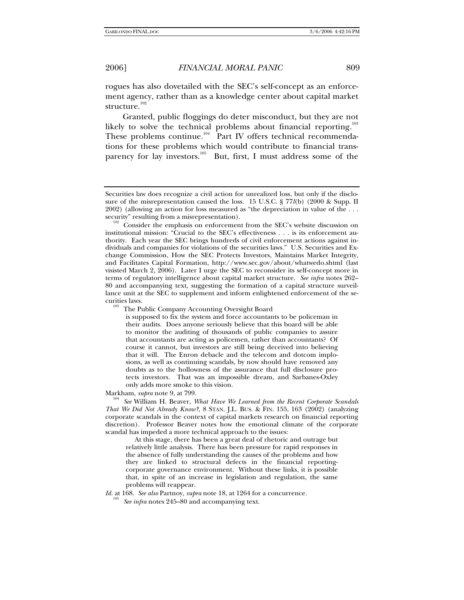rogues has also dovetailed with the SEC's self-concept as an enforcement agency, rather than as a knowledge center about capital market structure.<sup>102</sup>

Granted, public floggings do deter misconduct, but they are not likely to solve the technical problems about financial reporting.<sup>103</sup> These problems continue.<sup>104</sup> Part IV offers technical recommendations for these problems which would contribute to financial transparency for lay investors.<sup>105</sup> But, first, I must address some of the

is supposed to fix the system and force accountants to be policeman in their audits. Does anyone seriously believe that this board will be able to monitor the auditing of thousands of public companies to assure that accountants are acting as policemen, rather than accountants? Of course it cannot, but investors are still being deceived into believing that it will. The Enron debacle and the telecom and dotcom implosions, as well as continuing scandals, by now should have removed any doubts as to the hollowness of the assurance that full disclosure protects investors. That was an impossible dream, and Sarbanes-Oxley only adds more smoke to this vision.

Markham, *supra* note 9, at 799.<br><sup>104</sup> See William H. Beaver, *What Have We Learned from the Recent Corporate Scandals That We Did Not Already Know?*, 8 STAN. J.L. BUS. & FIN. 155, 163 (2002) (analyzing corporate scandals in the context of capital markets research on financial reporting discretion). Professor Beaver notes how the emotional climate of the corporate scandal has impeded a more technical approach to the issues:

 At this stage, there has been a great deal of rhetoric and outrage but relatively little analysis. There has been pressure for rapid responses in the absence of fully understanding the causes of the problems and how they are linked to structural defects in the financial reportingcorporate governance environment. Without these links, it is possible that, in spite of an increase in legislation and regulation, the same problems will reappear.

*Id.* at 168. *See also* Partnoy, *supra* note 18, at 1264 for a concurrence. 105 *See infra* notes 245–80 and accompanying text.

Securities law does recognize a civil action for unrealized loss, but only if the disclosure of the misrepresentation caused the loss. 15 U.S.C. § 77*l*(b) (2000 & Supp. II 2002) (allowing an action for loss measured as "the depreciation in value of the . . . security" resulting from a misrepresentation).<br><sup>102</sup> Consider the emphasis on enforcement from the SEC's website discussion on

institutional mission: "Crucial to the SEC's effectiveness . . . is its enforcement authority. Each year the SEC brings hundreds of civil enforcement actions against individuals and companies for violations of the securities laws." U.S. Securities and Exchange Commission, How the SEC Protects Investors, Maintains Market Integrity, and Facilitates Capital Formation, http://www.sec.gov/about/whatwedo.shtml (last visisted March 2,  $2006$ ). Later I urge the SEC to reconsider its self-concept more in terms of regulatory intelligence about capital market structure. *See infra* notes 262– 80 and accompanying text, suggesting the formation of a capital structure surveillance unit at the SEC to supplement and inform enlightened enforcement of the se-

The Public Company Accounting Oversight Board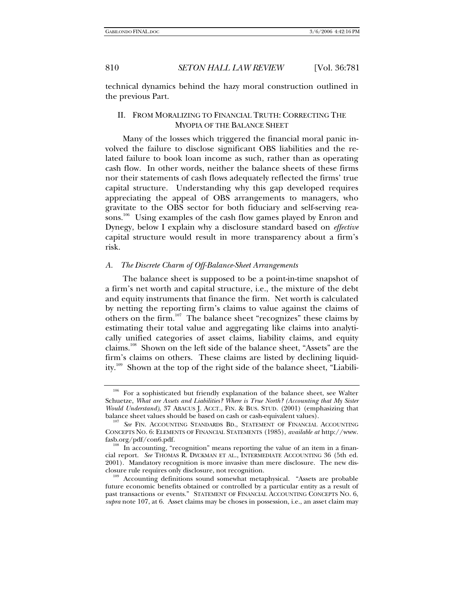technical dynamics behind the hazy moral construction outlined in the previous Part.

## II. FROM MORALIZING TO FINANCIAL TRUTH: CORRECTING THE MYOPIA OF THE BALANCE SHEET

Many of the losses which triggered the financial moral panic involved the failure to disclose significant OBS liabilities and the related failure to book loan income as such, rather than as operating cash flow. In other words, neither the balance sheets of these firms nor their statements of cash flows adequately reflected the firms' true capital structure. Understanding why this gap developed requires appreciating the appeal of OBS arrangements to managers, who gravitate to the OBS sector for both fiduciary and self-serving reasons.<sup>106</sup> Using examples of the cash flow games played by Enron and Dynegy, below I explain why a disclosure standard based on *effective* capital structure would result in more transparency about a firm's risk.

#### *A. The Discrete Charm of Off-Balance-Sheet Arrangements*

The balance sheet is supposed to be a point-in-time snapshot of a firm's net worth and capital structure, i.e., the mixture of the debt and equity instruments that finance the firm. Net worth is calculated by netting the reporting firm's claims to value against the claims of others on the firm.<sup>107</sup> The balance sheet "recognizes" these claims by estimating their total value and aggregating like claims into analytically unified categories of asset claims, liability claims, and equity claims.108 Shown on the left side of the balance sheet, "Assets" are the firm's claims on others. These claims are listed by declining liquidity.<sup>109</sup> Shown at the top of the right side of the balance sheet, "Liabili-

<sup>&</sup>lt;sup>106</sup> For a sophisticated but friendly explanation of the balance sheet, see Walter Schuetze, *What are Assets and Liabilities? Where is True North? (Accounting that My Sister Would Understand*), 37 ABACUS J. ACCT., FIN. & BUS. STUD. (2001) (emphasizing that balance sheet values should be based on cash or cash-equivalent values).

<sup>&</sup>lt;sup>107</sup> See FIN. ACCOUNTING STANDARDS BD., STATEMENT OF FINANCIAL ACCOUNTING CONCEPTS NO. 6: ELEMENTS OF FINANCIAL STATEMENTS (1985), *available at* http://www. fasb.org/pdf/con6.pdf.<br><sup>108</sup> In accounting, "recognition" means reporting the value of an item in a finan-

cial report. *See* THOMAS R. DYCKMAN ET AL., INTERMEDIATE ACCOUNTING 36 (5th ed. 2001). Mandatory recognition is more invasive than mere disclosure. The new disclosure rule requires only disclosure, not recognition.

Accounting definitions sound somewhat metaphysical. "Assets are probable future economic benefits obtained or controlled by a particular entity as a result of past transactions or events." STATEMENT OF FINANCIAL ACCOUNTING CONCEPTS NO. 6, *supra* note 107, at 6. Asset claims may be choses in possession, i.e., an asset claim may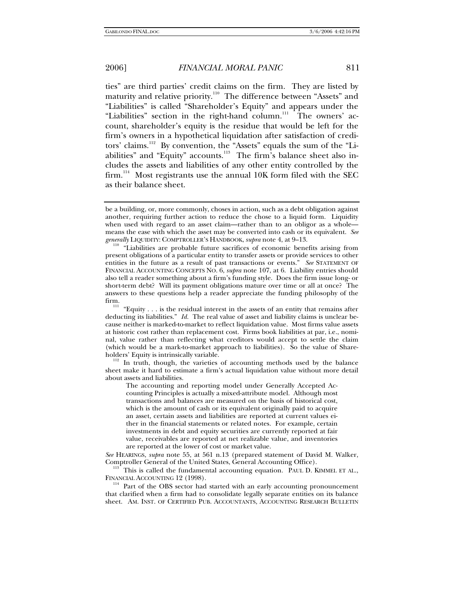ties" are third parties' credit claims on the firm. They are listed by maturity and relative priority.<sup>110</sup> The difference between "Assets" and "Liabilities" is called "Shareholder's Equity" and appears under the "Liabilities" section in the right-hand column.<sup>111</sup> The owners' account, shareholder's equity is the residue that would be left for the firm's owners in a hypothetical liquidation after satisfaction of creditors' claims.112 By convention, the "Assets" equals the sum of the "Liabilities" and "Equity" accounts.<sup>113</sup> The firm's balance sheet also includes the assets and liabilities of any other entity controlled by the firm.<sup>114</sup> Most registrants use the annual  $10K$  form filed with the SEC as their balance sheet.

<sup>112</sup> In truth, though, the varieties of accounting methods used by the balance sheet make it hard to estimate a firm's actual liquidation value without more detail about assets and liabilities.

The accounting and reporting model under Generally Accepted Accounting Principles is actually a mixed-attribute model. Although most transactions and balances are measured on the basis of historical cost, which is the amount of cash or its equivalent originally paid to acquire an asset, certain assets and liabilities are reported at current values either in the financial statements or related notes. For example, certain investments in debt and equity securities are currently reported at fair value, receivables are reported at net realizable value, and inventories are reported at the lower of cost or market value.

*See* HEARINGS, *supra* note 55, at 561 n.13 (prepared statement of David M. Walker,

 $^{113}$ <sup>-</sup>This is called the fundamental accounting equation. PAUL D. KIMMEL ET AL., FINANCIAL ACCOUNTING 12 (1998).

Part of the OBS sector had started with an early accounting pronouncement that clarified when a firm had to consolidate legally separate entities on its balance sheet. AM. INST. OF CERTIFIED PUB. ACCOUNTANTS, ACCOUNTING RESEARCH BULLETIN

be a building, or, more commonly, choses in action, such as a debt obligation against another, requiring further action to reduce the chose to a liquid form. Liquidity when used with regard to an asset claim—rather than to an obligor as a whole means the ease with which the asset may be converted into cash or its equivalent. *See* 

<sup>&</sup>lt;sup>110</sup> "Liabilities are probable future sacrifices of economic benefits arising from present obligations of a particular entity to transfer assets or provide services to other entities in the future as a result of past transactions or events." *See* STATEMENT OF FINANCIAL ACCOUNTING CONCEPTS NO. 6, *supra* note 107, at 6. Liability entries should also tell a reader something about a firm's funding style. Does the firm issue long- or short-term debt? Will its payment obligations mature over time or all at once? The answers to these questions help a reader appreciate the funding philosophy of the firm.<br><sup>111</sup> "Equity . . . is the residual interest in the assets of an entity that remains after

deducting its liabilities." *Id.* The real value of asset and liability claims is unclear because neither is marked-to-market to reflect liquidation value. Most firms value assets at historic cost rather than replacement cost. Firms book liabilities at par, i.e., nominal, value rather than reflecting what creditors would accept to settle the claim (which would be a mark-to-market approach to liabilities). So the value of Share-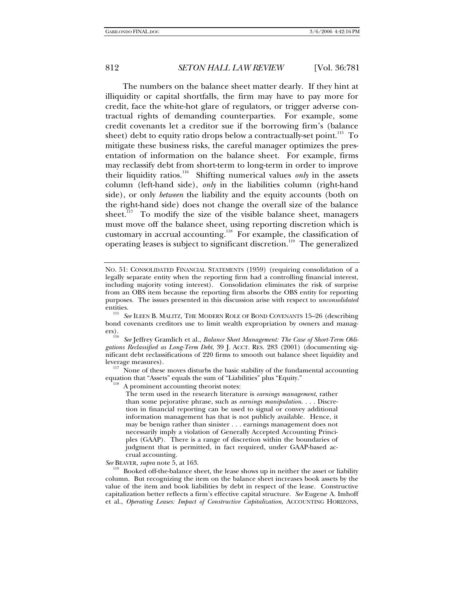The numbers on the balance sheet matter dearly. If they hint at illiquidity or capital shortfalls, the firm may have to pay more for credit, face the white-hot glare of regulators, or trigger adverse contractual rights of demanding counterparties. For example, some credit covenants let a creditor sue if the borrowing firm's (balance sheet) debt to equity ratio drops below a contractually-set point.<sup>115</sup> To mitigate these business risks, the careful manager optimizes the presentation of information on the balance sheet. For example, firms may reclassify debt from short-term to long-term in order to improve their liquidity ratios.116 Shifting numerical values *only* in the assets column (left-hand side), *only* in the liabilities column (right-hand side), or only *between* the liability and the equity accounts (both on the right-hand side) does not change the overall size of the balance sheet.<sup>117</sup> To modify the size of the visible balance sheet, managers must move off the balance sheet, using reporting discretion which is customary in accrual accounting.<sup>118</sup> For example, the classification of operating leases is subject to significant discretion.<sup>119</sup> The generalized

ers). 116 *See* Jeffrey Gramlich et al., *Balance Sheet Management: The Case of Short-Term Obligations Reclassified as Long-Term Debt*, 39 J. ACCT. RES. 283 (2001) (documenting significant debt reclassifications of 220 firms to smooth out balance sheet liquidity and

leverage measures).<br><sup>117</sup> None of these moves disturbs the basic stability of the fundamental accounting equation that "Assets" equals the sum of "Liabilities" plus "Equity." 118 A prominent accounting theorist notes:

The term used in the research literature is *earnings management*, rather than some pejorative phrase, such as *earnings manipulation*. . . . Discretion in financial reporting can be used to signal or convey additional information management has that is not publicly available. Hence, it may be benign rather than sinister . . . earnings management does not necessarily imply a violation of Generally Accepted Accounting Principles (GAAP). There is a range of discretion within the boundaries of judgment that is permitted, in fact required, under GAAP-based accrual accounting.

*See* BEAVER, *supra* note 5, at 163. 1199 Booked off-the-balance sheet, the lease shows up in neither the asset or liability column. But recognizing the item on the balance sheet increases book assets by the value of the item and book liabilities by debt in respect of the lease. Constructive capitalization better reflects a firm's effective capital structure. *See* Eugene A. Imhoff et al., *Operating Leases: Impact of Constructive Capitalization*, ACCOUNTING HORIZONS,

NO. 51: CONSOLIDATED FINANCIAL STATEMENTS (1959) (requiring consolidation of a legally separate entity when the reporting firm had a controlling financial interest, including majority voting interest). Consolidation eliminates the risk of surprise from an OBS item because the reporting firm absorbs the OBS entity for reporting purposes. The issues presented in this discussion arise with respect to *unconsolidated* 

 $^{115}$  See ILEEN B. MALITZ, THE MODERN ROLE OF BOND COVENANTS 15–26 (describing bond covenants creditors use to limit wealth expropriation by owners and manag-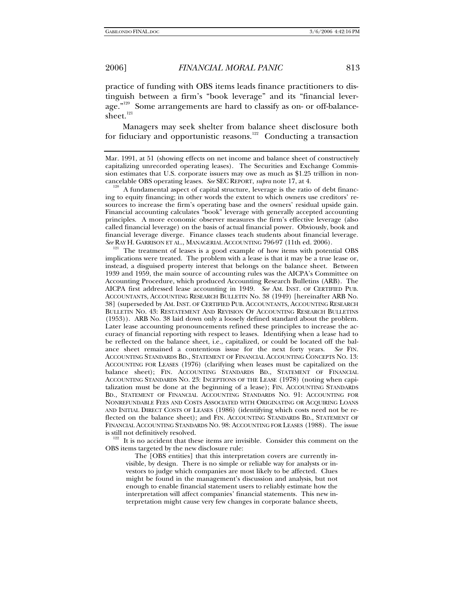practice of funding with OBS items leads finance practitioners to distinguish between a firm's "book leverage" and its "financial leverage."<sup>120</sup> Some arrangements are hard to classify as on- or off-balance- ${\rm sheet.}^{^{121}}$ 

Managers may seek shelter from balance sheet disclosure both for fiduciary and opportunistic reasons.<sup>122</sup> Conducting a transaction

cancelable OBS operating leases. *See* SEC REPORT, *supra* note 17, at 4. <sup>120</sup> A fundamental aspect of capital structure, leverage is the ratio of debt financing to equity financing; in other words the extent to which owners use creditors' resources to increase the firm's operating base and the owners' residual upside gain. Financial accounting calculates "book" leverage with generally accepted accounting principles. A more economic observer measures the firm's effective leverage (also called financial leverage) on the basis of actual financial power. Obviously, book and financial leverage diverge. Finance classes teach students about financial leverage.<br>See RAY H. GARRISON ET AL., MANAGERIAL ACCOUNTING 796-97 (11th ed. 2006).

<sup>121</sup> The treatment of leases is a good example of how items with potential OBS implications were treated. The problem with a lease is that it may be a true lease or, instead, a disguised property interest that belongs on the balance sheet. Between 1939 and 1959, the main source of accounting rules was the AICPA's Committee on Accounting Procedure, which produced Accounting Research Bulletins (ARB). The AICPA first addressed lease accounting in 1949. *See* AM. INST. OF CERTIFIED PUB. ACCOUNTANTS, ACCOUNTING RESEARCH BULLETIN No. 38 (1949) [hereinafter ARB No. 38] (superseded by AM. INST. OF CERTIFIED PUB. ACCOUNTANTS, ACCOUNTING RESEARCH BULLETIN NO. 43: RESTATEMENT AND REVISION OF ACCOUNTING RESEARCH BULLETINS (1953)). ARB No. 38 laid down only a loosely defined standard about the problem. Later lease accounting pronouncements refined these principles to increase the accuracy of financial reporting with respect to leases. Identifying when a lease had to be reflected on the balance sheet, i.e., capitalized, or could be located off the balance sheet remained a contentious issue for the next forty years. *See* FIN. ACCOUNTING STANDARDS BD., STATEMENT OF FINANCIAL ACCOUNTING CONCEPTS NO. 13: ACCOUNTING FOR LEASES (1976) (clarifying when leases must be capitalized on the balance sheet); FIN. ACCOUNTING STANDARDS BD., STATEMENT OF FINANCIAL ACCOUNTING STANDARDS NO. 23: INCEPTIONS OF THE LEASE (1978) (noting when capitalization must be done at the beginning of a lease); FIN. ACCOUNTING STANDARDS BD., STATEMENT OF FINANCIAL ACCOUNTING STANDARDS NO. 91: ACCOUNTING FOR NONREFUNDABLE FEES AND COSTS ASSOCIATED WITH ORIGINATING OR ACQUIRING LOANS AND INITIAL DIRECT COSTS OF LEASES (1986) (identifying which costs need not be reflected on the balance sheet); and FIN. ACCOUNTING STANDARDS BD., STATEMENT OF FINANCIAL ACCOUNTING STANDARDS NO. 98: ACCOUNTING FOR LEASES (1988). The issue is still not definitively resolved.

 $122$  It is no accident that these items are invisible. Consider this comment on the OBS items targeted by the new disclosure rule:

 The [OBS entities] that this interpretation covers are currently invisible, by design. There is no simple or reliable way for analysts or investors to judge which companies are most likely to be affected. Clues might be found in the management's discussion and analysis, but not enough to enable financial statement users to reliably estimate how the interpretation will affect companies' financial statements. This new interpretation might cause very few changes in corporate balance sheets,

Mar. 1991, at 51 (showing effects on net income and balance sheet of constructively capitalizing unrecorded operating leases). The Securities and Exchange Commission estimates that U.S. corporate issuers may owe as much as \$1.25 trillion in non-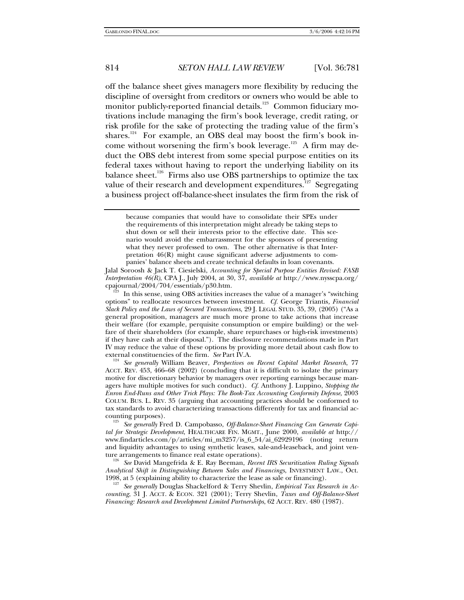off the balance sheet gives managers more flexibility by reducing the discipline of oversight from creditors or owners who would be able to monitor publicly-reported financial details.<sup>123</sup> Common fiduciary motivations include managing the firm's book leverage, credit rating, or risk profile for the sake of protecting the trading value of the firm's shares.<sup>124</sup> For example, an OBS deal may boost the firm's book income without worsening the firm's book leverage.<sup>125</sup> A firm may deduct the OBS debt interest from some special purpose entities on its federal taxes without having to report the underlying liability on its balance sheet.<sup>126</sup> Firms also use OBS partnerships to optimize the tax value of their research and development expenditures.<sup>127</sup> Segregating a business project off-balance-sheet insulates the firm from the risk of

Jalal Soroosh & Jack T. Ciesielski, *Accounting for Special Purpose Entities Revised: FASB Interpretation 46(R)*, CPA J., July 2004, at 30, 37, *available at* http://www.nysscpa.org/

**See generally William Beaver, Perspectives on Recent Capital Market Research, 77** ACCT. REV. 453, 466–68 (2002) (concluding that it is difficult to isolate the primary motive for discretionary behavior by managers over reporting earnings because managers have multiple motives for such conduct). *Cf.* Anthony J. Luppino, *Stopping the Enron End-Runs and Other Trick Plays: The Book-Tax Accounting Conformity Defense*, 2003 COLUM. BUS. L. REV. 35 (arguing that accounting practices should be conformed to tax standards to avoid characterizing transactions differently for tax and financial ac-

because companies that would have to consolidate their SPEs under the requirements of this interpretation might already be taking steps to shut down or sell their interests prior to the effective date. This scenario would avoid the embarrassment for the sponsors of presenting what they never professed to own. The other alternative is that Interpretation 46(R) might cause significant adverse adjustments to companies' balance sheets and create technical defaults in loan covenants.

In this sense, using OBS activities increases the value of a manager's "switching" options" to reallocate resources between investment. *Cf.* George Triantis*, Financial Slack Policy and the Laws of Secured Transactions*, 29 J. LEGAL STUD. 35, 39, (2005) ("As a general proposition, managers are much more prone to take actions that increase their welfare (for example, perquisite consumption or empire building) or the welfare of their shareholders (for example, share repurchases or high-risk investments) if they have cash at their disposal."). The disclosure recommendations made in Part IV may reduce the value of these options by providing more detail about cash flow to external constituencies of the firm. See Part IV.A.

<sup>&</sup>lt;sup>125</sup> See generally Fred D. Campobasso, Off-Balance-Sheet Financing Can Generate Capi*tal for Strategic Development*, HEALTHCARE FIN. MGMT., June 2000, *available at* http:// www.findarticles.com/p/articles/mi\_m3257/is\_6\_54/ai\_62929196 (noting return and liquidity advantages to using synthetic leases, sale-and-leaseback, and joint venture arrangements to finance real estate operations). 126 *See* David Mangefrida & E. Ray Beeman, *Recent IRS Securitization Ruling Signals* 

*Analytical Shift in Distinguishing Between Sales and Financings*, INVESTMENT LAW., Oct.

<sup>1998,</sup> at 5 (explaining ability to characterize the lease as sale or financing). 127 *See generally* Douglas Shackelford & Terry Shevlin, *Empirical Tax Research in Accounting*, 31 J. ACCT. & ECON. 321 (2001); Terry Shevlin, *Taxes and Off-Balance-Sheet Financing: Research and Development Limited Partnerships*, 62 ACCT. REV. 480 (1987).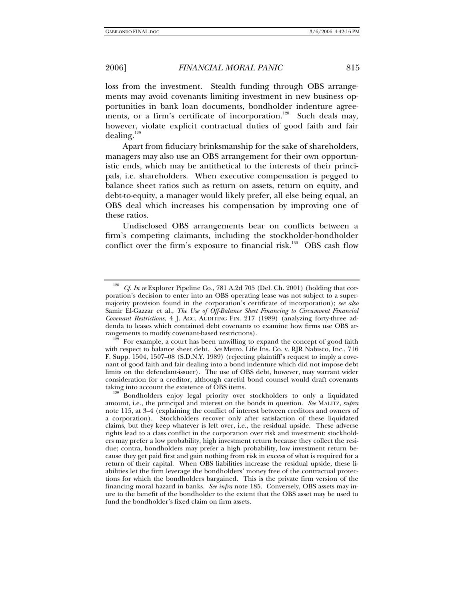loss from the investment. Stealth funding through OBS arrangements may avoid covenants limiting investment in new business opportunities in bank loan documents, bondholder indenture agreements, or a firm's certificate of incorporation.<sup>128</sup> Such deals may, however, violate explicit contractual duties of good faith and fair dealing. $129$ 

Apart from fiduciary brinksmanship for the sake of shareholders, managers may also use an OBS arrangement for their own opportunistic ends, which may be antithetical to the interests of their principals, i.e. shareholders. When executive compensation is pegged to balance sheet ratios such as return on assets, return on equity, and debt-to-equity, a manager would likely prefer, all else being equal, an OBS deal which increases his compensation by improving one of these ratios.

Undisclosed OBS arrangements bear on conflicts between a firm's competing claimants, including the stockholder-bondholder conflict over the firm's exposure to financial risk.<sup>130</sup> OBS cash flow

Cf. In re Explorer Pipeline Co., 781 A.2d 705 (Del. Ch. 2001) (holding that corporation's decision to enter into an OBS operating lease was not subject to a supermajority provision found in the corporation's certificate of incorporation); *see also*  Samir El-Gazzar et al., *The Use of Off-Balance Sheet Financing to Circumvent Financial Covenant Restrictions*, 4 J. ACC. AUDITING FIN. 217 (1989) (analyzing forty-three addenda to leases which contained debt covenants to examine how firms use OBS ar-

rangements to modify covenant-based restrictions).<br><sup>129</sup> For example, a court has been unwilling to expand the concept of good faith with respect to balance sheet debt. *See* Metro. Life Ins. Co. v. RJR Nabisco, Inc., 716 F. Supp. 1504, 1507–08 (S.D.N.Y. 1989) (rejecting plaintiff's request to imply a covenant of good faith and fair dealing into a bond indenture which did not impose debt limits on the defendant-issuer). The use of OBS debt, however, may warrant wider consideration for a creditor, although careful bond counsel would draft covenants

<sup>130</sup> Bondholders enjoy legal priority over stockholders to only a liquidated amount, i.e., the principal and interest on the bonds in question. *See* MALITZ, *supra*  note 115, at 3–4 (explaining the conflict of interest between creditors and owners of a corporation). Stockholders recover only after satisfaction of these liquidated claims, but they keep whatever is left over, i.e., the residual upside. These adverse rights lead to a class conflict in the corporation over risk and investment: stockholders may prefer a low probability, high investment return because they collect the residue; contra, bondholders may prefer a high probability, low investment return because they get paid first and gain nothing from risk in excess of what is required for a return of their capital. When OBS liabilities increase the residual upside, these liabilities let the firm leverage the bondholders' money free of the contractual protections for which the bondholders bargained. This is the private firm version of the financing moral hazard in banks. *See infra* note 185. Conversely, OBS assets may inure to the benefit of the bondholder to the extent that the OBS asset may be used to fund the bondholder's fixed claim on firm assets.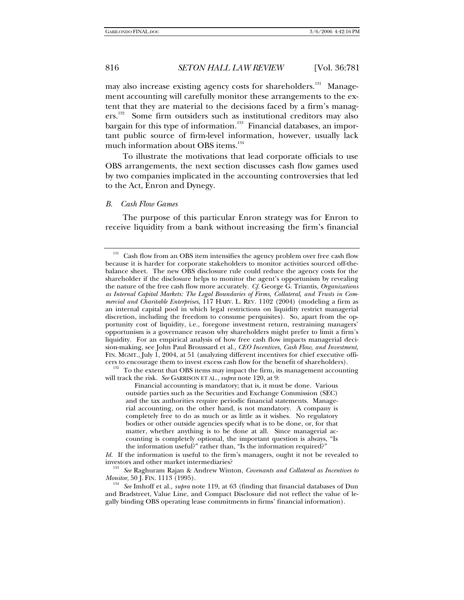may also increase existing agency costs for shareholders.<sup>131</sup> Management accounting will carefully monitor these arrangements to the extent that they are material to the decisions faced by a firm's managers.132 Some firm outsiders such as institutional creditors may also bargain for this type of information.<sup>133</sup> Financial databases, an important public source of firm-level information, however, usually lack much information about OBS items.<sup>134</sup>

To illustrate the motivations that lead corporate officials to use OBS arrangements, the next section discusses cash flow games used by two companies implicated in the accounting controversies that led to the Act, Enron and Dynegy.

#### *B. Cash Flow Games*

The purpose of this particular Enron strategy was for Enron to receive liquidity from a bank without increasing the firm's financial

 $132$  To the extent that OBS items may impact the firm, its management accounting will track the risk. *See* GARRISON ET AL., *supra* note 120, at 9:

 Financial accounting is mandatory; that is, it must be done. Various outside parties such as the Securities and Exchange Commission (SEC) and the tax authorities require periodic financial statements. Managerial accounting, on the other hand, is not mandatory. A company is completely free to do as much or as little as it wishes. No regulatory bodies or other outside agencies specify what is to be done, or, for that matter, whether anything is to be done at all. Since managerial accounting is completely optional, the important question is always, "Is the information useful?" rather than, "Is the information required?"

Cash flow from an OBS item intensifies the agency problem over free cash flow because it is harder for corporate stakeholders to monitor activities sourced off-thebalance sheet. The new OBS disclosure rule could reduce the agency costs for the shareholder if the disclosure helps to monitor the agent's opportunism by revealing the nature of the free cash flow more accurately. *Cf.* George G. Triantis, *Organizations as Internal Capital Markets: The Legal Boundaries of Firms, Collateral, and Trusts in Commercial and Charitable Enterprises*, 117 HARV. L. REV. 1102 (2004) (modeling a firm as an internal capital pool in which legal restrictions on liquidity restrict managerial discretion, including the freedom to consume perquisites). So, apart from the opportunity cost of liquidity, i.e., foregone investment return, restraining managers' opportunism is a governance reason why shareholders might prefer to limit a firm's liquidity. For an empirical analysis of how free cash flow impacts managerial decision-making, see John Paul Broussard et al., *CEO Incentives, Cash Flow, and Investment*, FIN. MGMT., July 1, 2004, at 51 (analyzing different incentives for chief executive officers to encourage them to invest excess cash flow for the benefit of shareholders).

*Id.* If the information is useful to the firm's managers, ought it not be revealed to investors and other market intermediaries?

<sup>&</sup>lt;sup>133</sup> See Raghuram Rajan & Andrew Winton, *Covenants and Collateral as Incentives to Monitor*, 50 J. FIN. 1113 (1995).

<sup>&</sup>lt;sup>134</sup> See Imhoff et al., *supra* note 119, at 63 (finding that financial databases of Dun and Bradstreet, Value Line, and Compact Disclosure did not reflect the value of legally binding OBS operating lease commitments in firms' financial information).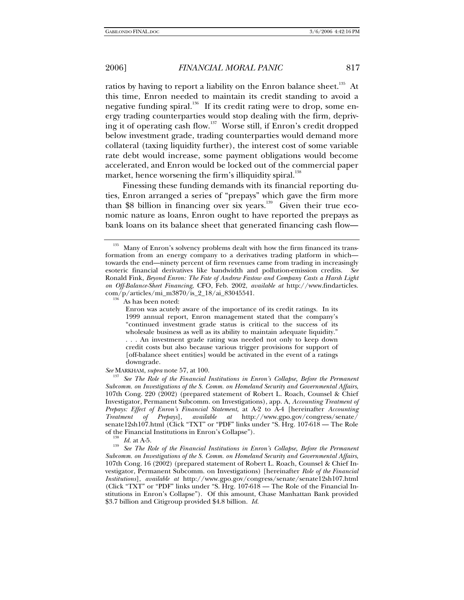ratios by having to report a liability on the Enron balance sheet.<sup>135</sup> At this time, Enron needed to maintain its credit standing to avoid a negative funding spiral.<sup>136</sup> If its credit rating were to drop, some energy trading counterparties would stop dealing with the firm, depriving it of operating cash flow.137 Worse still, if Enron's credit dropped below investment grade, trading counterparties would demand more collateral (taxing liquidity further), the interest cost of some variable rate debt would increase, some payment obligations would become accelerated, and Enron would be locked out of the commercial paper market, hence worsening the firm's illiquidity spiral.<sup>138</sup>

Finessing these funding demands with its financial reporting duties, Enron arranged a series of "prepays" which gave the firm more than \$8 billion in financing over six years.<sup>139</sup> Given their true economic nature as loans, Enron ought to have reported the prepays as bank loans on its balance sheet that generated financing cash flow—

Enron was acutely aware of the importance of its credit ratings. In its 1999 annual report, Enron management stated that the company's "continued investment grade status is critical to the success of its wholesale business as well as its ability to maintain adequate liquidity." . . . An investment grade rating was needed not only to keep down credit costs but also because various trigger provisions for support of [off-balance sheet entities] would be activated in the event of a ratings downgrade.

*See* MARKHAM, *supra* note 57, at 100.<br><sup>137</sup> *See The Role of the Financial Institutions in Enron's Collapse, Before the Permanent Subcomm. on Investigations of the S. Comm. on Homeland Security and Governmental Affairs*, 107th Cong. 220 (2002) (prepared statement of Robert L. Roach, Counsel & Chief Investigator, Permanent Subcomm. on Investigations), app. A, *Accounting Treatment of Prepays: Effect of Enron's Financial Statement*, at A-2 to A-4 [hereinafter *Accounting Treatment of Prepays*], *available at* http://www.gpo.gov/congress/senate/ senate12sh107.html (Click "TXT" or "PDF" links under "S. Hrg.  $107-618$  — The Role of the Financial Institutions in Enron's Collapse").

<sup>138</sup> Id. at A-5.<br><sup>139</sup> See The Role of the Financial Institutions in Enron's Collapse, Before the Permanent *Subcomm. on Investigations of the S. Comm. on Homeland Security and Governmental Affairs*, 107th Cong. 16 (2002) (prepared statement of Robert L. Roach, Counsel & Chief Investigator, Permanent Subcomm. on Investigations) [hereinafter *Role of the Financial Institutions*], *available at* http://www.gpo.gov/congress/senate/senate12sh107.html (Click "TXT" or "PDF" links under "S. Hrg. 107-618 — The Role of the Financial Institutions in Enron's Collapse"). Of this amount, Chase Manhattan Bank provided \$3.7 billion and Citigroup provided \$4.8 billion. *Id.*

 $135$  Many of Enron's solvency problems dealt with how the firm financed its transformation from an energy company to a derivatives trading platform in which towards the end—ninety percent of firm revenues came from trading in increasingly esoteric financial derivatives like bandwidth and pollution-emission credits. *See*  Ronald Fink, *Beyond Enron: The Fate of Andrew Fastow and Company Casts a Harsh Light on Off-Balance-Sheet Financing*, CFO, Feb. 2002, *available at* http://www.findarticles.  $\frac{\text{com}}{136}$  As has been noted:<br><sup>136</sup> As has been noted: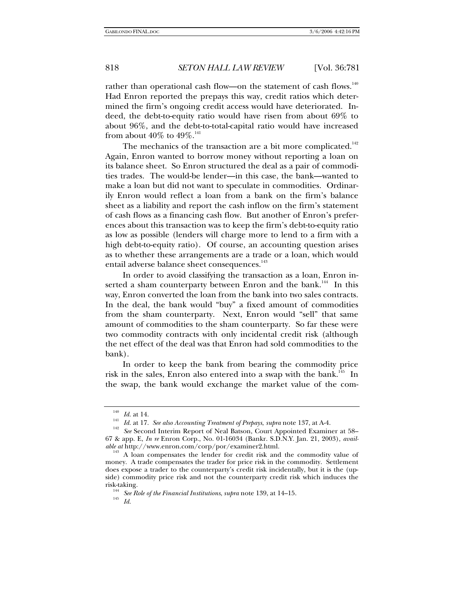rather than operational cash flow—on the statement of cash flows.<sup>140</sup> Had Enron reported the prepays this way, credit ratios which determined the firm's ongoing credit access would have deteriorated. Indeed, the debt-to-equity ratio would have risen from about 69% to about 96%, and the debt-to-total-capital ratio would have increased from about  $40\%$  to  $49\%$ .<sup>141</sup>

The mechanics of the transaction are a bit more complicated.<sup>142</sup> Again, Enron wanted to borrow money without reporting a loan on its balance sheet. So Enron structured the deal as a pair of commodities trades. The would-be lender—in this case, the bank—wanted to make a loan but did not want to speculate in commodities. Ordinarily Enron would reflect a loan from a bank on the firm's balance sheet as a liability and report the cash inflow on the firm's statement of cash flows as a financing cash flow. But another of Enron's preferences about this transaction was to keep the firm's debt-to-equity ratio as low as possible (lenders will charge more to lend to a firm with a high debt-to-equity ratio). Of course, an accounting question arises as to whether these arrangements are a trade or a loan, which would entail adverse balance sheet consequences.<sup>143</sup>

In order to avoid classifying the transaction as a loan, Enron inserted a sham counterparty between Enron and the bank.<sup>144</sup> In this way, Enron converted the loan from the bank into two sales contracts. In the deal, the bank would "buy" a fixed amount of commodities from the sham counterparty. Next, Enron would "sell" that same amount of commodities to the sham counterparty. So far these were two commodity contracts with only incidental credit risk (although the net effect of the deal was that Enron had sold commodities to the bank).

In order to keep the bank from bearing the commodity price risk in the sales, Enron also entered into a swap with the bank.<sup>145</sup> In the swap, the bank would exchange the market value of the com-

<sup>&</sup>lt;sup>140</sup> Id. at 14.<br><sup>141</sup> Id. at 17. *See also Accounting Treatment of Prepays, supra* note 137, at A-4.<br><sup>142</sup> See Second Interim Report of Neal Batson, Court Appointed Examiner at 58– 67 & app. E, *In re* Enron Corp., No. 01-16034 (Bankr. S.D.N.Y. Jan. 21, 2003), *avail-*

A loan compensates the lender for credit risk and the commodity value of money. A trade compensates the trader for price risk in the commodity. Settlement does expose a trader to the counterparty's credit risk incidentally, but it is the (upside) commodity price risk and not the counterparty credit risk which induces the risk-taking. 144 *See Role of the Financial Institutions*, *supra* note 139, at 14–15. 145 *Id.*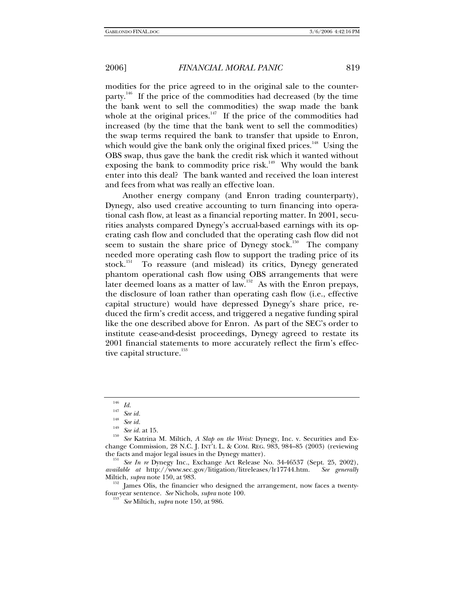modities for the price agreed to in the original sale to the counterparty.<sup>146</sup> If the price of the commodities had decreased (by the time the bank went to sell the commodities) the swap made the bank whole at the original prices. $147$  If the price of the commodities had increased (by the time that the bank went to sell the commodities) the swap terms required the bank to transfer that upside to Enron, which would give the bank only the original fixed prices.<sup>148</sup> Using the OBS swap, thus gave the bank the credit risk which it wanted without exposing the bank to commodity price risk.<sup>149</sup> Why would the bank enter into this deal? The bank wanted and received the loan interest and fees from what was really an effective loan.

Another energy company (and Enron trading counterparty), Dynegy, also used creative accounting to turn financing into operational cash flow, at least as a financial reporting matter. In 2001, securities analysts compared Dynegy's accrual-based earnings with its operating cash flow and concluded that the operating cash flow did not seem to sustain the share price of Dynegy stock.<sup>150</sup> The company needed more operating cash flow to support the trading price of its stock.<sup>151</sup> To reassure (and mislead) its critics, Dynegy generated phantom operational cash flow using OBS arrangements that were later deemed loans as a matter of law.<sup>152</sup> As with the Enron prepays, the disclosure of loan rather than operating cash flow (i.e., effective capital structure) would have depressed Dynegy's share price, reduced the firm's credit access, and triggered a negative funding spiral like the one described above for Enron. As part of the SEC's order to institute cease-and-desist proceedings, Dynegy agreed to restate its 2001 financial statements to more accurately reflect the firm's effective capital structure.<sup>153</sup>

<sup>&</sup>lt;sup>146</sup> *Id.*<br><sup>147</sup> See id.<br><sup>149</sup> See id. at 15.<br><sup>149</sup> See Katrina M. Miltich, *A Slap on the Wrist: Dynegy, Inc. v. Securities and Ex*change Commission, 28 N.C. J. INT'L L. & COM. REG. 983, 984–85 (2003) (reviewing the facts and major legal issues in the Dynegy matter). 151 *See In re* Dynegy Inc., Exchange Act Release No. 34-46537 (Sept. 25, 2002),

*available at* http://www.sec.gov/litigation/litreleases/lr17744.htm. *See generally*  Miltich, *supra* note 150, at 983.<br><sup>152</sup> James Olis, the financier who designed the arrangement, now faces a twenty-

four-year sentence. *See* Nichols, *supra* note 100. 153 *See* Miltich, *supra* note 150, at 986.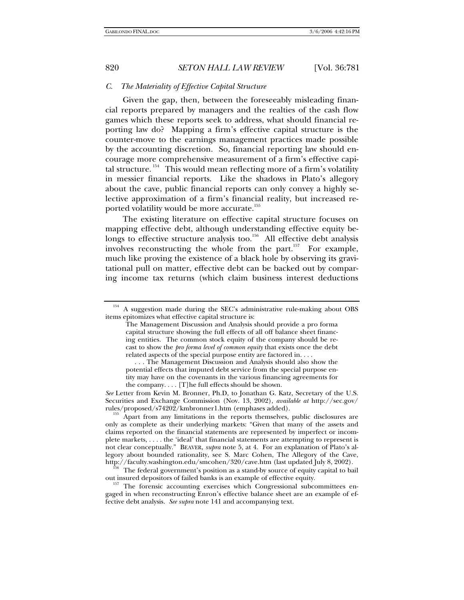#### *C. The Materiality of Effective Capital Structure*

Given the gap, then, between the foreseeably misleading financial reports prepared by managers and the realties of the cash flow games which these reports seek to address, what should financial reporting law do? Mapping a firm's effective capital structure is the counter-move to the earnings management practices made possible by the accounting discretion. So, financial reporting law should encourage more comprehensive measurement of a firm's effective capital structure.  $154$  This would mean reflecting more of a firm's volatility in messier financial reports. Like the shadows in Plato's allegory about the cave, public financial reports can only convey a highly selective approximation of a firm's financial reality, but increased reported volatility would be more accurate.<sup>155</sup>

The existing literature on effective capital structure focuses on mapping effective debt, although understanding effective equity belongs to effective structure analysis too.<sup>156</sup> All effective debt analysis involves reconstructing the whole from the part. $157$  For example, much like proving the existence of a black hole by observing its gravitational pull on matter, effective debt can be backed out by comparing income tax returns (which claim business interest deductions

*See* Letter from Kevin M. Bronner, Ph.D, to Jonathan G. Katz, Secretary of the U.S. Securities and Exchange Commission (Nov. 13, 2002), *available at* http://sec.gov/ rules/proposed/s74202/kmbronner1.htm (emphases added). 155 Apart from any limitations in the reports themselves, public disclosures are

only as complete as their underlying markets: "Given that many of the assets and claims reported on the financial statements are represented by imperfect or incomplete markets, . . . . the 'ideal' that financial statements are attempting to represent is not clear conceptually." BEAVER, *supra* note 5, at 4. For an explanation of Plato's allegory about bounded rationality, see S. Marc Cohen, The Allegory of the Cave, http://faculty.washington.edu/smcohen/320/cave.htm (last updated July 8, 2002).

 $\frac{156}{156}$  The federal government's position as a stand-by source of equity capital to bail out insured depositors of failed banks is an example of effective equity.

The forensic accounting exercises which Congressional subcommittees engaged in when reconstructing Enron's effective balance sheet are an example of effective debt analysis. *See supra* note 141 and accompanying text.

<sup>154</sup> A suggestion made during the SEC's administrative rule-making about OBS items epitomizes what effective capital structure is:

The Management Discussion and Analysis should provide a pro forma capital structure showing the full effects of all off balance sheet financing entities. The common stock equity of the company should be recast to show the *pro forma level of common equity* that exists once the debt related aspects of the special purpose entity are factored in. . . .

 <sup>. . .</sup> The Management Discussion and Analysis should also show the potential effects that imputed debt service from the special purpose entity may have on the covenants in the various financing agreements for the company. . . . [T]he full effects should be shown.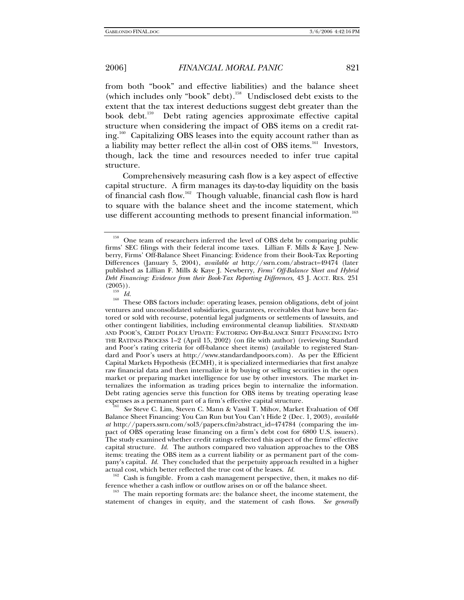from both "book" and effective liabilities) and the balance sheet (which includes only "book" debt).158 Undisclosed debt exists to the extent that the tax interest deductions suggest debt greater than the book debt.<sup>159</sup> Debt rating agencies approximate effective capital structure when considering the impact of OBS items on a credit rating.160 Capitalizing OBS leases into the equity account rather than as a liability may better reflect the all-in cost of OBS items.<sup>161</sup> Investors, though, lack the time and resources needed to infer true capital structure.

Comprehensively measuring cash flow is a key aspect of effective capital structure. A firm manages its day-to-day liquidity on the basis of financial cash flow.<sup>162</sup> Though valuable, financial cash flow is hard to square with the balance sheet and the income statement, which use different accounting methods to present financial information.<sup>163</sup>

(2005)). 159 *Id.* 160 These OBS factors include: operating leases, pension obligations, debt of joint ventures and unconsolidated subsidiaries, guarantees, receivables that have been factored or sold with recourse, potential legal judgments or settlements of lawsuits, and other contingent liabilities, including environmental cleanup liabilities. STANDARD AND POOR'S, CREDIT POLICY UPDATE: FACTORING OFF-BALANCE SHEET FINANCING INTO THE RATINGS PROCESS 1–2 (April 15, 2002) (on file with author) (reviewing Standard and Poor's rating criteria for off-balance sheet items) (available to registered Standard and Poor's users at http://www.standardandpoors.com). As per the Efficient Capital Markets Hypothesis (ECMH), it is specialized intermediaries that first analyze raw financial data and then internalize it by buying or selling securities in the open market or preparing market intelligence for use by other investors. The market internalizes the information as trading prices begin to internalize the information. Debt rating agencies serve this function for OBS items by treating operating lease expenses as a permanent part of a firm's effective capital structure. 161 *See* Steve C. Lim, Steven C. Mann & Vassil T. Mihov, Market Evaluation of Off

Balance Sheet Financing: You Can Run but You Can't Hide 2 (Dec. 1, 2003), *available at* http://papers.ssrn.com/sol3/papers.cfm?abstract\_id=474784 (comparing the impact of OBS operating lease financing on a firm's debt cost for 6800 U.S. issuers). The study examined whether credit ratings reflected this aspect of the firms' effective capital structure. *Id.* The authors compared two valuation approaches to the OBS items: treating the OBS item as a current liability or as permanent part of the company's capital. *Id.* They concluded that the perpetuity approach resulted in a higher actual cost, which better reflected the true cost of the leases. *Id.* <sup>162</sup> Cash is fungible. From a cash management perspective, then, it makes no dif-

ference whether a cash inflow or outflow arises on or off the balance sheet. 163 The main reporting formats are: the balance sheet, the income statement, the

statement of changes in equity, and the statement of cash flows. *See generally*

One team of researchers inferred the level of OBS debt by comparing public firms' SEC filings with their federal income taxes. Lillian F. Mills & Kaye J. Newberry, Firms' Off-Balance Sheet Financing: Evidence from their Book-Tax Reporting Differences (January 5, 2004), *available at* http://ssrn.com/abstract=49474 (later published as Lillian F. Mills & Kaye J. Newberry, *Firms' Off-Balance Sheet and Hybrid Debt Financing: Evidence from their Book-Tax Reporting Differences*, 43 J. ACCT. RES. 251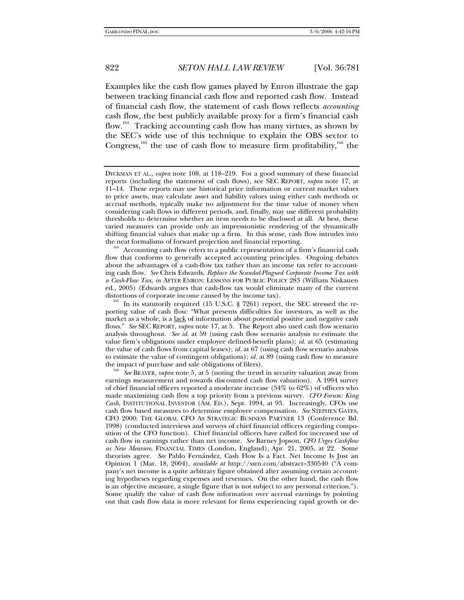Examples like the cash flow games played by Enron illustrate the gap between tracking financial cash flow and reported cash flow. Instead of financial cash flow, the statement of cash flows reflects *accounting* cash flow, the best publicly available proxy for a firm's financial cash flow.<sup>164</sup> Tracking accounting cash flow has many virtues, as shown by the SEC's wide use of this technique to explain the OBS sector to Congress,<sup>165</sup> the use of cash flow to measure firm profitability,<sup>166</sup> the

 $164$  Accounting cash flow refers to a public representation of a firm's financial cash flow that conforms to generally accepted accounting principles. Ongoing debates about the advantages of a cash-flow tax rather than an income tax refer to accounting cash flow. *See* Chris Edwards, *Replace the Scandal-Plagued Corporate Income Tax with a Cash-Flow Tax*, *in* AFTER ENRON: LESSONS FOR PUBLIC POLICY 283 (William Niskanen ed., 2005) (Edwards argues that cash-flow tax would eliminate many of the current

 $165$  In its statutorily required (15 U.S.C. § 7261) report, the SEC stressed the reporting value of cash flow: "What presents difficulties for investors, as well as the market as a whole, is a <u>lack</u> of information about potential positive and negative cash flows." *See* SEC REPORT, *supra* note 17, at 5. The Report also used cash flow scenario analysis throughout. *See id.* at 59 (using cash flow scenario analysis to estimate the value firm's obligations under employee defined-benefit plans); *id.* at 65 (estimating the value of cash flows from capital leases); *id.* at 67 (using cash flow scenario analysis to estimate the value of contingent obligations); *id.* at 89 (using cash flow to measure

See BEAVER, *supra* note 5, at 5 (noting the trend in security valuation away from earnings measurement and towards discounted cash flow valuation). A 1994 survey of chief financial officers reported a moderate increase  $(54\%$  to  $62\%)$  of officers who made maximizing cash flow a top priority from a previous survey. *CFO Forum: King Cash*, INSTITUTIONAL INVESTOR (AM. ED.), Sept. 1994, at 93. Increasingly, CFOs use cash flow based measures to determine employee compensation. *See* STEPHEN GATES, CFO 2000: THE GLOBAL CFO AS STRATEGIC BUSINESS PARTNER 13 (Conference Bd. 1998) (conducted interviews and surveys of chief financial officers regarding composition of the CFO function). Chief financial officers have called for increased use of cash flow in earnings rather than net income. *See* Barney Jopson, *CFO Urges Cashflow as New Measure*, FINANCIAL TIMES (London, England), Apr. 21, 2005, at 22. Some theorists agree. *See* Pablo Fernández, Cash Flow Is a Fact. Net Income Is Just an Opinion 1 (Mar. 18, 2004), *available at* http://ssrn.com/abstract=330540 ("A company's net income is a quite arbitrary figure obtained after assuming certain accounting hypotheses regarding expenses and revenues. On the other hand, the cash flow is an objective measure, a single figure that is not subject to any personal criterion."). Some qualify the value of cash flow information over accrual earnings by pointing out that cash flow data is more relevant for firms experiencing rapid growth or de-

DYCKMAN ET AL., *supra* note 108, at 118–219. For a good summary of these financial reports (including the statement of cash flows), see SEC REPORT, *supra* note 17, at 11–14. These reports may use historical price information or current market values to price assets, may calculate asset and liability values using either cash methods or accrual methods, typically make no adjustment for the time value of money when considering cash flows in different periods, and, finally, may use different probability thresholds to determine whether an item needs to be disclosed at all. At best, these varied measures can provide only an impressionistic rendering of the dynamically shifting financial values that make up a firm. In this sense, cash flow intrudes into the neat formalisms of forward projection and financial reporting.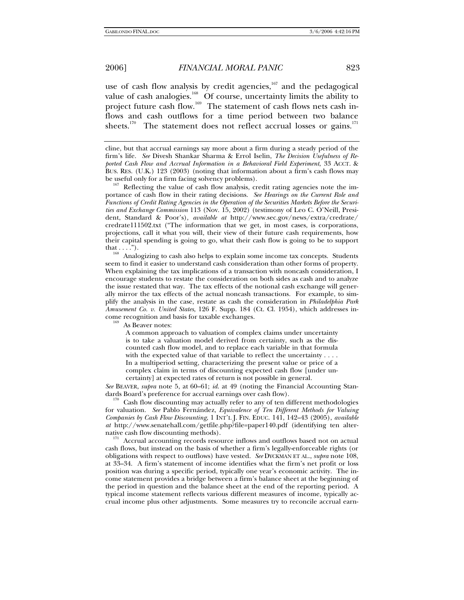use of cash flow analysis by credit agencies, $167$  and the pedagogical value of cash analogies.<sup>168</sup> Of course, uncertainty limits the ability to project future cash flow.<sup>169</sup> The statement of cash flows nets cash inflows and cash outflows for a time period between two balance sheets.<sup>170</sup> The statement does not reflect accrual losses or gains.<sup>171</sup>

be useful only for a firm facing solvency problems).<br><sup>167</sup> Reflecting the value of cash flow analysis, credit rating agencies note the importance of cash flow in their rating decisions. *See Hearings on the Current Role and Functions of Credit Rating Agencies in the Operation of the Securities Markets Before the Securities and Exchange Commission* 113 (Nov. 15, 2002) (testimony of Leo C. O'Neill, President, Standard & Poor's), *available at* http://www.sec.gov/news/extra/credrate/ credrate111502.txt ("The information that we get, in most cases, is corporations, projections, call it what you will, their view of their future cash requirements, how their capital spending is going to go, what their cash flow is going to be to support that  $\dots$ ").<br><sup>168</sup> Analogizing to cash also helps to explain some income tax concepts. Students

seem to find it easier to understand cash consideration than other forms of property. When explaining the tax implications of a transaction with noncash consideration, I encourage students to restate the consideration on both sides as cash and to analyze the issue restated that way. The tax effects of the notional cash exchange will generally mirror the tax effects of the actual noncash transactions. For example, to simplify the analysis in the case, restate as cash the consideration in *Philadelphia Park Amusement Co. v. United States*, 126 F. Supp. 184 (Ct. Cl. 1954), which addresses income recognition and basis for taxable exchanges.  $^{169}$  As Beaver notes:

A common approach to valuation of complex claims under uncertainty is to take a valuation model derived from certainty, such as the discounted cash flow model, and to replace each variable in that formula with the expected value of that variable to reflect the uncertainty . . . . In a multiperiod setting, characterizing the present value or price of a complex claim in terms of discounting expected cash flow [under uncertainty] at expected rates of return is not possible in general.

*See* BEAVER, *supra* note 5, at 60–61; *id*. at 49 (noting the Financial Accounting Standards Board's preference for accrual earnings over cash flow).<br><sup>170</sup> Cash flow discounting may actually refer to any of ten different methodologies

for valuation. *See* Pablo Fernández, *Equivalence of Ten Different Methods for Valuing Companies by Cash Flow Discounting*, 1 INT'L J. FIN. EDUC. 141, 142–43 (2005), *available at* http://www.senatehall.com/getfile.php?file=paper140.pdf (identifying ten alter-

 $171$  Accrual accounting records resource inflows and outflows based not on actual cash flows, but instead on the basis of whether a firm's legally-enforceable rights (or obligations with respect to outflows) have vested. *See* DYCKMAN ET AL., *supra* note 108, at 33–34. A firm's statement of income identifies what the firm's net profit or loss position was during a specific period, typically one year's economic activity. The income statement provides a bridge between a firm's balance sheet at the beginning of the period in question and the balance sheet at the end of the reporting period. A typical income statement reflects various different measures of income, typically accrual income plus other adjustments. Some measures try to reconcile accrual earn-

cline, but that accrual earnings say more about a firm during a steady period of the firm's life. *See* Divesh Shankar Sharma & Errol Iselin, *The Decision Usefulness of Reported Cash Flow and Accrual Information in a Behavioral Field Experiment*, 33 ACCT. & BUS. RES. (U.K.) 123 (2003) (noting that information about a firm's cash flows may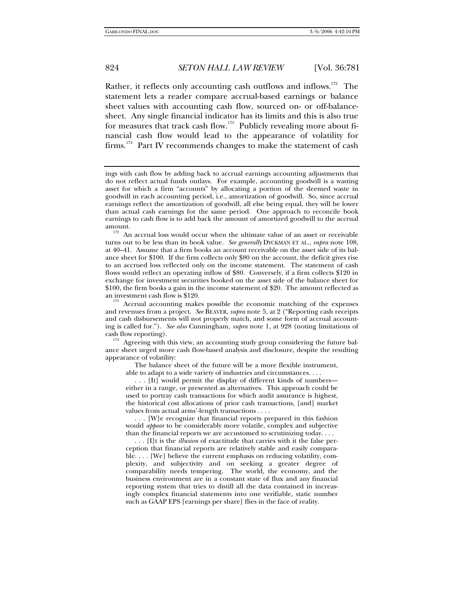Rather, it reflects only accounting cash outflows and inflows.<sup>172</sup> The statement lets a reader compare accrual-based earnings or balance sheet values with accounting cash flow, sourced on- or off-balancesheet. Any single financial indicator has its limits and this is also true for measures that track cash flow.<sup>173</sup> Publicly revealing more about financial cash flow would lead to the appearance of volatility for firms.<sup>174</sup> Part IV recommends changes to make the statement of cash

amount.<br><sup>172</sup> An accrual loss would occur when the ultimate value of an asset or receivable turns out to be less than its book value. *See generally* DYCKMAN ET AL., *supra* note 108, at 40–41. Assume that a firm books an account receivable on the asset side of its balance sheet for \$100. If the firm collects only \$80 on the account, the deficit gives rise to an accrued loss reflected only on the income statement. The statement of cash flows would reflect an operating inflow of \$80. Conversely, if a firm collects \$120 in exchange for investment securities booked on the asset side of the balance sheet for \$100, the firm books a gain in the income statement of \$20. The amount reflected as

Accrual accounting makes possible the economic matching of the expenses and revenues from a project. *See* BEAVER, *supra* note 5, at 2 ("Reporting cash receipts and cash disbursements will not properly match, and some form of accrual accounting is called for."). *See also* Cunningham, *supra* note 1, at 928 (noting limitations of

cash flow reporting).<br><sup>174</sup> Agreeing with this view, an accounting study group considering the future balance sheet urged more cash flow-based analysis and disclosure, despite the resulting appearance of volatility:

 The balance sheet of the future will be a more flexible instrument, able to adapt to a wide variety of industries and circumstances. . . .

 . . . [It] would permit the display of different kinds of numbers either in a range, or presented as alternatives. This approach could be used to portray cash transactions for which audit assurance is highest, the historical cost allocations of prior cash transactions, [and] market values from actual arms'-length transactions . . . .

 . . . [W]e recognize that financial reports prepared in this fashion would *appear* to be considerably more volatile, complex and subjective than the financial reports we are accustomed to scrutinizing today. . . .

 . . . [I]t is the *illusion* of exactitude that carries with it the false perception that financial reports are relatively stable and easily comparable. . . . [We] believe the current emphasis on reducing volatility, complexity, and subjectivity and on seeking a greater degree of comparability needs tempering. The world, the economy, and the business environment are in a constant state of flux and any financial reporting system that tries to distill all the data contained in increasingly complex financial statements into one verifiable, static number such as GAAP EPS [earnings per share] flies in the face of reality.

ings with cash flow by adding back to accrual earnings accounting adjustments that do not reflect actual funds outlays. For example, accounting goodwill is a wasting asset for which a firm "accounts" by allocating a portion of the deemed waste in goodwill in each accounting period, i.e., amortization of goodwill. So, since accrual earnings reflect the amortization of goodwill, all else being equal, they will be lower than actual cash earnings for the same period. One approach to reconcile book earnings to cash flow is to add back the amount of amortized goodwill to the accrual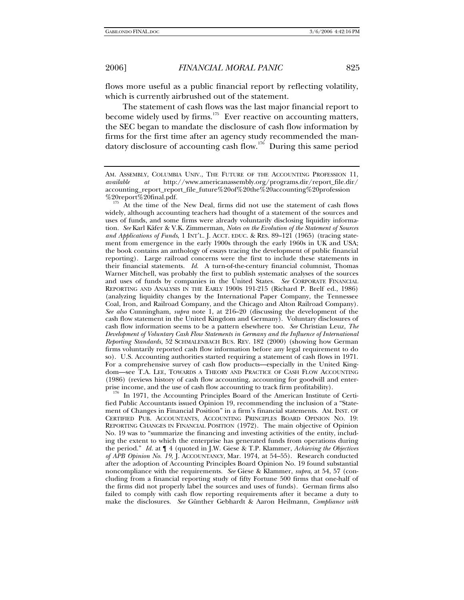flows more useful as a public financial report by reflecting volatility, which is currently airbrushed out of the statement.

The statement of cash flows was the last major financial report to become widely used by firms. $175$  Ever reactive on accounting matters, the SEC began to mandate the disclosure of cash flow information by firms for the first time after an agency study recommended the mandatory disclosure of accounting cash flow.176 During this same period

prise income, and the use of cash flow accounting to track firm profitability).<br><sup>176</sup> In 1971, the Accounting Principles Board of the American Institute of Certified Public Accountants issued Opinion 19, recommending the inclusion of a "Statement of Changes in Financial Position" in a firm's financial statements. AM. INST. OF CERTIFIED PUB. ACCOUNTANTS, ACCOUNTING PRINCIPLES BOARD OPINION NO. 19: REPORTING CHANGES IN FINANCIAL POSITION (1972). The main objective of Opinion No. 19 was to "summarize the financing and investing activities of the entity, including the extent to which the enterprise has generated funds from operations during the period." *Id.* at ¶ 4 (quoted in J.W. Giese & T.P. Klammer, *Achieving the Objectives of APB Opinion No. 19*, J. ACCOUNTANCY, Mar. 1974, at 54–55). Research conducted after the adoption of Accounting Principles Board Opinion No. 19 found substantial noncompliance with the requirements. *See* Giese & Klammer, *supra*, at 54, 57 (concluding from a financial reporting study of fifty Fortune 500 firms that one-half of the firms did not properly label the sources and uses of funds). German firms also failed to comply with cash flow reporting requirements after it became a duty to make the disclosures. *See* Günther Gebhardt & Aaron Heilmann, *Compliance with* 

AM. ASSEMBLY, COLUMBIA UNIV., THE FUTURE OF THE ACCOUNTING PROFESSION 11, *available* at http://www.americanassembly.org/programs.dir/report\_file.dir/ *available at* http://www.americanassembly.org/programs.dir/report\_file.dir/ accounting\_report\_report\_file\_future%20of%20the%20accounting%20profession

<sup>%20</sup>report%20final.pdf.  $\frac{175}{175}$  At the time of the New Deal, firms did not use the statement of cash flows widely, although accounting teachers had thought of a statement of the sources and uses of funds, and some firms were already voluntarily disclosing liquidity information. *See* Karl Käfer & V.K. Zimmerman, *Notes on the Evolution of the Statement of Sources and Applications of Funds*, 1 INT'L. J. ACCT. EDUC. & RES. 89–121 (1965) (tracing statement from emergence in the early 1900s through the early 1960s in UK and USA; the book contains an anthology of essays tracing the development of public financial reporting). Large railroad concerns were the first to include these statements in their financial statements. *Id.* A turn-of-the-century financial columnist, Thomas Warner Mitchell, was probably the first to publish systematic analyses of the sources and uses of funds by companies in the United States. *See* CORPORATE FINANCIAL REPORTING AND ANALYSIS IN THE EARLY 1900S 191-215 (Richard P. Brelf ed., 1986) (analyzing liquidity changes by the International Paper Company, the Tennessee Coal, Iron, and Railroad Company, and the Chicago and Alton Railroad Company). *See also* Cunningham, *supra* note 1, at 216–20 (discussing the development of the cash flow statement in the United Kingdom and Germany). Voluntary disclosures of cash flow information seems to be a pattern elsewhere too. *See* Christian Leuz, *The Development of Voluntary Cash Flow Statements in Germany and the Influence of International Reporting Standards*, 52 SCHMALENBACH BUS. REV. 182 (2000) (showing how German firms voluntarily reported cash flow information before any legal requirement to do so). U.S. Accounting authorities started requiring a statement of cash flows in 1971. For a comprehensive survey of cash flow products—especially in the United Kingdom—see T.A. LEE, TOWARDS A THEORY AND PRACTICE OF CASH FLOW ACCOUNTING (1986) (reviews history of cash flow accounting, accounting for goodwill and enter-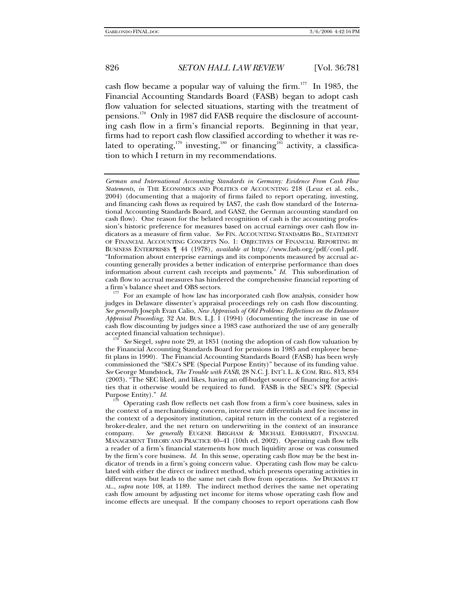cash flow became a popular way of valuing the firm. $177$  In 1985, the Financial Accounting Standards Board (FASB) began to adopt cash flow valuation for selected situations, starting with the treatment of pensions.178 Only in 1987 did FASB require the disclosure of accounting cash flow in a firm's financial reports. Beginning in that year, firms had to report cash flow classified according to whether it was related to operating,<sup>179</sup> investing,<sup>180</sup> or financing<sup>181</sup> activity, a classification to which I return in my recommendations.

*German and International Accounting Standards in Germany: Evidence From Cash Flow Statements*, *in* THE ECONOMICS AND POLITICS OF ACCOUNTING 218 (Leuz et al. eds., 2004) (documenting that a majority of firms failed to report operating, investing, and financing cash flows as required by IAS7, the cash flow standard of the International Accounting Standards Board, and GAS2, the German accounting standard on cash flow). One reason for the belated recognition of cash is the accounting profession's historic preference for measures based on accrual earnings over cash flow indicators as a measure of firm value. *See* FIN. ACCOUNTING STANDARDS BD., STATEMENT OF FINANCIAL ACCOUNTING CONCEPTS No. 1: OBJECTIVES OF FINANCIAL REPORTING BY BUSINESS ENTERPRISES ¶ 44 (1978), *available at* http://www.fasb.org/pdf/con1.pdf. "Information about enterprise earnings and its components measured by accrual accounting generally provides a better indication of enterprise performance than does information about current cash receipts and payments." *Id.* This subordination of cash flow to accrual measures has hindered the comprehensive financial reporting of a firm's balance sheet and OBS sectors.<br><sup>177</sup> For an example of how law has incorporated cash flow analysis, consider how

judges in Delaware dissenter's appraisal proceedings rely on cash flow discounting. *See generally* Joseph Evan Calio, *New Appraisals of Old Problems: Reflections on the Delaware Appraisal Proceeding*, 32 AM. BUS. L.J. 1 (1994) (documenting the increase in use of cash flow discounting by judges since a 1983 case authorized the use of any generally accepted financial valuation technique). 178 *See* Siegel, *supra* note 29, at 1851 (noting the adoption of cash flow valuation by

the Financial Accounting Standards Board for pensions in 1985 and employee benefit plans in 1990). The Financial Accounting Standards Board (FASB) has been wryly commissioned the "SEC's SPE (Special Purpose Entity)" because of its funding value. *See* George Mundstock, *The Trouble with FASB*, 28 N.C. J. INT'L L. & COM. REG. 813, 834 (2003). "The SEC liked, and likes, having an off-budget source of financing for activities that it otherwise would be required to fund. FASB is the SEC's SPE (Special Purpose Entity)." *Id.* 179 Operating cash flow reflects net cash flow from a firm's core business, sales in

the context of a merchandising concern, interest rate differentials and fee income in the context of a depository institution, capital return in the context of a registered broker-dealer, and the net return on underwriting in the context of an insurance company. *See generally* EUGENE BRIGHAM & MICHAEL EHRHARDT, FINANCIAL MANAGEMENT THEORY AND PRACTICE 40–41 (10th ed. 2002). Operating cash flow tells a reader of a firm's financial statements how much liquidity arose or was consumed by the firm's core business. *Id.* In this sense, operating cash flow may be the best indicator of trends in a firm's going concern value. Operating cash flow may be calculated with either the direct or indirect method, which presents operating activities in different ways but leads to the same net cash flow from operations. *See* DYCKMAN ET AL., *supra* note 108, at 1189. The indirect method derives the same net operating cash flow amount by adjusting net income for items whose operating cash flow and income effects are unequal. If the company chooses to report operations cash flow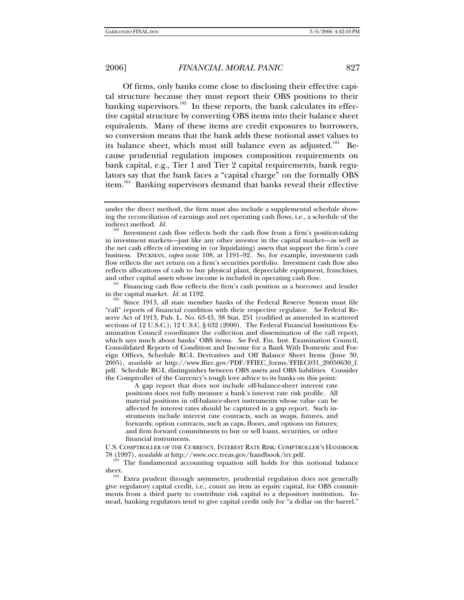Of firms, only banks come close to disclosing their effective capital structure because they must report their OBS positions to their banking supervisors.<sup>182</sup> In these reports, the bank calculates its effective capital structure by converting OBS items into their balance sheet equivalents. Many of these items are credit exposures to borrowers, so conversion means that the bank adds these notional asset values to its balance sheet, which must still balance even as adjusted.<sup>183</sup> Because prudential regulation imposes composition requirements on bank capital, e.g., Tier 1 and Tier 2 capital requirements, bank regulators say that the bank faces a "capital charge" on the formally OBS item.<sup>184</sup> Banking supervisors demand that banks reveal their effective

<sup>181</sup> Financing cash flow reflects the firm's cash position as a borrower and lender in the capital market. *Id.* at 1192.

Since 1913, all state member banks of the Federal Reserve System must file "call" reports of financial condition with their respective regulator. *See* Federal Reserve Act of 1913, Pub. L. No. 63-43, 38 Stat. 251 (codified as amended in scattered sections of 12 U.S.C.); 12 U.S.C. § 632 (2000). The Federal Financial Institutions Examination Council coordinates the collection and dissemination of the call report, which says much about banks' OBS items. *See* Fed. Fin. Inst. Examination Council, Consolidated Reports of Condition and Income for a Bank With Domestic and Foreign Offices, Schedule RC-L Derivatives and Off Balance Sheet Items (June 30, 2005), *available at* http://www.ffiec.gov/PDF/FFIEC\_forms/FFIEC031\_20050630\_f. pdf. Schedule RC-L distinguishes between OBS assets and OBS liabilities. Consider the Comptroller of the Currency's tough love advice to its banks on this point:

 A gap report that does not include off-balance-sheet interest rate positions does not fully measure a bank's interest rate risk profile. All material positions in off-balance-sheet instruments whose value can be affected by interest rates should be captured in a gap report. Such instruments include interest rate contracts, such as swaps, futures, and forwards; option contracts, such as caps, floors, and options on futures; and firm forward commitments to buy or sell loans, securities, or other financial instruments.

U.S. COMPTROLLER OF THE CURRENCY, INTEREST RATE RISK: COMPTROLLER'S HANDBOOK 78 (1997), *available at* http://www.occ.treas.gov/handbook/irr.pdf. 183 The fundamental accounting equation still holds for this notional balance

sheet.<br><sup>184</sup> Extra prudent through asymmetry, prudential regulation does not generally

give regulatory capital credit, i.e., count an item as equity capital, for OBS commitments from a third party to contribute risk capital to a depository institution. Instead, banking regulators tend to give capital credit only for "a dollar on the barrel."

under the direct method, the firm must also include a supplemental schedule showing the reconciliation of earnings and net operating cash flows, i.e., a schedule of the indirect method. *Id.* 180 Investment cash flow reflects both the cash flow from a firm's position-taking

in investment markets—just like any other investor in the capital market—as well as the net cash effects of investing in (or liquidating) assets that support the firm's core business. DYCKMAN, *supra* note 108, at 1191–92. So, for example, investment cash flow reflects the net return on a firm's securities portfolio. Investment cash flow also reflects allocations of cash to buy physical plant, depreciable equipment, franchises, and other capital assets whose income is included in operating cash flow.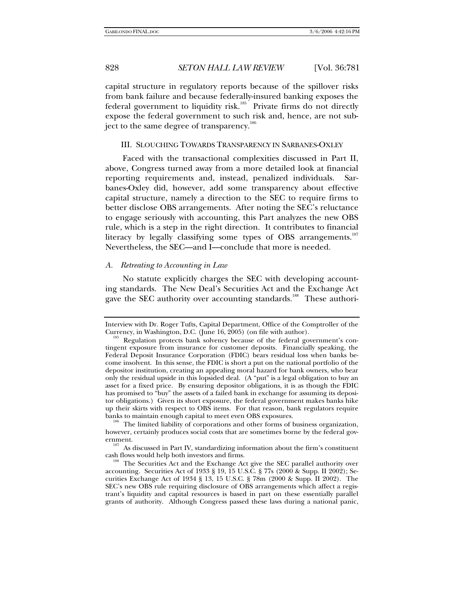capital structure in regulatory reports because of the spillover risks from bank failure and because federally-insured banking exposes the federal government to liquidity risk.<sup>185</sup> Private firms do not directly expose the federal government to such risk and, hence, are not subject to the same degree of transparency.<sup>186</sup>

#### III. SLOUCHING TOWARDS TRANSPARENCY IN SARBANES-OXLEY

Faced with the transactional complexities discussed in Part II, above, Congress turned away from a more detailed look at financial reporting requirements and, instead, penalized individuals. Sarbanes-Oxley did, however, add some transparency about effective capital structure, namely a direction to the SEC to require firms to better disclose OBS arrangements. After noting the SEC's reluctance to engage seriously with accounting, this Part analyzes the new OBS rule, which is a step in the right direction. It contributes to financial literacy by legally classifying some types of OBS arrangements.<sup>187</sup> Nevertheless, the SEC—and I—conclude that more is needed.

#### *A. Retreating to Accounting in Law*

No statute explicitly charges the SEC with developing accounting standards. The New Deal's Securities Act and the Exchange Act gave the SEC authority over accounting standards.<sup>188</sup> These authori-

Interview with Dr. Roger Tufts, Capital Department, Office of the Comptroller of the

<sup>&</sup>lt;sup>185</sup> Regulation protects bank solvency because of the federal government's contingent exposure from insurance for customer deposits. Financially speaking, the Federal Deposit Insurance Corporation (FDIC) bears residual loss when banks become insolvent. In this sense, the FDIC is short a put on the national portfolio of the depositor institution, creating an appealing moral hazard for bank owners, who bear only the residual upside in this lopsided deal. (A "put" is a legal obligation to buy an asset for a fixed price. By ensuring depositor obligations, it is as though the FDIC has promised to "buy" the assets of a failed bank in exchange for assuming its depositor obligations.) Given its short exposure, the federal government makes banks hike up their skirts with respect to OBS items. For that reason, bank regulators require banks to maintain enough capital to meet even OBS exposures.

 $186$  The limited liability of corporations and other forms of business organization, however, certainly produces social costs that are sometimes borne by the federal government.<br><sup>187</sup> As discussed in Part IV, standardizing information about the firm's constituent

cash flows would help both investors and firms. 188 The Securities Act and the Exchange Act give the SEC parallel authority over

accounting. Securities Act of 1933 § 19, 15 U.S.C. § 77s (2000 & Supp. II 2002); Securities Exchange Act of 1934 § 13, 15 U.S.C. § 78m (2000 & Supp. II 2002). The SEC's new OBS rule requiring disclosure of OBS arrangements which affect a registrant's liquidity and capital resources is based in part on these essentially parallel grants of authority. Although Congress passed these laws during a national panic,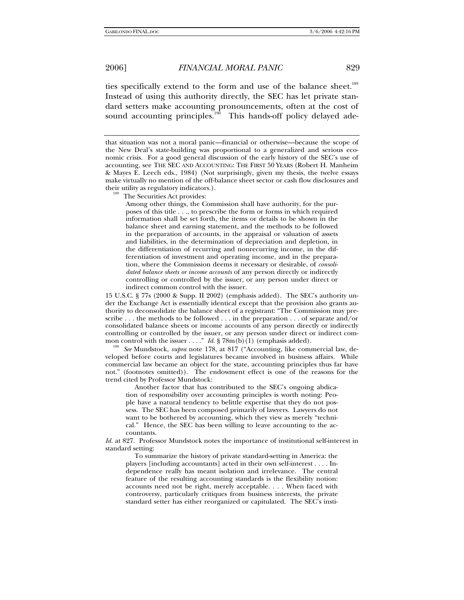ties specifically extend to the form and use of the balance sheet.<sup>189</sup> Instead of using this authority directly, the SEC has let private standard setters make accounting pronouncements, often at the cost of sound accounting principles.<sup>190</sup> This hands-off policy delayed ade-

Among other things, the Commission shall have authority, for the purposes of this title . . ., to prescribe the form or forms in which required information shall be set forth, the items or details to be shown in the balance sheet and earning statement, and the methods to be followed in the preparation of accounts, in the appraisal or valuation of assets and liabilities, in the determination of depreciation and depletion, in the differentiation of recurring and nonrecurring income, in the differentiation of investment and operating income, and in the preparation, where the Commission deems it necessary or desirable, of *consolidated balance sheets or income accounts* of any person directly or indirectly controlling or controlled by the issuer, or any person under direct or indirect common control with the issuer.

15 U.S.C. § 77s (2000 & Supp. II 2002) (emphasis added). The SEC's authority under the Exchange Act is essentially identical except that the provision also grants authority to deconsolidate the balance sheet of a registrant: "The Commission may prescribe . . . the methods to be followed . . . in the preparation . . . of separate and/or consolidated balance sheets or income accounts of any person directly or indirectly controlling or controlled by the issuer, or any person under direct or indirect com-<br>mon control with the issuer ...."  $Id. \S$  78m(b)(1) (emphasis added).

See Mundstock, *supra* note 178, at 817 ("Accounting, like commercial law, developed before courts and legislatures became involved in business affairs. While commercial law became an object for the state, accounting principles thus far have not." (footnotes omitted)). The endowment effect is one of the reasons for the trend cited by Professor Mundstock:

 Another factor that has contributed to the SEC's ongoing abdication of responsibility over accounting principles is worth noting: People have a natural tendency to belittle expertise that they do not possess. The SEC has been composed primarily of lawyers. Lawyers do not want to be bothered by accounting, which they view as merely "technical." Hence, the SEC has been willing to leave accounting to the accountants.

*Id.* at 827. Professor Mundstock notes the importance of institutional self-interest in standard setting:

 To summarize the history of private standard-setting in America: the players [including accountants] acted in their own self-interest . . . . Independence really has meant isolation and irrelevance. The central feature of the resulting accounting standards is the flexibility notion: accounts need not be right, merely acceptable. . . . When faced with controversy, particularly critiques from business interests, the private standard setter has either reorganized or capitulated. The SEC's insti-

that situation was not a moral panic—financial or otherwise—because the scope of the New Deal's state-building was proportional to a generalized and serious economic crisis. For a good general discussion of the early history of the SEC's use of accounting, see THE SEC AND ACCOUNTING: THE FIRST 50 YEARS (Robert H. Manheim & Mayes E. Leech eds., 1984) (Not surprisingly, given my thesis, the twelve essays make virtually no mention of the off-balance sheet sector or cash flow disclosures and their utility as regulatory indicators.).<br><sup>189</sup> The Securities Act provides: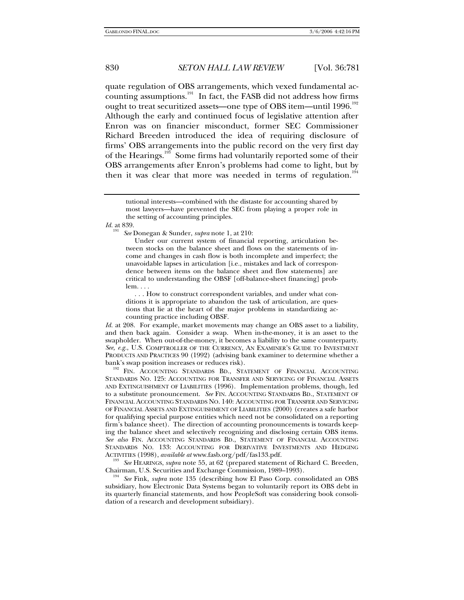quate regulation of OBS arrangements, which vexed fundamental accounting assumptions.191 In fact, the FASB did not address how firms ought to treat securitized assets—one type of OBS item—until 1996.<sup>192</sup> Although the early and continued focus of legislative attention after Enron was on financier misconduct, former SEC Commissioner Richard Breeden introduced the idea of requiring disclosure of firms' OBS arrangements into the public record on the very first day of the Hearings.<sup>193</sup> Some firms had voluntarily reported some of their OBS arrangements after Enron's problems had come to light, but by then it was clear that more was needed in terms of regulation.<sup>194</sup>

*Id.* at 839.

 . . . How to construct correspondent variables, and under what conditions it is appropriate to abandon the task of articulation, are questions that lie at the heart of the major problems in standardizing accounting practice including OBSF.

*Id.* at 208. For example, market movements may change an OBS asset to a liability, and then back again. Consider a swap. When in-the-money, it is an asset to the swapholder. When out-of-the-money, it becomes a liability to the same counterparty. *See, e.g.*, U.S. COMPTROLLER OF THE CURRENCY, AN EXAMINER'S GUIDE TO INVESTMENT PRODUCTS AND PRACTICES 90 (1992) (advising bank examiner to determine whether a bank's swap position increases or reduces risk).<br><sup>192</sup> FIN. ACCOUNTING STANDARDS BD., STATEMENT OF FINANCIAL ACCOUNTING

STANDARDS NO. 125: ACCOUNTING FOR TRANSFER AND SERVICING OF FINANCIAL ASSETS AND EXTINGUISHMENT OF LIABILITIES (1996). Implementation problems, though, led to a substitute pronouncement. *See* FIN. ACCOUNTING STANDARDS BD., STATEMENT OF FINANCIAL ACCOUNTING STANDARDS NO. 140: ACCOUNTING FOR TRANSFER AND SERVICING OF FINANCIAL ASSETS AND EXTINGUISHMENT OF LIABILITIES (2000) (creates a safe harbor for qualifying special purpose entities which need not be consolidated on a reporting firm's balance sheet). The direction of accounting pronouncements is towards keeping the balance sheet and selectively recognizing and disclosing certain OBS items. *See also* FIN. ACCOUNTING STANDARDS BD., STATEMENT OF FINANCIAL ACCOUNTING STANDARDS NO. 133: ACCOUNTING FOR DERIVATIVE INVESTMENTS AND HEDGING ACTIVITIES (1998), *available at* www.fasb.org/pdf/fas133.pdf.

<sup>195</sup> See HEARINGS, *supra* note 55, at 62 (prepared statement of Richard C. Breeden, Chairman, U.S. Securities and Exchange Commission, 1989–1993).

See Fink, supra note 135 (describing how El Paso Corp. consolidated an OBS subsidiary, how Electronic Data Systems began to voluntarily report its OBS debt in its quarterly financial statements, and how PeopleSoft was considering book consolidation of a research and development subsidiary).

tutional interests—combined with the distaste for accounting shared by most lawyers—have prevented the SEC from playing a proper role in the setting of accounting principles.

<sup>191</sup> *See* Donegan & Sunder, *supra* note 1, at 210:

Under our current system of financial reporting, articulation between stocks on the balance sheet and flows on the statements of income and changes in cash flow is both incomplete and imperfect; the unavoidable lapses in articulation [i.e., mistakes and lack of correspondence between items on the balance sheet and flow statements] are critical to understanding the OBSF [off-balance-sheet financing] problem. . . .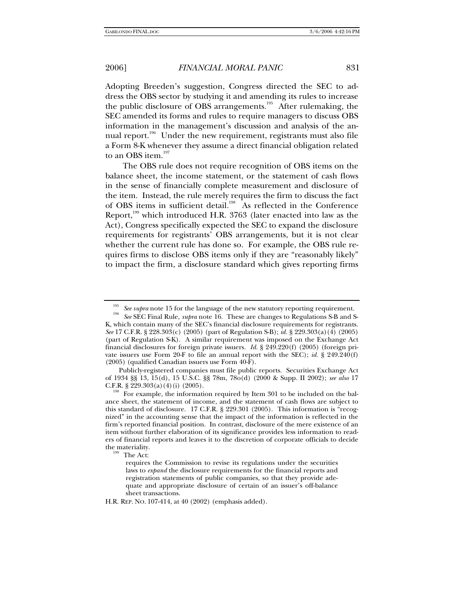Adopting Breeden's suggestion, Congress directed the SEC to address the OBS sector by studying it and amending its rules to increase the public disclosure of OBS arrangements.195 After rulemaking, the SEC amended its forms and rules to require managers to discuss OBS information in the management's discussion and analysis of the annual report.<sup>196</sup> Under the new requirement, registrants must also file a Form 8-K whenever they assume a direct financial obligation related to an OBS item.<sup>197</sup>

The OBS rule does not require recognition of OBS items on the balance sheet, the income statement, or the statement of cash flows in the sense of financially complete measurement and disclosure of the item. Instead, the rule merely requires the firm to discuss the fact of OBS items in sufficient detail.198 As reflected in the Conference Report,<sup>199</sup> which introduced H.R. 3763 (later enacted into law as the Act), Congress specifically expected the SEC to expand the disclosure requirements for registrants' OBS arrangements, but it is not clear whether the current rule has done so. For example, the OBS rule requires firms to disclose OBS items only if they are "reasonably likely" to impact the firm, a disclosure standard which gives reporting firms

Publicly-registered companies must file public reports. Securities Exchange Act of 1934 §§ 13, 15(d), 15 U.S.C. §§ 78m, 78o(d) (2000 & Supp. II 2002); *see also* 17 C.F.R. § 229.303(a)(4)(i) (2005).<br><sup>198</sup> For example, the information required by Item 301 to be included on the bal-

<sup>195</sup> *See supra* note 15 for the language of the new statutory reporting requirement. 196 *See* SEC Final Rule, *supra* note 16. These are changes to Regulations S-B and S-

K, which contain many of the SEC's financial disclosure requirements for registrants. *See* 17 C.F.R. § 228.303(c) (2005) (part of Regulation S-B); *id.* § 229.303(a)(4) (2005) (part of Regulation S-K). A similar requirement was imposed on the Exchange Act financial disclosures for foreign private issuers. *Id.* § 249.220(f) (2005) (foreign private issuers use Form 20-F to file an annual report with the SEC); *id.* § 249.240(f) (2005) (qualified Canadian issuers use Form 40-F).

ance sheet, the statement of income, and the statement of cash flows are subject to this standard of disclosure. 17 C.F.R. § 229.301 (2005). This information is "recognized" in the accounting sense that the impact of the information is reflected in the firm's reported financial position. In contrast, disclosure of the mere existence of an item without further elaboration of its significance provides less information to readers of financial reports and leaves it to the discretion of corporate officials to decide the materiality.<br>The Act:

requires the Commission to revise its regulations under the securities laws to *expand* the disclosure requirements for the financial reports and registration statements of public companies, so that they provide adequate and appropriate disclosure of certain of an issuer's off-balance sheet transactions.

H.R. REP. NO. 107-414, at 40 (2002) (emphasis added).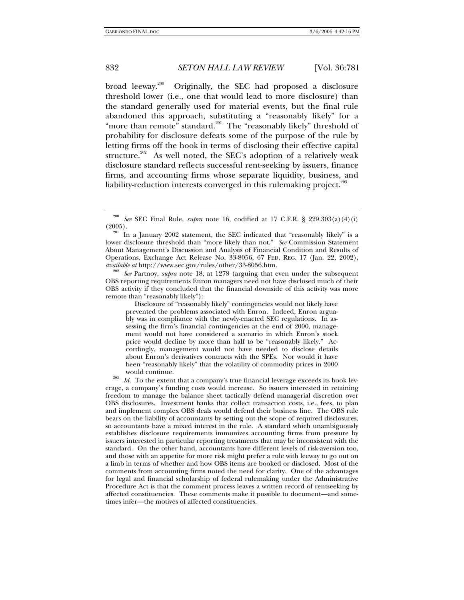broad leeway.<sup>200</sup> Originally, the SEC had proposed a disclosure threshold lower (i.e., one that would lead to more disclosure) than the standard generally used for material events, but the final rule abandoned this approach, substituting a "reasonably likely" for a "more than remote" standard.<sup>201</sup> The "reasonably likely" threshold of probability for disclosure defeats some of the purpose of the rule by letting firms off the hook in terms of disclosing their effective capital structure.<sup>202</sup> As well noted, the SEC's adoption of a relatively weak disclosure standard reflects successful rent-seeking by issuers, finance firms, and accounting firms whose separate liquidity, business, and liability-reduction interests converged in this rulemaking project. $^{203}$ 

OBS reporting requirements Enron managers need not have disclosed much of their OBS activity if they concluded that the financial downside of this activity was more remote than "reasonably likely"):

 Disclosure of "reasonably likely" contingencies would not likely have prevented the problems associated with Enron. Indeed, Enron arguably was in compliance with the newly-enacted SEC regulations. In assessing the firm's financial contingencies at the end of 2000, management would not have considered a scenario in which Enron's stock price would decline by more than half to be "reasonably likely." Accordingly, management would not have needed to disclose details about Enron's derivatives contracts with the SPEs. Nor would it have been "reasonably likely" that the volatility of commodity prices in 2000 would continue.<br><sup>203</sup> *Id.* To the extent that a company's true financial leverage exceeds its book lev-

erage, a company's funding costs would increase. So issuers interested in retaining freedom to manage the balance sheet tactically defend managerial discretion over OBS disclosures. Investment banks that collect transaction costs, i.e., fees, to plan and implement complex OBS deals would defend their business line. The OBS rule bears on the liability of accountants by setting out the scope of required disclosures, so accountants have a mixed interest in the rule. A standard which unambiguously establishes disclosure requirements immunizes accounting firms from pressure by issuers interested in particular reporting treatments that may be inconsistent with the standard. On the other hand, accountants have different levels of risk-aversion too, and those with an appetite for more risk might prefer a rule with leeway to go out on a limb in terms of whether and how OBS items are booked or disclosed. Most of the comments from accounting firms noted the need for clarity. One of the advantages for legal and financial scholarship of federal rulemaking under the Administrative Procedure Act is that the comment process leaves a written record of rentseeking by affected constituencies. These comments make it possible to document—and sometimes infer—the motives of affected constituencies.

<sup>200</sup> *See* SEC Final Rule, *supra* note 16, codified at 17 C.F.R. § 229.303(a)(4)(i) (2005).<br><sup>201</sup> In a January 2002 statement, the SEC indicated that "reasonably likely" is a

lower disclosure threshold than "more likely than not." *See* Commission Statement About Management's Discussion and Analysis of Financial Condition and Results of Operations, Exchange Act Release No. 33-8056, 67 FED. REG. 17 (Jan. 22, 2002), *available at* http://www.sec.gov/rules/other/33-8056.htm.<br><sup>202</sup> See Partnoy, *supra* note 18, at 1278 (arguing that even under the subsequent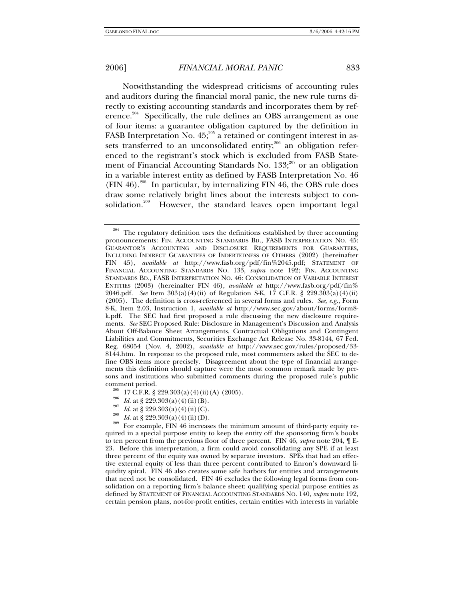Notwithstanding the widespread criticisms of accounting rules and auditors during the financial moral panic, the new rule turns directly to existing accounting standards and incorporates them by reference.<sup>204</sup> Specifically, the rule defines an OBS arrangement as one of four items: a guarantee obligation captured by the definition in FASB Interpretation No. 45;<sup>205</sup> a retained or contingent interest in assets transferred to an unconsolidated entity; $^{206}$  an obligation referenced to the registrant's stock which is excluded from FASB Statement of Financial Accounting Standards No.  $133$ ;<sup>207</sup> or an obligation in a variable interest entity as defined by FASB Interpretation No. 46 (FIN 46). $^{208}$  In particular, by internalizing FIN 46, the OBS rule does draw some relatively bright lines about the interests subject to consolidation.<sup>209</sup> However, the standard leaves open important legal

- 
- 
- 
- 

<sup>205</sup> 17 C.F.R. § 229.303(a) (4) (ii) (A) (2005).<br><sup>205</sup> *Id.* at § 229.303(a) (4) (ii) (B).<br><sup>207</sup> *Id.* at § 229.303(a) (4) (ii) (C).<br><sup>208</sup> *Id.* at § 229.303(a) (4) (ii) (D).<br><sup>208</sup> For example, FIN 46 increases the minim quired in a special purpose entity to keep the entity off the sponsoring firm's books to ten percent from the previous floor of three percent. FIN 46, *supra* note 204, ¶ E-23. Before this interpretation, a firm could avoid consolidating any SPE if at least three percent of the equity was owned by separate investors. SPEs that had an effective external equity of less than three percent contributed to Enron's downward liquidity spiral. FIN 46 also creates some safe harbors for entities and arrangements that need not be consolidated. FIN 46 excludes the following legal forms from consolidation on a reporting firm's balance sheet: qualifying special purpose entities as defined by STATEMENT OF FINANCIAL ACCOUNTING STANDARDS NO. 140, *supra* note 192, certain pension plans, not-for-profit entities, certain entities with interests in variable

<sup>&</sup>lt;sup>204</sup> The regulatory definition uses the definitions established by three accounting pronouncements: FIN. ACCOUNTING STANDARDS BD., FASB INTERPRETATION NO. 45: GUARANTOR'S ACCOUNTING AND DISCLOSURE REQUIREMENTS FOR GUARANTEES, INCLUDING INDIRECT GUARANTEES OF INDEBTEDNESS OF OTHERS (2002) (hereinafter FIN 45), *available at* http://www.fasb.org/pdf/fin%2045.pdf; STATEMENT OF FINANCIAL ACCOUNTING STANDARDS NO. 133, *supra* note 192; FIN. ACCOUNTING STANDARDS BD., FASB INTERPRETATION NO. 46: CONSOLIDATION OF VARIABLE INTEREST ENTITIES (2003) (hereinafter FIN 46), *available at* http://www.fasb.org/pdf/fin% 2046.pdf. *See* Item 303(a)(4)(ii) of Regulation S-K, 17 C.F.R. § 229.303(a)(4)(ii) (2005). The definition is cross-referenced in several forms and rules. *See, e.g.*, Form 8-K, Item 2.03, Instruction 1, *available at* http://www.sec.gov/about/forms/form8 k.pdf. The SEC had first proposed a rule discussing the new disclosure requirements. *See* SEC Proposed Rule: Disclosure in Management's Discussion and Analysis About Off-Balance Sheet Arrangements, Contractual Obligations and Contingent Liabilities and Commitments, Securities Exchange Act Release No. 33-8144, 67 Fed. Reg. 68054 (Nov. 4, 2002), *available at* http://www.sec.gov/rules/proposed/33- 8144.htm. In response to the proposed rule, most commenters asked the SEC to define OBS items more precisely. Disagreement about the type of financial arrangements this definition should capture were the most common remark made by persons and institutions who submitted comments during the proposed rule's public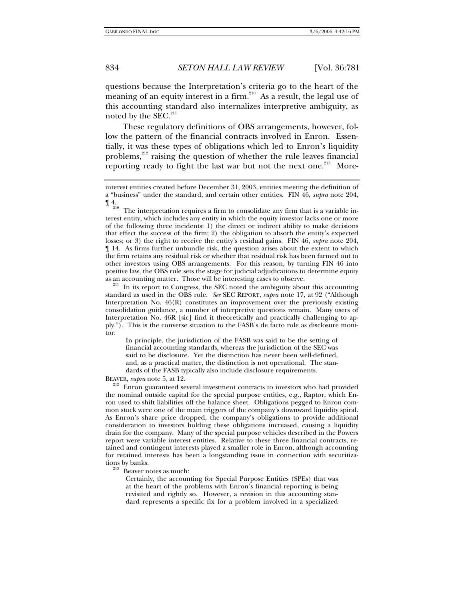questions because the Interpretation's criteria go to the heart of the meaning of an equity interest in a firm.<sup>210</sup> As a result, the legal use of this accounting standard also internalizes interpretive ambiguity, as noted by the SEC. $^{\mathrm{211}}$ 

These regulatory definitions of OBS arrangements, however, follow the pattern of the financial contracts involved in Enron. Essentially, it was these types of obligations which led to Enron's liquidity problems, $212$  raising the question of whether the rule leaves financial reporting ready to fight the last war but not the next one.<sup>213</sup> More-

standard as used in the OBS rule. *See* SEC REPORT, *supra* note 17, at 92 ("Although Interpretation No. 46(R) constitutes an improvement over the previously existing consolidation guidance, a number of interpretive questions remain. Many users of Interpretation No. 46R [sic] find it theoretically and practically challenging to apply."). This is the converse situation to the FASB's de facto role as disclosure monitor:

In principle, the jurisdiction of the FASB was said to be the setting of financial accounting standards, whereas the jurisdiction of the SEC was said to be disclosure. Yet the distinction has never been well-defined, and, as a practical matter, the distinction is not operational. The standards of the FASB typically also include disclosure requirements.

BEAVER, *supra* note 5, at 12.<br><sup>212</sup> Enron guaranteed several investment contracts to investors who had provided the nominal outside capital for the special purpose entities, e.g., Raptor, which Enron used to shift liabilities off the balance sheet. Obligations pegged to Enron common stock were one of the main triggers of the company's downward liquidity spiral. As Enron's share price dropped, the company's obligations to provide additional consideration to investors holding these obligations increased, causing a liquidity drain for the company. Many of the special purpose vehicles described in the Powers report were variable interest entities. Relative to these three financial contracts, retained and contingent interests played a smaller role in Enron, although accounting for retained interests has been a longstanding issue in connection with securitizations by banks.<br><sup>213</sup> Beaver notes as much:

Certainly, the accounting for Special Purpose Entities (SPEs) that was at the heart of the problems with Enron's financial reporting is being revisited and rightly so. However, a revision in this accounting standard represents a specific fix for a problem involved in a specialized

interest entities created before December 31, 2003, entities meeting the definition of a "business" under the standard, and certain other entities. FIN 46, *supra* note 204,<br> **1** 4.<br>
<sup>210</sup> The interpretation requires a firm to consolidate any firm that is a variable in-

The interpretation requires a firm to consolidate any firm that is a variable interest entity, which includes any entity in which the equity investor lacks one or more of the following three incidents: 1) the direct or indirect ability to make decisions that effect the success of the firm; 2) the obligation to absorb the entity's expected losses; or 3) the right to receive the entity's residual gains. FIN 46, *supra* note 204, ¶ 14. As firms further unbundle risk, the question arises about the extent to which the firm retains any residual risk or whether that residual risk has been farmed out to other investors using OBS arrangements. For this reason, by turning FIN 46 into positive law, the OBS rule sets the stage for judicial adjudications to determine equity as an accounting matter. Those will be interesting cases to observe.<br><sup>211</sup> In its report to Congress, the SEC noted the ambiguity about this accounting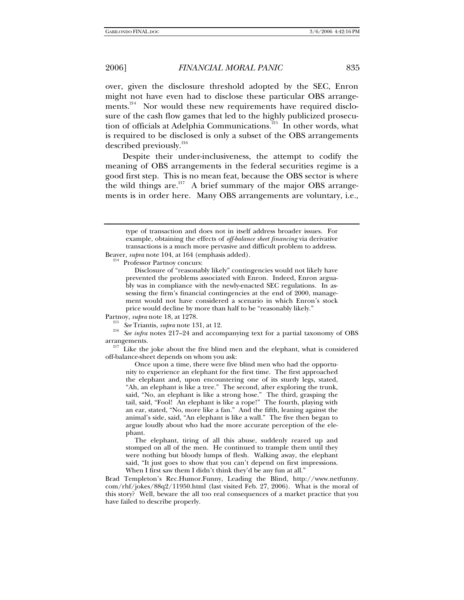over, given the disclosure threshold adopted by the SEC, Enron might not have even had to disclose these particular OBS arrangements.<sup>214</sup> Nor would these new requirements have required disclosure of the cash flow games that led to the highly publicized prosecution of officials at Adelphia Communications.<sup>215</sup> In other words, what is required to be disclosed is only a subset of the OBS arrangements described previously.<sup>216</sup>

Despite their under-inclusiveness, the attempt to codify the meaning of OBS arrangements in the federal securities regime is a good first step. This is no mean feat, because the OBS sector is where the wild things are. $2^{17}$  A brief summary of the major OBS arrangements is in order here. Many OBS arrangements are voluntary, i.e.,

Partnoy, *supra* note 18, at 1278.<br><sup>215</sup> *See* Triantis, *supra* note 131, at 12.<br><sup>216</sup> *See infra* notes 217–24 and accompanying text for a partial taxonomy of OBS arrangements.<br><sup>217</sup> Like the joke about the five blind men and the elephant, what is considered

off-balance-sheet depends on whom you ask:

 Once upon a time, there were five blind men who had the opportunity to experience an elephant for the first time. The first approached the elephant and, upon encountering one of its sturdy legs, stated, "Ah, an elephant is like a tree." The second, after exploring the trunk, said, "No, an elephant is like a strong hose." The third, grasping the tail, said, "Fool! An elephant is like a rope!" The fourth, playing with an ear, stated, "No, more like a fan." And the fifth, leaning against the animal's side, said, "An elephant is like a wall." The five then began to argue loudly about who had the more accurate perception of the elephant.

 The elephant, tiring of all this abuse, suddenly reared up and stomped on all of the men. He continued to trample them until they were nothing but bloody lumps of flesh. Walking away, the elephant said, "It just goes to show that you can't depend on first impressions. When I first saw them I didn't think they'd be any fun at all."

Brad Templeton's Rec.Humor.Funny, Leading the Blind, http://www.netfunny. com/rhf/jokes/88q2/11950.html (last visited Feb. 27, 2006). What is the moral of this story? Well, beware the all too real consequences of a market practice that you have failed to describe properly.

type of transaction and does not in itself address broader issues. For example, obtaining the effects of *off-balance sheet financing* via derivative transactions is a much more pervasive and difficult problem to address. Beaver, *supra* note 104, at 164 (emphasis added).<br><sup>214</sup> Professor Partnoy concurs:

Disclosure of "reasonably likely" contingencies would not likely have prevented the problems associated with Enron. Indeed, Enron arguably was in compliance with the newly-enacted SEC regulations. In assessing the firm's financial contingencies at the end of 2000, management would not have considered a scenario in which Enron's stock price would decline by more than half to be "reasonably likely."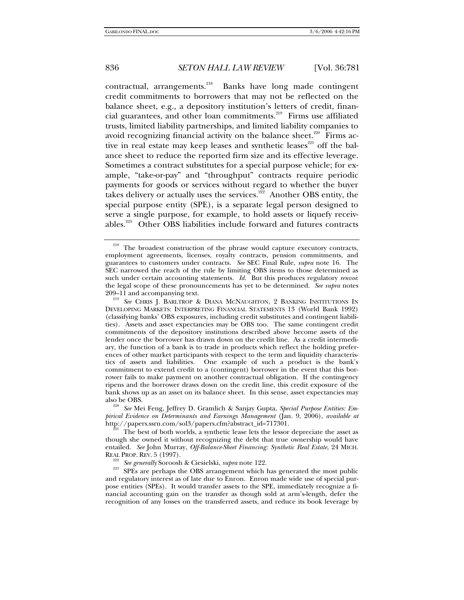contractual, arrangements.<sup>218</sup> Banks have long made contingent credit commitments to borrowers that may not be reflected on the balance sheet, e.g., a depository institution's letters of credit, financial guarantees, and other loan commitments.<sup>219</sup> Firms use affiliated trusts, limited liability partnerships, and limited liability companies to avoid recognizing financial activity on the balance sheet.<sup>220</sup> Firms active in real estate may keep leases and synthetic leases<sup>221</sup> off the balance sheet to reduce the reported firm size and its effective leverage. Sometimes a contract substitutes for a special purpose vehicle; for example, "take-or-pay" and "throughput" contracts require periodic payments for goods or services without regard to whether the buyer takes delivery or actually uses the services. $222$  Another OBS entity, the special purpose entity (SPE), is a separate legal person designed to serve a single purpose, for example, to hold assets or liquefy receivables.<sup>223</sup> Other OBS liabilities include forward and futures contracts

<sup>&</sup>lt;sup>218</sup> The broadest construction of the phrase would capture executory contracts, employment agreements, licenses, royalty contracts, pension commitments, and guarantees to customers under contracts. *See* SEC Final Rule, *supra* note 16. The SEC narrowed the reach of the rule by limiting OBS items to those determined as such under certain accounting statements. *Id.* But this produces regulatory *renvoi*: the legal scope of these pronouncements has yet to be determined. *See supra* notes

<sup>209–11</sup> and accompanying text. 219 *See* CHRIS J. BARLTROP & DIANA MCNAUGHTON, <sup>2</sup> BANKING INSTITUTIONS IN DEVELOPING MARKETS: INTERPRETING FINANCIAL STATEMENTS 13 (World Bank 1992) (classifying banks' OBS exposures, including credit substitutes and contingent liabilities). Assets and asset expectancies may be OBS too. The same contingent credit commitments of the depository institutions described above become assets of the lender once the borrower has drawn down on the credit line. As a credit intermediary, the function of a bank is to trade in products which reflect the holding preferences of other market participants with respect to the term and liquidity characteristics of assets and liabilities. One example of such a product is the bank's commitment to extend credit to a (contingent) borrower in the event that this borrower fails to make payment on another contractual obligation. If the contingency ripens and the borrower draws down on the credit line, this credit exposure of the bank shows up as an asset on its balance sheet. In this sense, asset expectancies may

<sup>&</sup>lt;sup>220</sup> See Mei Feng, Jeffrey D. Gramlich & Sanjay Gupta, *Special Purpose Entities: Empirical Evidence on Determinants and Earnings Management* (Jan. 9, 2006), *available at*

The best of both worlds, a synthetic lease lets the lessor depreciate the asset as though she owned it without recognizing the debt that true ownership would have entailed. *See* John Murray, *Off-Balance-Sheet Financing: Synthetic Real Estate*, 24 MICH.

REAL PROP. REV. 5 (1997). 222 *See generally* Soroosh & Ciesielski, *supra* note 122. 223 SPEs are perhaps the OBS arrangement which has generated the most public and regulatory interest as of late due to Enron. Enron made wide use of special purpose entities (SPEs). It would transfer assets to the SPE, immediately recognize a financial accounting gain on the transfer as though sold at arm's-length, defer the recognition of any losses on the transferred assets, and reduce its book leverage by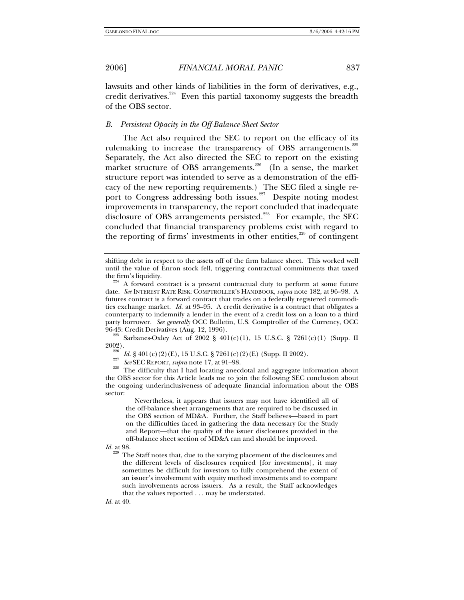lawsuits and other kinds of liabilities in the form of derivatives, e.g., credit derivatives. $224$  Even this partial taxonomy suggests the breadth of the OBS sector.

### *B. Persistent Opacity in the Off-Balance-Sheet Sector*

The Act also required the SEC to report on the efficacy of its rulemaking to increase the transparency of OBS arrangements.<sup>225</sup> Separately, the Act also directed the SEC to report on the existing market structure of OBS arrangements.<sup>226</sup> (In a sense, the market structure report was intended to serve as a demonstration of the efficacy of the new reporting requirements.) The SEC filed a single report to Congress addressing both issues.<sup>227</sup> Despite noting modest improvements in transparency, the report concluded that inadequate disclosure of OBS arrangements persisted.<sup>228</sup> For example, the SEC concluded that financial transparency problems exist with regard to the reporting of firms' investments in other entities, $229$  of contingent

96-43: Credit Derivatives (Aug. 12, 1996).<br><sup>225</sup> Sarbanes-Oxley Act of 2002 § 401(c)(1), 15 U.S.C. § 7261(c)(1) (Supp. II<br>2002).

<sup>226</sup> Id. § 401(c)(2)(E), 15 U.S.C. § 7261(c)(2)(E) (Supp. II 2002).<br><sup>227</sup> See SEC REPORT, *supra* note 17, at 91–98.<br><sup>228</sup> The difficulty that I had locating anecdotal and aggregate information about the OBS sector for this Article leads me to join the following SEC conclusion about the ongoing underinclusiveness of adequate financial information about the OBS sector:

 Nevertheless, it appears that issuers may not have identified all of the off-balance sheet arrangements that are required to be discussed in the OBS section of MD&A. Further, the Staff believes—based in part on the difficulties faced in gathering the data necessary for the Study and Report—that the quality of the issuer disclosures provided in the off-balance sheet section of MD&A can and should be improved.

<sup>229</sup> The Staff notes that, due to the varying placement of the disclosures and the different levels of disclosures required [for investments], it may sometimes be difficult for investors to fully comprehend the extent of an issuer's involvement with equity method investments and to compare such involvements across issuers. As a result, the Staff acknowledges that the values reported . . . may be understated.

*Id.* at 40.

shifting debt in respect to the assets off of the firm balance sheet. This worked well until the value of Enron stock fell, triggering contractual commitments that taxed

 $t_{224}$  A forward contract is a present contractual duty to perform at some future date. *See* INTEREST RATE RISK: COMPTROLLER'S HANDBOOK, *supra* note 182, at 96–98. A futures contract is a forward contract that trades on a federally registered commodities exchange market. *Id.* at 93–95. A credit derivative is a contract that obligates a counterparty to indemnify a lender in the event of a credit loss on a loan to a third party borrower. *See generally* OCC Bulletin, U.S. Comptroller of the Currency, OCC

*Id.* at 98.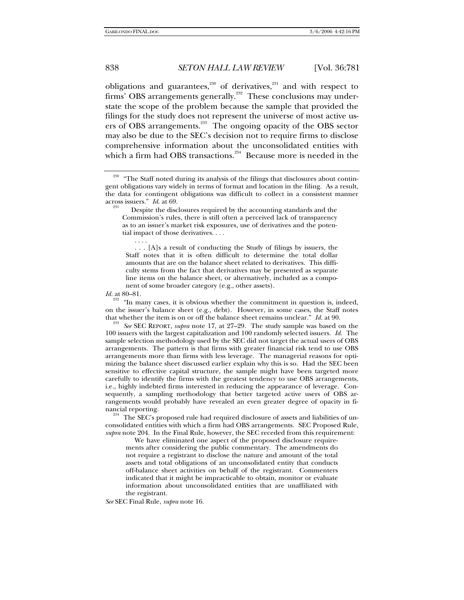obligations and guarantees, $230$  of derivatives, $231$  and with respect to firms' OBS arrangements generally.<sup>232</sup> These conclusions may understate the scope of the problem because the sample that provided the filings for the study does not represent the universe of most active users of OBS arrangements.233 The ongoing opacity of the OBS sector may also be due to the SEC's decision not to require firms to disclose comprehensive information about the unconsolidated entities with which a firm had OBS transactions.<sup>234</sup> Because more is needed in the

*Id.* at 80–81.

232 "In many cases, it is obvious whether the commitment in question is, indeed, on the issuer's balance sheet (e.g., debt). However, in some cases, the Staff notes that whether the item is on or off the balance sheet remains unclear." *Id.* at 90.<br><sup>233</sup> See SEC REPORT, *supra* note 17, at 27–29. The study sample was based on the

100 issuers with the largest capitalization and 100 randomly selected issuers. *Id.* The sample selection methodology used by the SEC did not target the actual users of OBS arrangements. The pattern is that firms with greater financial risk tend to use OBS arrangements more than firms with less leverage. The managerial reasons for optimizing the balance sheet discussed earlier explain why this is so. Had the SEC been sensitive to effective capital structure, the sample might have been targeted more carefully to identify the firms with the greatest tendency to use OBS arrangements, i.e., highly indebted firms interested in reducing the appearance of leverage. Consequently, a sampling methodology that better targeted active users of OBS arrangements would probably have revealed an even greater degree of opacity in financial reporting.<br><sup>234</sup> The SEC's proposed rule had required disclosure of assets and liabilities of un-

consolidated entities with which a firm had OBS arrangements. SEC Proposed Rule, *supra* note 204. In the Final Rule, however, the SEC receded from this requirement:

 We have eliminated one aspect of the proposed disclosure requirements after considering the public commentary. The amendments do not require a registrant to disclose the nature and amount of the total assets and total obligations of an unconsolidated entity that conducts off-balance sheet activities on behalf of the registrant. Commenters indicated that it might be impracticable to obtain, monitor or evaluate information about unconsolidated entities that are unaffiliated with the registrant.

*See* SEC Final Rule, *supra* note 16.

<sup>&</sup>lt;sup>230</sup> "The Staff noted during its analysis of the filings that disclosures about contingent obligations vary widely in terms of format and location in the filing. As a result, the data for contingent obligations was difficult to collect in a consistent manner across issuers." *Id.* at 69.<br><sup>231</sup> Despite the disclosures required by the accounting standards and the

Commission's rules, there is still often a perceived lack of transparency as to an issuer's market risk exposures, use of derivatives and the potential impact of those derivatives. . . .

<sup>. . . . . .</sup>  . . . [A]s a result of conducting the Study of filings by issuers, the Staff notes that it is often difficult to determine the total dollar amounts that are on the balance sheet related to derivatives. This difficulty stems from the fact that derivatives may be presented as separate line items on the balance sheet, or alternatively, included as a component of some broader category (e.g., other assets).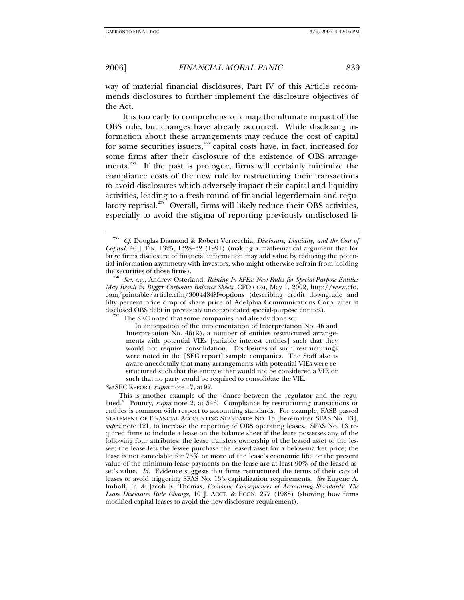way of material financial disclosures, Part IV of this Article recommends disclosures to further implement the disclosure objectives of the Act.

It is too early to comprehensively map the ultimate impact of the OBS rule, but changes have already occurred. While disclosing information about these arrangements may reduce the cost of capital for some securities issuers, $235$  capital costs have, in fact, increased for some firms after their disclosure of the existence of OBS arrangements.<sup>236</sup> If the past is prologue, firms will certainly minimize the compliance costs of the new rule by restructuring their transactions to avoid disclosures which adversely impact their capital and liquidity activities, leading to a fresh round of financial legerdemain and regulatory reprisal. $237$  Overall, firms will likely reduce their OBS activities, especially to avoid the stigma of reporting previously undisclosed li-

*See* SEC REPORT, *supra* note 17, at 92.

<sup>235</sup> *Cf.* Douglas Diamond & Robert Verrecchia, *Disclosure, Liquidity, and the Cost of Capital*, 46 J. FIN. 1325, 1328–32 (1991) (making a mathematical argument that for large firms disclosure of financial information may add value by reducing the potential information asymmetry with investors, who might otherwise refrain from holding the securities of those firms). 236 *See, e.g.*, Andrew Osterland, *Reining In SPEs: New Rules for Special-Purpose Entities* 

*May Result in Bigger Corporate Balance Sheets*, CFO.COM, May 1, 2002, http://www.cfo. com/printable/article.cfm/3004484?f=options (describing credit downgrade and fifty percent price drop of share price of Adelphia Communications Corp. after it disclosed OBS debt in previously unconsolidated special-purpose entities). 237 The SEC noted that some companies had already done so:

In anticipation of the implementation of Interpretation No. 46 and Interpretation No.  $46(R)$ , a number of entities restructured arrangements with potential VIEs [variable interest entities] such that they would not require consolidation. Disclosures of such restructurings were noted in the [SEC report] sample companies. The Staff also is aware anecdotally that many arrangements with potential VIEs were restructured such that the entity either would not be considered a VIE or such that no party would be required to consolidate the VIE.

This is another example of the "dance between the regulator and the regulated." Pouncy, *supra* note 2, at 546. Compliance by restructuring transactions or entities is common with respect to accounting standards. For example, FASB passed STATEMENT OF FINANCIAL ACCOUNTING STANDARDS NO. 13 [hereinafter SFAS No. 13], *supra* note 121, to increase the reporting of OBS operating leases. SFAS No. 13 required firms to include a lease on the balance sheet if the lease possesses any of the following four attributes: the lease transfers ownership of the leased asset to the lessee; the lease lets the lessee purchase the leased asset for a below-market price; the lease is not cancelable for 75% or more of the lease's economic life; or the present value of the minimum lease payments on the lease are at least 90% of the leased asset's value. *Id.* Evidence suggests that firms restructured the terms of their capital leases to avoid triggering SFAS No. 13's capitalization requirements. *See* Eugene A. Imhoff, Jr. & Jacob K. Thomas, *Economic Consequences of Accounting Standards: The Lease Disclosure Rule Change*, 10 J. ACCT. & ECON. 277 (1988) (showing how firms modified capital leases to avoid the new disclosure requirement).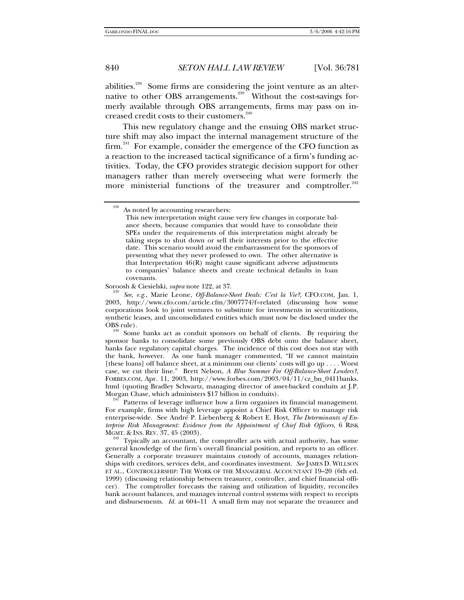abilities.<sup>238</sup> Some firms are considering the joint venture as an alternative to other OBS arrangements.<sup>239</sup> Without the cost-savings formerly available through OBS arrangements, firms may pass on increased credit costs to their customers.<sup>240</sup>

This new regulatory change and the ensuing OBS market structure shift may also impact the internal management structure of the firm.<sup>241</sup> For example, consider the emergence of the CFO function as a reaction to the increased tactical significance of a firm's funding activities. Today, the CFO provides strategic decision support for other managers rather than merely overseeing what were formerly the more ministerial functions of the treasurer and comptroller.<sup>242</sup>

Some banks act as conduit sponsors on behalf of clients. By requiring the sponsor banks to consolidate some previously OBS debt onto the balance sheet, banks face regulatory capital charges. The incidence of this cost does not stay with the bank, however. As one bank manager commented, "If we cannot maintain [these loans] off balance sheet, at a minimum our clients' costs will go up . . . . Worst case, we cut their line." Brett Nelson, *A Blue Summer For Off-Balance-Sheet Lenders?*, FORBES.COM, Apr. 11, 2003, http://www.forbes.com/2003/04/11/cz\_bn\_0411banks. html (quoting Bradley Schwartz, managing director of asset-backed conduits at J.P. Morgan Chase, which administers \$17 billion in conduits).

Patterns of leverage influence how a firm organizes its financial management. For example, firms with high leverage appoint a Chief Risk Officer to manage risk enterprise-wide. See André P. Liebenberg & Robert E. Hoyt, *The Determinants of Enterprise Risk Management: Evidence from the Appointment of Chief Risk Officers*, 6 RISK

 $242$  Typically an accountant, the comptroller acts with actual authority, has some general knowledge of the firm's overall financial position, and reports to an officer. Generally a corporate treasurer maintains custody of accounts, manages relationships with creditors, services debt, and coordinates investment. *See* JAMES D. WILLSON ET AL., CONTROLLERSHIP: THE WORK OF THE MANAGERIAL ACCOUNTANT 19–20 (6th ed. 1999) (discussing relationship between treasurer, controller, and chief financial officer). The comptroller forecasts the raising and utilization of liquidity, reconciles bank account balances, and manages internal control systems with respect to receipts and disbursements. *Id.* at 604–11 A small firm may not separate the treasurer and

As noted by accounting researchers:

This new interpretation might cause very few changes in corporate balance sheets, because companies that would have to consolidate their SPEs under the requirements of this interpretation might already be taking steps to shut down or sell their interests prior to the effective date. This scenario would avoid the embarrassment for the sponsors of presenting what they never professed to own. The other alternative is that Interpretation  $46(R)$  might cause significant adverse adjustments to companies' balance sheets and create technical defaults in loan covenants.

Soroosh & Ciesielski, *supra* note 122, at 37. 239 *See, e.g.*, Marie Leone, *Off-Balance-Sheet Deals: C'est la Vie?*, CFO.COM, Jan. 1, 2003, http://www.cfo.com/article.cfm/3007774?f=related (discussing how some corporations look to joint ventures to substitute for investments in securitizations, synthetic leases, and unconsolidated entities which must now be disclosed under the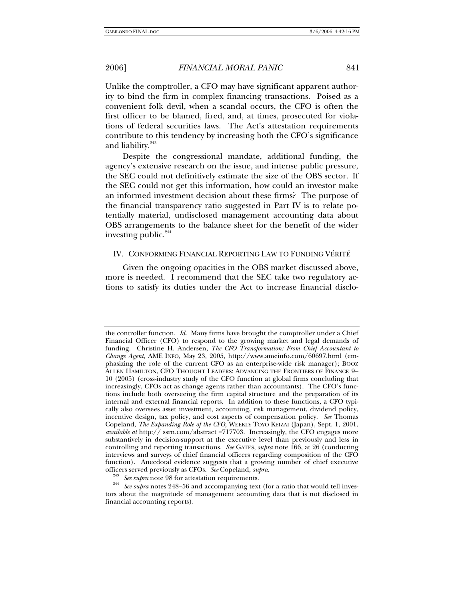Unlike the comptroller, a CFO may have significant apparent authority to bind the firm in complex financing transactions. Poised as a convenient folk devil, when a scandal occurs, the CFO is often the first officer to be blamed, fired, and, at times, prosecuted for violations of federal securities laws. The Act's attestation requirements contribute to this tendency by increasing both the CFO's significance and liability.<sup>243</sup>

Despite the congressional mandate, additional funding, the agency's extensive research on the issue, and intense public pressure, the SEC could not definitively estimate the size of the OBS sector. If the SEC could not get this information, how could an investor make an informed investment decision about these firms? The purpose of the financial transparency ratio suggested in Part IV is to relate potentially material, undisclosed management accounting data about OBS arrangements to the balance sheet for the benefit of the wider investing public. $244$ 

### IV. CONFORMING FINANCIAL REPORTING LAW TO FUNDING VÉRITÉ

Given the ongoing opacities in the OBS market discussed above, more is needed. I recommend that the SEC take two regulatory actions to satisfy its duties under the Act to increase financial disclo-

the controller function. *Id.* Many firms have brought the comptroller under a Chief Financial Officer (CFO) to respond to the growing market and legal demands of funding. Christine H. Andersen, *The CFO Transformation: From Chief Accountant to Change Agent*, AME INFO, May 23, 2005, http://www.ameinfo.com/60697.html (emphasizing the role of the current CFO as an enterprise-wide risk manager); BOOZ ALLEN HAMILTON, CFO THOUGHT LEADERS: ADVANCING THE FRONTIERS OF FINANCE 9– 10 (2005) (cross-industry study of the CFO function at global firms concluding that increasingly, CFOs act as change agents rather than accountants). The CFO's functions include both overseeing the firm capital structure and the preparation of its internal and external financial reports. In addition to these functions, a CFO typically also oversees asset investment, accounting, risk management, dividend policy, incentive design, tax policy, and cost aspects of compensation policy. *See* Thomas Copeland, *The Expanding Role of the CFO*, WEEKLY TOYO KEIZAI (Japan), Sept. 1, 2001, *available at* http:// ssrn.com/abstract =717703. Increasingly, the CFO engages more substantively in decision-support at the executive level than previously and less in controlling and reporting transactions. *See* GATES, *supra* note 166, at 26 (conducting interviews and surveys of chief financial officers regarding composition of the CFO function). Anecdotal evidence suggests that a growing number of chief executive officers served previously as CFOs. See Copeland, supra.

<sup>&</sup>lt;sup>243</sup> See supra note 98 for attestation requirements.<br><sup>244</sup> See supra notes 248–56 and accompanying text (for a ratio that would tell investors about the magnitude of management accounting data that is not disclosed in financial accounting reports).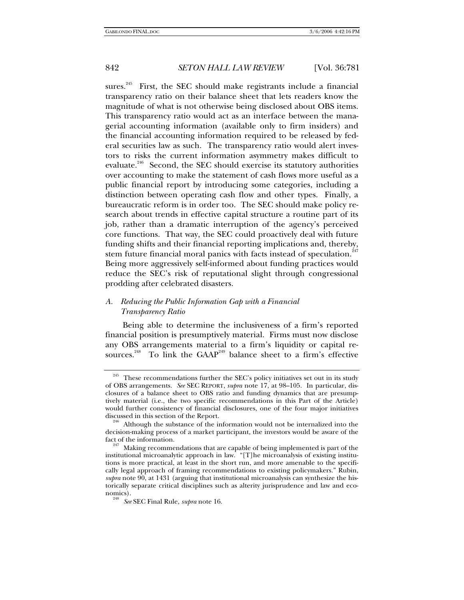sures. $245$  First, the SEC should make registrants include a financial transparency ratio on their balance sheet that lets readers know the magnitude of what is not otherwise being disclosed about OBS items. This transparency ratio would act as an interface between the managerial accounting information (available only to firm insiders) and the financial accounting information required to be released by federal securities law as such. The transparency ratio would alert investors to risks the current information asymmetry makes difficult to evaluate.<sup>246</sup> Second, the SEC should exercise its statutory authorities over accounting to make the statement of cash flows more useful as a public financial report by introducing some categories, including a distinction between operating cash flow and other types. Finally, a bureaucratic reform is in order too. The SEC should make policy research about trends in effective capital structure a routine part of its job, rather than a dramatic interruption of the agency's perceived core functions. That way, the SEC could proactively deal with future funding shifts and their financial reporting implications and, thereby, stem future financial moral panics with facts instead of speculation.<sup>247</sup> Being more aggressively self-informed about funding practices would reduce the SEC's risk of reputational slight through congressional prodding after celebrated disasters.

# *A. Reducing the Public Information Gap with a Financial Transparency Ratio*

Being able to determine the inclusiveness of a firm's reported financial position is presumptively material. Firms must now disclose any OBS arrangements material to a firm's liquidity or capital resources.<sup>248</sup> To link the GAAP<sup>249</sup> balance sheet to a firm's effective

<sup>&</sup>lt;sup>245</sup> These recommendations further the SEC's policy initiatives set out in its study of OBS arrangements. *See* SEC REPORT, *supra* note 17, at 98–105. In particular, disclosures of a balance sheet to OBS ratio and funding dynamics that are presumptively material (i.e., the two specific recommendations in this Part of the Article) would further consistency of financial disclosures, one of the four major initiatives

 $246$  Although the substance of the information would not be internalized into the decision-making process of a market participant, the investors would be aware of the fact of the information.<br><sup>247</sup> Making recommendations that are capable of being implemented is part of the

institutional microanalytic approach in law. "[T]he microanalysis of existing institutions is more practical, at least in the short run, and more amenable to the specifically legal approach of framing recommendations to existing policymakers." Rubin, *supra* note 90, at 1431 (arguing that institutional microanalysis can synthesize the historically separate critical disciplines such as alterity jurisprudence and law and economics). 248 *See* SEC Final Rule, *supra* note 16.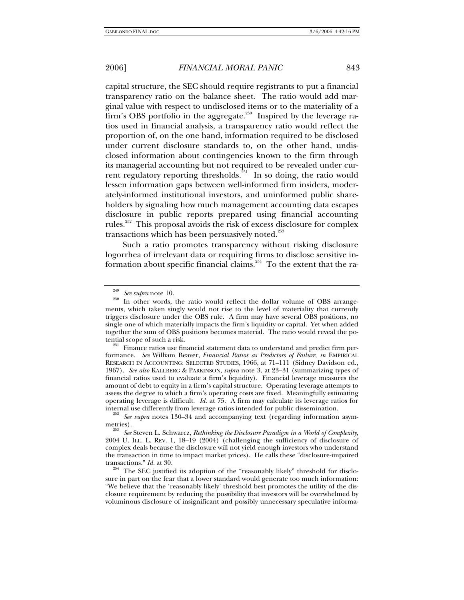capital structure, the SEC should require registrants to put a financial transparency ratio on the balance sheet. The ratio would add marginal value with respect to undisclosed items or to the materiality of a firm's OBS portfolio in the aggregate.<sup>250</sup> Inspired by the leverage ratios used in financial analysis, a transparency ratio would reflect the proportion of, on the one hand, information required to be disclosed under current disclosure standards to, on the other hand, undisclosed information about contingencies known to the firm through its managerial accounting but not required to be revealed under current regulatory reporting thresholds.<sup> $251$ </sup> In so doing, the ratio would lessen information gaps between well-informed firm insiders, moderately-informed institutional investors, and uninformed public shareholders by signaling how much management accounting data escapes disclosure in public reports prepared using financial accounting rules.<sup>252</sup> This proposal avoids the risk of excess disclosure for complex transactions which has been persuasively noted.<sup>253</sup>

Such a ratio promotes transparency without risking disclosure logorrhea of irrelevant data or requiring firms to disclose sensitive information about specific financial claims.<sup>254</sup> To the extent that the ra-

<sup>&</sup>lt;sup>249</sup> See supra note 10.<br><sup>250</sup> In other words, the ratio would reflect the dollar volume of OBS arrangements, which taken singly would not rise to the level of materiality that currently triggers disclosure under the OBS rule. A firm may have several OBS positions, no single one of which materially impacts the firm's liquidity or capital. Yet when added together the sum of OBS positions becomes material. The ratio would reveal the potential scope of such a risk.<br><sup>251</sup> Finance ratios use financial statement data to understand and predict firm per-

formance. *See* William Beaver, *Financial Ratios as Predictors of Failure*, *in* EMPIRICAL RESEARCH IN ACCOUNTING: SELECTED STUDIES, 1966, at 71–111 (Sidney Davidson ed., 1967). *See also* KALLBERG & PARKINSON, *supra* note 3, at 23–31 (summarizing types of financial ratios used to evaluate a firm's liquidity). Financial leverage measures the amount of debt to equity in a firm's capital structure. Operating leverage attempts to assess the degree to which a firm's operating costs are fixed. Meaningfully estimating operating leverage is difficult. *Id.* at 75. A firm may calculate its leverage ratios for internal use differently from leverage ratios intended for public dissemination. 252 *See supra* notes 130–34 and accompanying text (regarding information asym-

metries).<br><sup>253</sup> See Steven L. Schwarcz, *Rethinking the Disclosure Paradigm in a World of Complexity*,

<sup>2004</sup> U. ILL. L. REV. 1, 18–19 (2004) (challenging the sufficiency of disclosure of complex deals because the disclosure will not yield enough investors who understand the transaction in time to impact market prices). He calls these "disclosure-impaired

transactions." *Id.* at 30.<br><sup>254</sup> The SEC justified its adoption of the "reasonably likely" threshold for disclosure in part on the fear that a lower standard would generate too much information: "We believe that the 'reasonably likely' threshold best promotes the utility of the disclosure requirement by reducing the possibility that investors will be overwhelmed by voluminous disclosure of insignificant and possibly unnecessary speculative informa-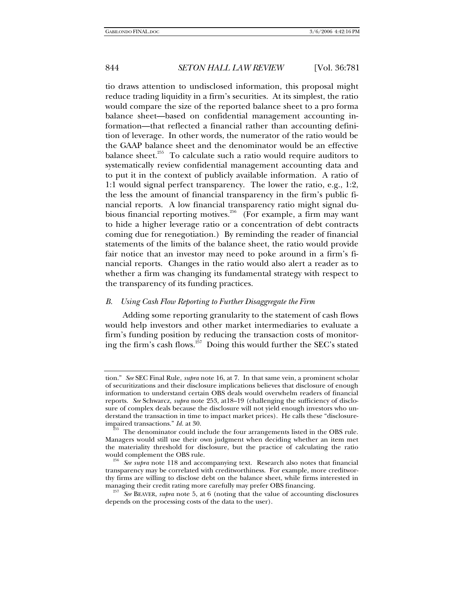tio draws attention to undisclosed information, this proposal might reduce trading liquidity in a firm's securities. At its simplest, the ratio would compare the size of the reported balance sheet to a pro forma balance sheet—based on confidential management accounting information—that reflected a financial rather than accounting definition of leverage. In other words, the numerator of the ratio would be the GAAP balance sheet and the denominator would be an effective balance sheet.<sup>255</sup> To calculate such a ratio would require auditors to systematically review confidential management accounting data and to put it in the context of publicly available information. A ratio of 1:1 would signal perfect transparency. The lower the ratio, e.g., 1:2, the less the amount of financial transparency in the firm's public financial reports. A low financial transparency ratio might signal dubious financial reporting motives.<sup>256</sup> (For example, a firm may want to hide a higher leverage ratio or a concentration of debt contracts coming due for renegotiation.) By reminding the reader of financial statements of the limits of the balance sheet, the ratio would provide fair notice that an investor may need to poke around in a firm's financial reports. Changes in the ratio would also alert a reader as to whether a firm was changing its fundamental strategy with respect to the transparency of its funding practices.

#### *B. Using Cash Flow Reporting to Further Disaggregate the Firm*

Adding some reporting granularity to the statement of cash flows would help investors and other market intermediaries to evaluate a firm's funding position by reducing the transaction costs of monitoring the firm's cash flows.257 Doing this would further the SEC's stated

tion." *See* SEC Final Rule, *supra* note 16, at 7. In that same vein, a prominent scholar of securitizations and their disclosure implications believes that disclosure of enough information to understand certain OBS deals would overwhelm readers of financial reports. *See* Schwarcz, *supra* note 253, at18–19 (challenging the sufficiency of disclosure of complex deals because the disclosure will not yield enough investors who understand the transaction in time to impact market prices). He calls these "disclosure-<br>impaired transactions."  $Id.$  at 30.

The denominator could include the four arrangements listed in the OBS rule. Managers would still use their own judgment when deciding whether an item met the materiality threshold for disclosure, but the practice of calculating the ratio

See supra note 118 and accompanying text. Research also notes that financial transparency may be correlated with creditworthiness. For example, more creditworthy firms are willing to disclose debt on the balance sheet, while firms interested in managing their credit rating more carefully may prefer OBS financing. 257 *See* BEAVER, *supra* note 5, at 6 (noting that the value of accounting disclosures

depends on the processing costs of the data to the user).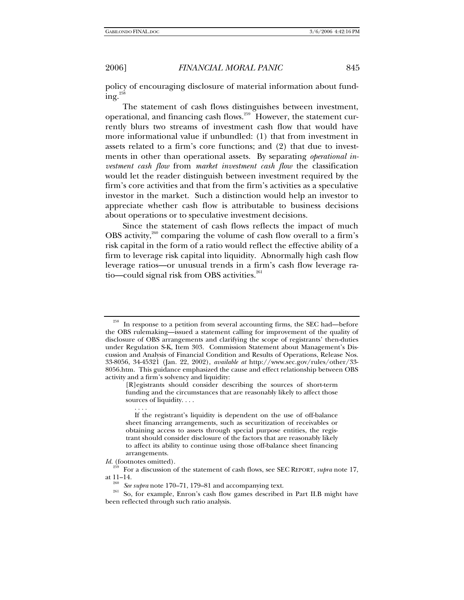policy of encouraging disclosure of material information about fund $ing.^{258}$ 

The statement of cash flows distinguishes between investment, operational, and financing cash flows.<sup>259</sup> However, the statement currently blurs two streams of investment cash flow that would have more informational value if unbundled: (1) that from investment in assets related to a firm's core functions; and (2) that due to investments in other than operational assets. By separating *operational investment cash flow* from *market investment cash flow* the classification would let the reader distinguish between investment required by the firm's core activities and that from the firm's activities as a speculative investor in the market. Such a distinction would help an investor to appreciate whether cash flow is attributable to business decisions about operations or to speculative investment decisions.

Since the statement of cash flows reflects the impact of much OBS activity, $260$  comparing the volume of cash flow overall to a firm's risk capital in the form of a ratio would reflect the effective ability of a firm to leverage risk capital into liquidity. Abnormally high cash flow leverage ratios—or unusual trends in a firm's cash flow leverage ratio—could signal risk from OBS activities.<sup>261</sup>

. . . .

<sup>&</sup>lt;sup>258</sup> In response to a petition from several accounting firms, the SEC had—before the OBS rulemaking—issued a statement calling for improvement of the quality of disclosure of OBS arrangements and clarifying the scope of registrants' then-duties under Regulation S-K, Item 303. Commission Statement about Management's Discussion and Analysis of Financial Condition and Results of Operations, Release Nos. 33-8056, 34-45321 (Jan. 22, 2002), *available at* http://www.sec.gov/rules/other/33- 8056.htm. This guidance emphasized the cause and effect relationship between OBS activity and a firm's solvency and liquidity:

<sup>[</sup>R]egistrants should consider describing the sources of short-term funding and the circumstances that are reasonably likely to affect those sources of liquidity. . . .

If the registrant's liquidity is dependent on the use of off-balance sheet financing arrangements, such as securitization of receivables or obtaining access to assets through special purpose entities, the registrant should consider disclosure of the factors that are reasonably likely to affect its ability to continue using those off-balance sheet financing arrangements.

*Id.* (footnotes omitted).

<sup>259</sup> For a discussion of the statement of cash flows, see SEC REPORT, *supra* note 17,

at 11–14.<br><sup>260</sup> See *supra* note 170–71, 179–81 and accompanying text.<br><sup>261</sup> So, for example, Enron's cash flow games described in Part II.B might have been reflected through such ratio analysis.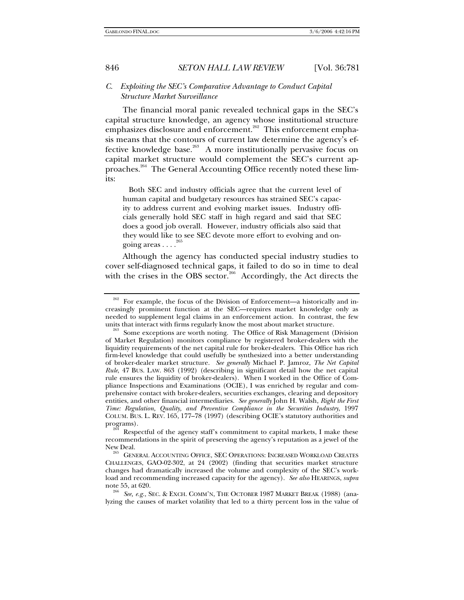### *C. Exploiting the SEC's Comparative Advantage to Conduct Capital Structure Market Surveillance*

The financial moral panic revealed technical gaps in the SEC's capital structure knowledge, an agency whose institutional structure emphasizes disclosure and enforcement.<sup>262</sup> This enforcement emphasis means that the contours of current law determine the agency's effective knowledge base.<sup>263</sup> A more institutionally pervasive focus on capital market structure would complement the SEC's current approaches.<sup>264</sup> The General Accounting Office recently noted these limits:

 Both SEC and industry officials agree that the current level of human capital and budgetary resources has strained SEC's capacity to address current and evolving market issues. Industry officials generally hold SEC staff in high regard and said that SEC does a good job overall. However, industry officials also said that they would like to see SEC devote more effort to evolving and ongoing areas . . .  $^{265}$ 

Although the agency has conducted special industry studies to cover self-diagnosed technical gaps, it failed to do so in time to deal with the crises in the OBS sector.<sup>266</sup> Accordingly, the Act directs the

<sup>262</sup> For example, the focus of the Division of Enforcement—a historically and increasingly prominent function at the SEC—requires market knowledge only as needed to supplement legal claims in an enforcement action. In contrast, the few units that interact with firms regularly know the most about market structure.<br><sup>263</sup> Some exceptions are worth noting. The Office of Risk Management (Division

of Market Regulation) monitors compliance by registered broker-dealers with the liquidity requirements of the net capital rule for broker-dealers. This Office has rich firm-level knowledge that could usefully be synthesized into a better understanding of broker-dealer market structure. *See generally* Michael P. Jamroz, *The Net Capital Rule*, 47 BUS. LAW. 863 (1992) (describing in significant detail how the net capital rule ensures the liquidity of broker-dealers). When I worked in the Office of Compliance Inspections and Examinations (OCIE), I was enriched by regular and comprehensive contact with broker-dealers, securities exchanges, clearing and depository entities, and other financial intermediaries. *See generally* John H. Walsh, *Right the First Time: Regulation, Quality, and Preventive Compliance in the Securities Industry*, 1997 COLUM. BUS. L. REV. 165, 177–78 (1997) (describing OCIE's statutory authorities and

Respectful of the agency staff's commitment to capital markets, I make these recommendations in the spirit of preserving the agency's reputation as a jewel of the

New Deal. 265 GENERAL ACCOUNTING OFFICE, SEC OPERATIONS: INCREASED WORKLOAD CREATES CHALLENGES, GAO-02-302, at 24 (2002) (finding that securities market structure changes had dramatically increased the volume and complexity of the SEC's workload and recommending increased capacity for the agency). *See also* HEARINGS, *supra*  note 55, at 620.<br><sup>266</sup> See, e.g., Sec. & Exch. COMM'N, The October 1987 Market Break (1988) (ana-

lyzing the causes of market volatility that led to a thirty percent loss in the value of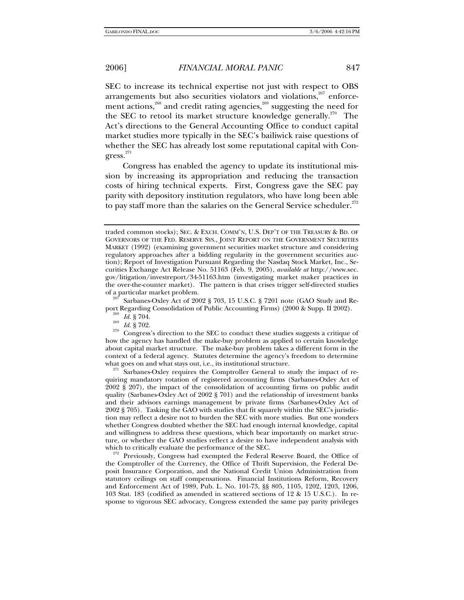SEC to increase its technical expertise not just with respect to OBS arrangements but also securities violators and violations, $267$  enforcement actions,<sup>268</sup> and credit rating agencies,<sup>269</sup> suggesting the need for the SEC to retool its market structure knowledge generally.<sup>270</sup> The Act's directions to the General Accounting Office to conduct capital market studies more typically in the SEC's bailiwick raise questions of whether the SEC has already lost some reputational capital with Con $gress.<sup>271</sup>$ 

Congress has enabled the agency to update its institutional mission by increasing its appropriation and reducing the transaction costs of hiring technical experts. First, Congress gave the SEC pay parity with depository institution regulators, who have long been able to pay staff more than the salaries on the General Service scheduler.<sup>272</sup>

of a particular market problem.<br><sup>267</sup> Sarbanes-Oxley Act of 2002 § 703, 15 U.S.C. § 7201 note (GAO Study and Report Regarding Consolidation of Public Accounting Firms) (2000 & Supp. II 2002).<br><sup>268</sup> *Id.* § 704.<br><sup>269</sup> *Id.* § 702.<br>Congress's direction to the SEC to conduct these studies suggests a critique of

Sarbanes-Oxley requires the Comptroller General to study the impact of requiring mandatory rotation of registered accounting firms (Sarbanes-Oxley Act of  $2002 \frac{\text{g}}{\text{g}} 207$ , the impact of the consolidation of accounting firms on public audit quality (Sarbanes-Oxley Act of 2002 § 701) and the relationship of investment banks and their advisors earnings management by private firms (Sarbanes-Oxley Act of 2002 § 705). Tasking the GAO with studies that fit squarely within the SEC's jurisdiction may reflect a desire not to burden the SEC with more studies. But one wonders whether Congress doubted whether the SEC had enough internal knowledge, capital and willingness to address these questions, which bear importantly on market structure, or whether the GAO studies reflect a desire to have independent analysis with

<sup>272</sup> Previously, Congress had exempted the Federal Reserve Board, the Office of the Comptroller of the Currency, the Office of Thrift Supervision, the Federal Deposit Insurance Corporation, and the National Credit Union Administration from statutory ceilings on staff compensations. Financial Institutions Reform, Recovery and Enforcement Act of 1989, Pub. L. No. 101-73, §§ 805, 1105, 1202, 1203, 1206, 103 Stat. 183 (codified as amended in scattered sections of 12 & 15 U.S.C.). In response to vigorous SEC advocacy, Congress extended the same pay parity privileges

traded common stocks); SEC. & EXCH. COMM'N, U.S. DEP'T OF THE TREASURY & BD. OF GOVERNORS OF THE FED. RESERVE SYS., JOINT REPORT ON THE GOVERNMENT SECURITIES MARKET (1992) (examining government securities market structure and considering regulatory approaches after a bidding regularity in the government securities auction); Report of Investigation Pursuant Regarding the Nasdaq Stock Market, Inc., Securities Exchange Act Release No. 51163 (Feb. 9, 2005), *available at* http://www.sec. gov/litigation/investreport/34-51163.htm (investigating market maker practices in the over-the-counter market). The pattern is that crises trigger self-directed studies

how the agency has handled the make-buy problem as applied to certain knowledge about capital market structure. The make-buy problem takes a different form in the context of a federal agency. Statutes determine the agency's freedom to determine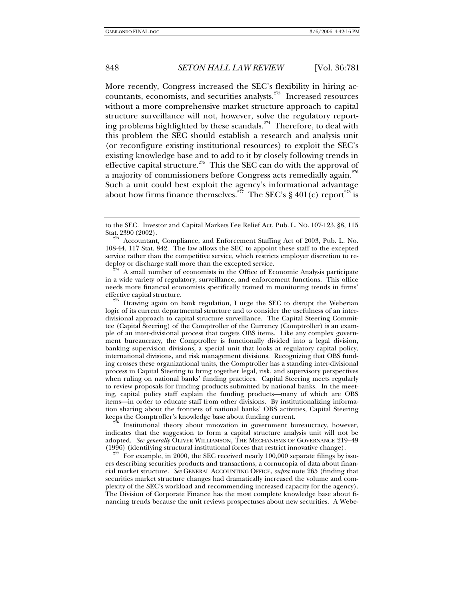More recently, Congress increased the SEC's flexibility in hiring accountants, economists, and securities analysts.<sup>273</sup> Increased resources without a more comprehensive market structure approach to capital structure surveillance will not, however, solve the regulatory reporting problems highlighted by these scandals.<sup>274</sup> Therefore, to deal with this problem the SEC should establish a research and analysis unit (or reconfigure existing institutional resources) to exploit the SEC's existing knowledge base and to add to it by closely following trends in effective capital structure.<sup>275</sup> This the SEC can do with the approval of a majority of commissioners before Congress acts remedially again. $276$ Such a unit could best exploit the agency's informational advantage about how firms finance themselves.<sup>277</sup> The SEC's § 401(c) report<sup>278</sup> is

A small number of economists in the Office of Economic Analysis participate in a wide variety of regulatory, surveillance, and enforcement functions. This office needs more financial economists specifically trained in monitoring trends in firms'

effective capital structure.<br><sup>275</sup> Drawing again on bank regulation, I urge the SEC to disrupt the Weberian logic of its current departmental structure and to consider the usefulness of an interdivisional approach to capital structure surveillance. The Capital Steering Committee (Capital Steering) of the Comptroller of the Currency (Comptroller) is an example of an inter-divisional process that targets OBS items. Like any complex government bureaucracy, the Comptroller is functionally divided into a legal division, banking supervision divisions, a special unit that looks at regulatory capital policy, international divisions, and risk management divisions. Recognizing that OBS funding crosses these organizational units, the Comptroller has a standing inter-divisional process in Capital Steering to bring together legal, risk, and supervisory perspectives when ruling on national banks' funding practices. Capital Steering meets regularly to review proposals for funding products submitted by national banks. In the meeting, capital policy staff explain the funding products—many of which are OBS items—in order to educate staff from other divisions. By institutionalizing information sharing about the frontiers of national banks' OBS activities, Capital Steering

keeps the Comptroller's knowledge base about funding current.<br><sup>276</sup> Institutional theory about innovation in government bureaucracy, however, indicates that the suggestion to form a capital structure analysis unit will not be adopted. *See generally* OLIVER WILLIAMSON, THE MECHANISMS OF GOVERNANCE 219–49 (1996) (identifying structural institutional forces that restrict innovative change).

 $277$  For example, in 2000, the SEC received nearly 100,000 separate filings by issuers describing securities products and transactions, a cornucopia of data about financial market structure. *See* GENERAL ACCOUNTING OFFICE, *supra* note 265 (finding that securities market structure changes had dramatically increased the volume and complexity of the SEC's workload and recommending increased capacity for the agency). The Division of Corporate Finance has the most complete knowledge base about financing trends because the unit reviews prospectuses about new securities. A Webe-

to the SEC. Investor and Capital Markets Fee Relief Act, Pub. L. NO. 107-123, §8, 115

Accountant, Compliance, and Enforcement Staffing Act of 2003, Pub. L. No. 108-44, 117 Stat. 842. The law allows the SEC to appoint these staff to the excepted service rather than the competitive service, which restricts employer discretion to re-<br>deploy or discharge staff more than the excepted service.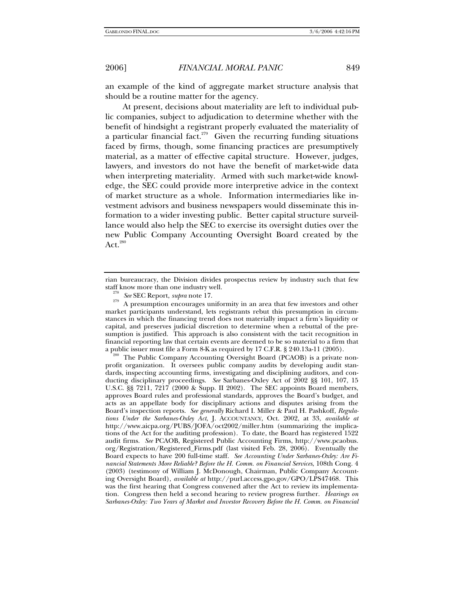an example of the kind of aggregate market structure analysis that should be a routine matter for the agency.

At present, decisions about materiality are left to individual public companies, subject to adjudication to determine whether with the benefit of hindsight a registrant properly evaluated the materiality of a particular financial fact.<sup>279</sup> Given the recurring funding situations faced by firms, though, some financing practices are presumptively material, as a matter of effective capital structure. However, judges, lawyers, and investors do not have the benefit of market-wide data when interpreting materiality. Armed with such market-wide knowledge, the SEC could provide more interpretive advice in the context of market structure as a whole. Information intermediaries like investment advisors and business newspapers would disseminate this information to a wider investing public. Better capital structure surveillance would also help the SEC to exercise its oversight duties over the new Public Company Accounting Oversight Board created by the  $Act.<sup>280</sup>$ 

rian bureaucracy, the Division divides prospectus review by industry such that few

staff know more than one industry well.<br><sup>278</sup> See SEC Report, *supra* note 17.<br><sup>279</sup> A presumption encourages uniformity in an area that few investors and other market participants understand, lets registrants rebut this presumption in circumstances in which the financing trend does not materially impact a firm's liquidity or capital, and preserves judicial discretion to determine when a rebuttal of the presumption is justified. This approach is also consistent with the tacit recognition in financial reporting law that certain events are deemed to be so material to a firm that a public issuer must file a Form 8-K as required by 17 C.F.R. § 240.13a-11 (2005).<br><sup>280</sup> The Public Company Accounting Oversight Board (PCAOB) is a private non-

profit organization. It oversees public company audits by developing audit standards, inspecting accounting firms, investigating and disciplining auditors, and conducting disciplinary proceedings. *See* Sarbanes-Oxley Act of 2002 §§ 101, 107, 15 U.S.C. §§ 7211, 7217 (2000 & Supp. II 2002). The SEC appoints Board members, approves Board rules and professional standards, approves the Board's budget, and acts as an appellate body for disciplinary actions and disputes arising from the Board's inspection reports. *See generally* Richard I. Miller & Paul H. Pashkoff, *Regulations Under the Sarbanes-Oxley Act*, J. ACCOUNTANCY, Oct. 2002, at 33, *available at* http://www.aicpa.org/PUBS/JOFA/oct2002/miller.htm (summarizing the implications of the Act for the auditing profession). To date, the Board has registered 1522 audit firms. *See* PCAOB, Registered Public Accounting Firms, http://www.pcaobus. org/Registration/Registered\_Firms.pdf (last visited Feb. 28, 2006). Eventually the Board expects to have 200 full-time staff. *See Accounting Under Sarbanes-Oxley: Are Financial Statements More Reliable? Before the H. Comm. on Financial Services*, 108th Cong. 4 (2003) (testimony of William J. McDonough, Chairman, Public Company Accounting Oversight Board), *available at* http://purl.access.gpo.gov/GPO/LPS47468. This was the first hearing that Congress convened after the Act to review its implementation. Congress then held a second hearing to review progress further. *Hearings on Sarbanes-Oxley: Two Years of Market and Investor Recovery Before the H. Comm. on Financial*